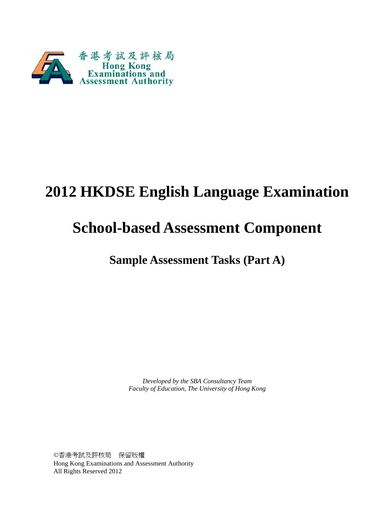

# **2012 HKDSE English Language Examination**

# **School-based Assessment Component**

**Sample Assessment Tasks (Part A)** 

 *Faculty of Education, The University of Hong Kong Developed by the SBA Consultancy Team*

 ©香港考試及評核局 保留版權 Hong Kong Examinations and Assessment Authority All Rights Reserved 2012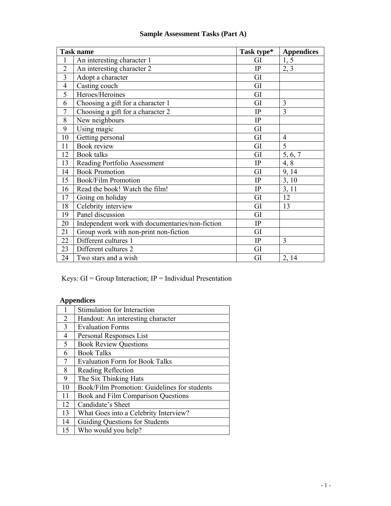|                | <b>Task name</b>                                | Task type* | <b>Appendices</b> |
|----------------|-------------------------------------------------|------------|-------------------|
| $\mathbf{1}$   | An interesting character 1                      | GI         | 1, 5              |
| $\overline{2}$ | An interesting character 2                      | IP         | 2, 3              |
| $\overline{3}$ | Adopt a character                               | GI         |                   |
| $\overline{4}$ | Casting couch                                   | GI         |                   |
| 5              | Heroes/Heroines                                 | GI         |                   |
| 6              | Choosing a gift for a character 1               | GI         | 3                 |
| $\overline{7}$ | Choosing a gift for a character 2               | IP         | 3                 |
| 8              | New neighbours                                  | IP         |                   |
| 9              | Using magic                                     | GI         |                   |
| 10             | Getting personal                                | GI         | $\overline{4}$    |
| 11             | <b>Book review</b>                              | GI         | 5                 |
| 12             | <b>Book</b> talks                               | GI         | 5, 6, 7           |
| 13             | Reading Portfolio Assessment                    | IP         | 4, 8              |
| 14             | <b>Book Promotion</b>                           | GI         | 9, 14             |
| 15             | <b>Book/Film Promotion</b>                      | IP         | 3, 10             |
| 16             | Read the book! Watch the film!                  | IP         | 3, 11             |
| 17             | Going on holiday                                | GI         | 12                |
| 18             | Celebrity interview                             | GI         | 13                |
| 19             | Panel discussion                                | GI         |                   |
| 20             | Independent work with documentaries/non-fiction | IP         |                   |
| 21             | Group work with non-print non-fiction           | GI         |                   |
| 22             | Different cultures 1                            | IP         | 3                 |
| 23             | Different cultures 2                            | GI         |                   |
| 24             | Two stars and a wish                            | GI         | 2, 14             |

## **Sample Assessment Tasks (Part A)**

Keys: GI = Group Interaction; IP = Individual Presentation

## **Appendices**

|                | Stimulation for Interaction                  |
|----------------|----------------------------------------------|
| $\overline{2}$ | Handout: An interesting character            |
| $\overline{3}$ | <b>Evaluation Forms</b>                      |
| 4              | Personal Responses List                      |
| 5              | <b>Book Review Questions</b>                 |
| 6              | <b>Book Talks</b>                            |
| 7              | <b>Evaluation Form for Book Talks</b>        |
| 8              | Reading Reflection                           |
| 9              | The Six Thinking Hats                        |
| 10             | Book/Film Promotion: Guidelines for students |
| 11             | Book and Film Comparison Questions           |
| 12             | Candidate's Sheet                            |
| 13             | What Goes into a Celebrity Interview?        |
| 14             | Guiding Questions for Students               |
| 15             | Who would you help?                          |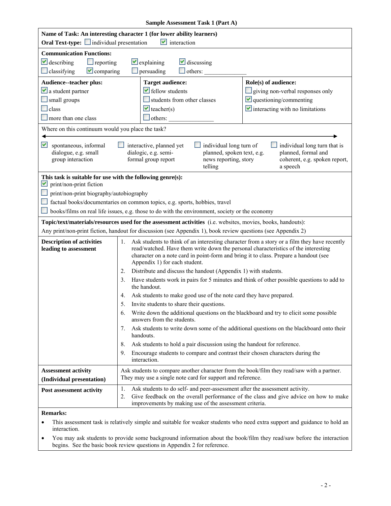|                                                            | Sample Assessment Task 1 (Part A)                                                                                                                                                                                                                                                                                |  |  |  |  |
|------------------------------------------------------------|------------------------------------------------------------------------------------------------------------------------------------------------------------------------------------------------------------------------------------------------------------------------------------------------------------------|--|--|--|--|
|                                                            | Name of Task: An interesting character 1 (for lower ability learners)                                                                                                                                                                                                                                            |  |  |  |  |
| <b>Oral Text-type:</b> individual presentation             | $\vee$ interaction                                                                                                                                                                                                                                                                                               |  |  |  |  |
| <b>Communication Functions:</b>                            |                                                                                                                                                                                                                                                                                                                  |  |  |  |  |
| $\vee$ describing<br>$\Box$ reporting                      | $\vee$ discussing<br>$\vee$ explaining                                                                                                                                                                                                                                                                           |  |  |  |  |
| $\Box$ classifying<br>$\vee$ comparing                     | $\Box$ persuading<br>others:                                                                                                                                                                                                                                                                                     |  |  |  |  |
| Audience--teacher plus:                                    | Role(s) of audience:<br><b>Target audience:</b>                                                                                                                                                                                                                                                                  |  |  |  |  |
| $\vee$ a student partner                                   | $\blacktriangleright$ fellow students<br>giving non-verbal responses only                                                                                                                                                                                                                                        |  |  |  |  |
| small groups                                               | $\blacksquare$ questioning/commenting<br>students from other classes                                                                                                                                                                                                                                             |  |  |  |  |
| $\Box$ class                                               | $\blacktriangleright$ interacting with no limitations<br>$\vee$ teacher(s)                                                                                                                                                                                                                                       |  |  |  |  |
| more than one class                                        | $\Box$ others:                                                                                                                                                                                                                                                                                                   |  |  |  |  |
| Where on this continuum would you place the task?          |                                                                                                                                                                                                                                                                                                                  |  |  |  |  |
| M<br>spontaneous, informal                                 | individual long turn of<br>individual long turn that is<br>interactive, planned yet                                                                                                                                                                                                                              |  |  |  |  |
| dialogue, e.g. small<br>group interaction                  | planned, formal and<br>dialogic, e.g. semi-<br>planned, spoken text, e.g.<br>formal group report<br>news reporting, story<br>coherent, e.g. spoken report,<br>telling<br>a speech                                                                                                                                |  |  |  |  |
| This task is suitable for use with the following genre(s): |                                                                                                                                                                                                                                                                                                                  |  |  |  |  |
| print/non-print fiction<br>M                               |                                                                                                                                                                                                                                                                                                                  |  |  |  |  |
| print/non-print biography/autobiography                    |                                                                                                                                                                                                                                                                                                                  |  |  |  |  |
|                                                            | factual books/documentaries on common topics, e.g. sports, hobbies, travel                                                                                                                                                                                                                                       |  |  |  |  |
|                                                            | books/films on real life issues, e.g. those to do with the environment, society or the economy                                                                                                                                                                                                                   |  |  |  |  |
|                                                            | Topic/text/materials/resources used for the assessment activities (i.e. websites, movies, books, handouts):                                                                                                                                                                                                      |  |  |  |  |
|                                                            | Any print/non-print fiction, handout for discussion (see Appendix 1), book review questions (see Appendix 2)                                                                                                                                                                                                     |  |  |  |  |
| <b>Description of activities</b><br>leading to assessment  | Ask students to think of an interesting character from a story or a film they have recently<br>1.<br>read/watched. Have them write down the personal characteristics of the interesting<br>character on a note card in point-form and bring it to class. Prepare a handout (see<br>Appendix 1) for each student. |  |  |  |  |
|                                                            | Distribute and discuss the handout (Appendix 1) with students.<br>2.                                                                                                                                                                                                                                             |  |  |  |  |
|                                                            | Have students work in pairs for 5 minutes and think of other possible questions to add to<br>3.<br>the handout.                                                                                                                                                                                                  |  |  |  |  |
|                                                            | Ask students to make good use of the note card they have prepared.<br>4.                                                                                                                                                                                                                                         |  |  |  |  |
|                                                            | Invite students to share their questions.<br>5.                                                                                                                                                                                                                                                                  |  |  |  |  |
|                                                            | Write down the additional questions on the blackboard and try to elicit some possible<br>6.<br>answers from the students.                                                                                                                                                                                        |  |  |  |  |
|                                                            | Ask students to write down some of the additional questions on the blackboard onto their<br>7.<br>handouts.                                                                                                                                                                                                      |  |  |  |  |
|                                                            | Ask students to hold a pair discussion using the handout for reference.<br>8.                                                                                                                                                                                                                                    |  |  |  |  |
|                                                            | Encourage students to compare and contrast their chosen characters during the<br>9.<br>interaction.                                                                                                                                                                                                              |  |  |  |  |
| <b>Assessment activity</b><br>(Individual presentation)    | Ask students to compare another character from the book/film they read/saw with a partner.<br>They may use a single note card for support and reference.                                                                                                                                                         |  |  |  |  |
| Post assessment activity                                   | Ask students to do self- and peer-assessment after the assessment activity.<br>1.<br>Give feedback on the overall performance of the class and give advice on how to make<br>2.<br>improvements by making use of the assessment criteria.                                                                        |  |  |  |  |
| <b>Remarks:</b>                                            |                                                                                                                                                                                                                                                                                                                  |  |  |  |  |
|                                                            |                                                                                                                                                                                                                                                                                                                  |  |  |  |  |

This assessment task is relatively simple and suitable for weaker students who need extra support and guidance to hold an interaction.

• You may ask students to provide some background information about the book/film they read/saw before the interaction begins. See the basic book review questions in Appendix 2 for reference.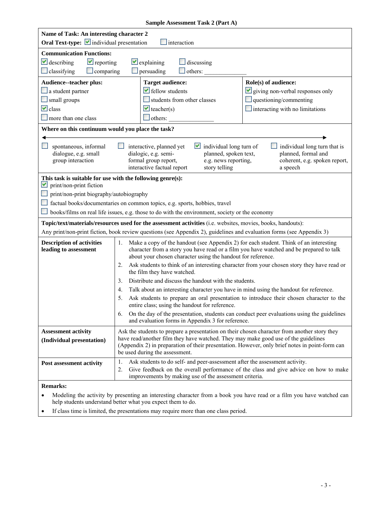|                                                                                                                              | Sample Assessment Task 2 (Part A)                                                                                                                                                  |                                                     |  |  |  |
|------------------------------------------------------------------------------------------------------------------------------|------------------------------------------------------------------------------------------------------------------------------------------------------------------------------------|-----------------------------------------------------|--|--|--|
| Name of Task: An interesting character 2                                                                                     |                                                                                                                                                                                    |                                                     |  |  |  |
| Oral Text-type: individual presentation                                                                                      | $\Box$ interaction                                                                                                                                                                 |                                                     |  |  |  |
| <b>Communication Functions:</b>                                                                                              |                                                                                                                                                                                    |                                                     |  |  |  |
| $\vee$ describing<br>$\vee$ reporting                                                                                        | $\vee$ explaining<br>$\Box$ discussing                                                                                                                                             |                                                     |  |  |  |
| $\Box$ classifying<br>$\Box$ comparing                                                                                       | others:<br>$\Box$ persuading                                                                                                                                                       |                                                     |  |  |  |
| Audience--teacher plus:                                                                                                      | <b>Target audience:</b>                                                                                                                                                            | Role(s) of audience:                                |  |  |  |
| $\Box$ a student partner                                                                                                     | $\blacktriangleright$ fellow students                                                                                                                                              | $\vee$ giving non-verbal responses only             |  |  |  |
| small groups                                                                                                                 | students from other classes                                                                                                                                                        | $\Box$ questioning/commenting                       |  |  |  |
| $\vee$ class                                                                                                                 | $\vee$ teacher(s)                                                                                                                                                                  | interacting with no limitations                     |  |  |  |
| $\Box$ more than one class                                                                                                   | $\Box$ others:                                                                                                                                                                     |                                                     |  |  |  |
| Where on this continuum would you place the task?                                                                            |                                                                                                                                                                                    |                                                     |  |  |  |
|                                                                                                                              |                                                                                                                                                                                    |                                                     |  |  |  |
| spontaneous, informal<br>dialogue, e.g. small                                                                                | interactive, planned yet<br>$\vee$ individual long turn of<br>dialogic, e.g. semi-<br>planned, spoken text,                                                                        | individual long turn that is<br>planned, formal and |  |  |  |
| group interaction                                                                                                            | formal group report,<br>e.g. news reporting,                                                                                                                                       | coherent, e.g. spoken report,                       |  |  |  |
|                                                                                                                              | interactive factual report<br>story telling                                                                                                                                        | a speech                                            |  |  |  |
| This task is suitable for use with the following genre(s):                                                                   |                                                                                                                                                                                    |                                                     |  |  |  |
| print/non-print fiction<br>M                                                                                                 |                                                                                                                                                                                    |                                                     |  |  |  |
| print/non-print biography/autobiography                                                                                      |                                                                                                                                                                                    |                                                     |  |  |  |
|                                                                                                                              | factual books/documentaries on common topics, e.g. sports, hobbies, travel                                                                                                         |                                                     |  |  |  |
|                                                                                                                              | books/films on real life issues, e.g. those to do with the environment, society or the economy                                                                                     |                                                     |  |  |  |
|                                                                                                                              | Topic/text/materials/resources used for the assessment activities (i.e. websites, movies, books, handouts):                                                                        |                                                     |  |  |  |
|                                                                                                                              | Any print/non-print fiction, book review questions (see Appendix 2), guidelines and evaluation forms (see Appendix 3)                                                              |                                                     |  |  |  |
| <b>Description of activities</b><br>1. Make a copy of the handout (see Appendix 2) for each student. Think of an interesting |                                                                                                                                                                                    |                                                     |  |  |  |
| leading to assessment                                                                                                        | character from a story you have read or a film you have watched and be prepared to talk                                                                                            |                                                     |  |  |  |
| about your chosen character using the handout for reference.                                                                 |                                                                                                                                                                                    |                                                     |  |  |  |
|                                                                                                                              | Ask students to think of an interesting character from your chosen story they have read or<br>2.<br>the film they have watched.                                                    |                                                     |  |  |  |
|                                                                                                                              | Distribute and discuss the handout with the students.<br>3.                                                                                                                        |                                                     |  |  |  |
|                                                                                                                              | Talk about an interesting character you have in mind using the handout for reference.<br>4.                                                                                        |                                                     |  |  |  |
|                                                                                                                              | Ask students to prepare an oral presentation to introduce their chosen character to the<br>5.                                                                                      |                                                     |  |  |  |
|                                                                                                                              | entire class; using the handout for reference.                                                                                                                                     |                                                     |  |  |  |
|                                                                                                                              | On the day of the presentation, students can conduct peer evaluations using the guidelines<br>6.<br>and evaluation forms in Appendix 3 for reference.                              |                                                     |  |  |  |
|                                                                                                                              |                                                                                                                                                                                    |                                                     |  |  |  |
| <b>Assessment activity</b>                                                                                                   | Ask the students to prepare a presentation on their chosen character from another story they<br>have read/another film they have watched. They may make good use of the guidelines |                                                     |  |  |  |
| (Individual presentation)                                                                                                    | (Appendix 2) in preparation of their presentation. However, only brief notes in point-form can                                                                                     |                                                     |  |  |  |
|                                                                                                                              | be used during the assessment.                                                                                                                                                     |                                                     |  |  |  |
| Post assessment activity                                                                                                     | Ask students to do self- and peer-assessment after the assessment activity.<br>1.                                                                                                  |                                                     |  |  |  |
|                                                                                                                              | Give feedback on the overall performance of the class and give advice on how to make<br>2.                                                                                         |                                                     |  |  |  |
|                                                                                                                              | improvements by making use of the assessment criteria.                                                                                                                             |                                                     |  |  |  |
| <b>Remarks:</b>                                                                                                              |                                                                                                                                                                                    |                                                     |  |  |  |

- Modeling the activity by presenting an interesting character from a book you have read or a film you have watched can help students understand better what you expect them to do.
- If class time is limited, the presentations may require more than one class period.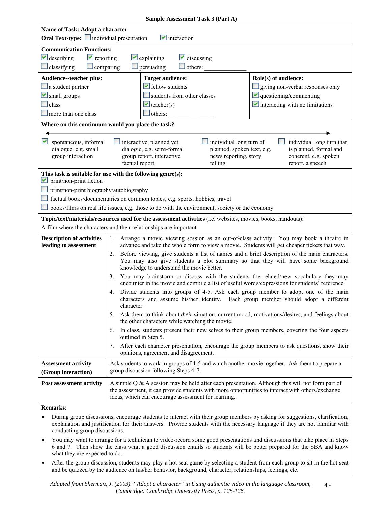|                                                                                            | Sample Assessment Task 3 (Part A)                                                                                                                                                                                                                            |                                                                                                             |                                                                                                                                                                                       |  |  |
|--------------------------------------------------------------------------------------------|--------------------------------------------------------------------------------------------------------------------------------------------------------------------------------------------------------------------------------------------------------------|-------------------------------------------------------------------------------------------------------------|---------------------------------------------------------------------------------------------------------------------------------------------------------------------------------------|--|--|
| Name of Task: Adopt a character                                                            |                                                                                                                                                                                                                                                              |                                                                                                             |                                                                                                                                                                                       |  |  |
|                                                                                            | Oral Text-type: individual presentation<br>$\blacktriangleright$ interaction                                                                                                                                                                                 |                                                                                                             |                                                                                                                                                                                       |  |  |
| <b>Communication Functions:</b>                                                            |                                                                                                                                                                                                                                                              |                                                                                                             |                                                                                                                                                                                       |  |  |
| $\vee$ describing<br>$\vee$ reporting                                                      | $\vee$ explaining                                                                                                                                                                                                                                            | $\vee$ discussing                                                                                           |                                                                                                                                                                                       |  |  |
| $\Box$ classifying<br>$\Box$ comparing                                                     | $\Box$ persuading                                                                                                                                                                                                                                            | $\Box$ others:                                                                                              |                                                                                                                                                                                       |  |  |
| Audience--teacher plus:                                                                    | <b>Target audience:</b>                                                                                                                                                                                                                                      |                                                                                                             | Role(s) of audience:                                                                                                                                                                  |  |  |
| a student partner                                                                          | $\blacktriangleright$ fellow students                                                                                                                                                                                                                        |                                                                                                             | giving non-verbal responses only                                                                                                                                                      |  |  |
| $\blacktriangleright$ small groups                                                         |                                                                                                                                                                                                                                                              | $\blacksquare$ questioning/commenting<br>students from other classes                                        |                                                                                                                                                                                       |  |  |
| $\Box$ class                                                                               |                                                                                                                                                                                                                                                              | $\blacktriangleright$ interacting with no limitations<br>$\blacktriangleright$ teacher(s)                   |                                                                                                                                                                                       |  |  |
| $\Box$ more than one class                                                                 | others:                                                                                                                                                                                                                                                      |                                                                                                             |                                                                                                                                                                                       |  |  |
| Where on this continuum would you place the task?                                          |                                                                                                                                                                                                                                                              |                                                                                                             |                                                                                                                                                                                       |  |  |
|                                                                                            |                                                                                                                                                                                                                                                              |                                                                                                             |                                                                                                                                                                                       |  |  |
| v spontaneous, informal<br>dialogue, e.g. small<br>group interaction                       | interactive, planned yet<br>dialogic, e.g. semi-formal<br>group report, interactive<br>factual report                                                                                                                                                        | individual long turn of<br>planned, spoken text, e.g.<br>news reporting, story<br>telling                   | individual long turn that<br>is planned, formal and<br>coherent, e.g. spoken<br>report, a speech                                                                                      |  |  |
| This task is suitable for use with the following genre(s):<br>print/non-print fiction<br>M |                                                                                                                                                                                                                                                              |                                                                                                             |                                                                                                                                                                                       |  |  |
| print/non-print biography/autobiography                                                    |                                                                                                                                                                                                                                                              |                                                                                                             |                                                                                                                                                                                       |  |  |
|                                                                                            |                                                                                                                                                                                                                                                              | factual books/documentaries on common topics, e.g. sports, hobbies, travel                                  |                                                                                                                                                                                       |  |  |
|                                                                                            |                                                                                                                                                                                                                                                              | books/films on real life issues, e.g. those to do with the environment, society or the economy              |                                                                                                                                                                                       |  |  |
|                                                                                            |                                                                                                                                                                                                                                                              | Topic/text/materials/resources used for the assessment activities (i.e. websites, movies, books, handouts): |                                                                                                                                                                                       |  |  |
|                                                                                            | A film where the characters and their relationships are important                                                                                                                                                                                            |                                                                                                             |                                                                                                                                                                                       |  |  |
| <b>Description of activities</b><br>leading to assessment                                  | Arrange a movie viewing session as an out-of-class activity. You may book a theatre in<br>1.<br>advance and take the whole form to view a movie. Students will get cheaper tickets that way.                                                                 |                                                                                                             |                                                                                                                                                                                       |  |  |
|                                                                                            | Before viewing, give students a list of names and a brief description of the main characters.<br>2.<br>You may also give students a plot summary so that they will have some background<br>knowledge to understand the movie better.                         |                                                                                                             |                                                                                                                                                                                       |  |  |
|                                                                                            | 3.                                                                                                                                                                                                                                                           |                                                                                                             | You may brainstorm or discuss with the students the related/new vocabulary they may<br>encounter in the movie and compile a list of useful words/expressions for students' reference. |  |  |
|                                                                                            | Divide students into groups of 4-5. Ask each group member to adopt one of the main<br>4.<br>characters and assume his/her identity. Each group member should adopt a different<br>character.                                                                 |                                                                                                             |                                                                                                                                                                                       |  |  |
|                                                                                            | Ask them to think about <i>their</i> situation, current mood, motivations/desires, and feelings about<br>5.<br>the other characters while watching the movie.                                                                                                |                                                                                                             |                                                                                                                                                                                       |  |  |
|                                                                                            | In class, students present their new selves to their group members, covering the four aspects<br>6.<br>outlined in Step 5.                                                                                                                                   |                                                                                                             |                                                                                                                                                                                       |  |  |
|                                                                                            | 7.<br>opinions, agreement and disagreement.                                                                                                                                                                                                                  |                                                                                                             | After each character presentation, encourage the group members to ask questions, show their                                                                                           |  |  |
| <b>Assessment activity</b>                                                                 |                                                                                                                                                                                                                                                              |                                                                                                             | Ask students to work in groups of 4-5 and watch another movie together. Ask them to prepare a                                                                                         |  |  |
| (Group interaction)                                                                        | group discussion following Steps 4-7.                                                                                                                                                                                                                        |                                                                                                             |                                                                                                                                                                                       |  |  |
| Post assessment activity                                                                   | A simple $Q$ & A session may be held after each presentation. Although this will not form part of<br>the assessment, it can provide students with more opportunities to interact with others/exchange<br>ideas, which can encourage assessment for learning. |                                                                                                             |                                                                                                                                                                                       |  |  |
| <b>Remarks:</b>                                                                            |                                                                                                                                                                                                                                                              |                                                                                                             |                                                                                                                                                                                       |  |  |

- explanation and justification for their answers. Provide students with the necessary language if they are not familiar with • During group discussions, encourage students to interact with their group members by asking for suggestions, clarification, conducting group discussions.
- • You may want to arrange for a technician to video-record some good presentations and discussions that take place in Steps 6 and 7. Then show the class what a good discussion entails so students will be better prepared for the SBA and know what they are expected to do.
- • After the group discussion, students may play a hot seat game by selecting a student from each group to sit in the hot seat and be quizzed by the audience on his/her behavior, background, character, relationships, feelings, etc.

 $4 -$  *Cambridge: Cambridge University Press, p. 125-126. Adapted from Sherman, J. (2003). "Adopt a character" in Using authentic video in the language classroom,*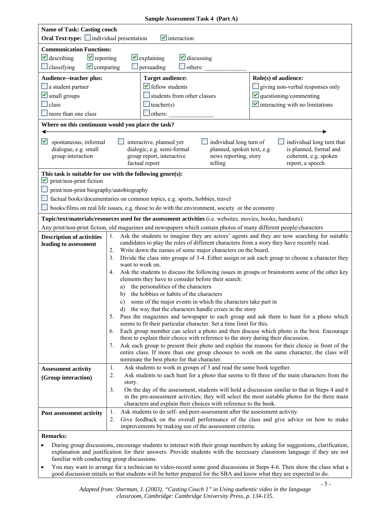| <b>Name of Task: Casting couch</b>                                                                          |                                                                                                                                                                                                                   |                                                                                                |                                                                                                |                                |                                                                                                 |
|-------------------------------------------------------------------------------------------------------------|-------------------------------------------------------------------------------------------------------------------------------------------------------------------------------------------------------------------|------------------------------------------------------------------------------------------------|------------------------------------------------------------------------------------------------|--------------------------------|-------------------------------------------------------------------------------------------------|
| <b>Oral Text-type:</b> individual presentation<br>$\blacksquare$ interaction                                |                                                                                                                                                                                                                   |                                                                                                |                                                                                                |                                |                                                                                                 |
|                                                                                                             | <b>Communication Functions:</b>                                                                                                                                                                                   |                                                                                                |                                                                                                |                                |                                                                                                 |
| $\blacktriangleright$ reporting<br>$\vee$ describing                                                        |                                                                                                                                                                                                                   | $\vee$ explaining                                                                              | $\vee$ discussing                                                                              |                                |                                                                                                 |
| $\Box$ classifying<br>$\vee$ comparing                                                                      |                                                                                                                                                                                                                   | $\Box$ persuading                                                                              | others:                                                                                        |                                |                                                                                                 |
| Audience--teacher plus:                                                                                     |                                                                                                                                                                                                                   | <b>Target audience:</b>                                                                        |                                                                                                | Role(s) of audience:           |                                                                                                 |
| $\Box$ a student partner                                                                                    |                                                                                                                                                                                                                   | $\blacktriangleright$ fellow students                                                          |                                                                                                |                                | giving non-verbal responses only                                                                |
| $\vee$ small groups                                                                                         |                                                                                                                                                                                                                   |                                                                                                | students from other classes                                                                    |                                | $\vee$ questioning/commenting                                                                   |
| $\Box$ class                                                                                                |                                                                                                                                                                                                                   | $\Box$ teacher(s)                                                                              |                                                                                                |                                | $\vee$ interacting with no limitations                                                          |
| more than one class                                                                                         |                                                                                                                                                                                                                   | $\theta$ others:                                                                               |                                                                                                |                                |                                                                                                 |
| Where on this continuum would you place the task?                                                           |                                                                                                                                                                                                                   |                                                                                                |                                                                                                |                                |                                                                                                 |
|                                                                                                             |                                                                                                                                                                                                                   |                                                                                                |                                                                                                |                                |                                                                                                 |
| M<br>spontaneous, informal                                                                                  |                                                                                                                                                                                                                   | interactive, planned yet                                                                       |                                                                                                | $\Box$ individual long turn of | individual long turn that                                                                       |
| dialogue, e.g. small                                                                                        |                                                                                                                                                                                                                   | dialogic, e.g. semi-formal                                                                     |                                                                                                | planned, spoken text, e.g.     | is planned, formal and                                                                          |
| group interaction                                                                                           |                                                                                                                                                                                                                   | group report, interactive<br>factual report                                                    | telling                                                                                        | news reporting, story          | coherent, e.g. spoken<br>report, a speech                                                       |
|                                                                                                             |                                                                                                                                                                                                                   |                                                                                                |                                                                                                |                                |                                                                                                 |
| This task is suitable for use with the following genre(s):<br>M<br>print/non-print fiction                  |                                                                                                                                                                                                                   |                                                                                                |                                                                                                |                                |                                                                                                 |
| print/non-print biography/autobiography                                                                     |                                                                                                                                                                                                                   |                                                                                                |                                                                                                |                                |                                                                                                 |
|                                                                                                             |                                                                                                                                                                                                                   |                                                                                                | factual books/documentaries on common topics, e.g. sports, hobbies, travel                     |                                |                                                                                                 |
|                                                                                                             |                                                                                                                                                                                                                   |                                                                                                | books/films on real life issues, e.g. those to do with the environment, society or the economy |                                |                                                                                                 |
|                                                                                                             |                                                                                                                                                                                                                   |                                                                                                |                                                                                                |                                |                                                                                                 |
| Topic/text/materials/resources used for the assessment activities (i.e. websites, movies, books, handouts): |                                                                                                                                                                                                                   |                                                                                                |                                                                                                |                                |                                                                                                 |
|                                                                                                             | Any print/non-print fiction, old magazines and newspapers which contain photos of many different people/characters<br>Ask the students to imagine they are actors' agents and they are now searching for suitable |                                                                                                |                                                                                                |                                |                                                                                                 |
| <b>Description of activities</b>                                                                            | 1.                                                                                                                                                                                                                |                                                                                                | candidates to play the roles of different characters from a story they have recently read.     |                                |                                                                                                 |
| leading to assessment                                                                                       | 2.                                                                                                                                                                                                                |                                                                                                | Write down the names of some major characters on the board.                                    |                                |                                                                                                 |
|                                                                                                             | 3 <sub>1</sub>                                                                                                                                                                                                    |                                                                                                |                                                                                                |                                | Divide the class into groups of 3-4. Either assign or ask each group to choose a character they |
|                                                                                                             |                                                                                                                                                                                                                   | want to work on.                                                                               |                                                                                                |                                |                                                                                                 |
|                                                                                                             | 4.                                                                                                                                                                                                                |                                                                                                |                                                                                                |                                | Ask the students to discuss the following issues in groups or brainstorm some of the other key  |
|                                                                                                             |                                                                                                                                                                                                                   |                                                                                                | elements they have to consider before their search:                                            |                                |                                                                                                 |
|                                                                                                             | a)<br>b)                                                                                                                                                                                                          | the personalities of the characters                                                            | the hobbies or habits of the characters                                                        |                                |                                                                                                 |
|                                                                                                             | $\mathbf{c})$                                                                                                                                                                                                     |                                                                                                | some of the major events in which the characters take part in                                  |                                |                                                                                                 |
|                                                                                                             |                                                                                                                                                                                                                   |                                                                                                | d) the way that the characters handle crises in the story                                      |                                |                                                                                                 |
|                                                                                                             | Pass the magazines and newspaper to each group and ask them to hunt for a photo which<br>5.                                                                                                                       |                                                                                                |                                                                                                |                                |                                                                                                 |
|                                                                                                             | seems to fit their particular character. Set a time limit for this.                                                                                                                                               |                                                                                                |                                                                                                |                                |                                                                                                 |
|                                                                                                             |                                                                                                                                                                                                                   | Each group member can select a photo and then discuss which photo is the best. Encourage<br>6. |                                                                                                |                                |                                                                                                 |
|                                                                                                             | them to explain their choice with reference to the story during their discussion.<br>Ask each group to present their photo and explain the reasons for their choice in front of the<br>7.                         |                                                                                                |                                                                                                |                                |                                                                                                 |
|                                                                                                             |                                                                                                                                                                                                                   |                                                                                                |                                                                                                |                                | entire class. If more than one group chooses to work on the same character, the class will      |
|                                                                                                             |                                                                                                                                                                                                                   |                                                                                                | nominate the best photo for that character.                                                    |                                |                                                                                                 |
| <b>Assessment activity</b>                                                                                  | 1.                                                                                                                                                                                                                |                                                                                                | Ask students to work in groups of 3 and read the same book together.                           |                                |                                                                                                 |
| (Group interaction)                                                                                         | 2.                                                                                                                                                                                                                |                                                                                                |                                                                                                |                                | Ask students to each hunt for a photo that seems to fit three of the main characters from the   |
|                                                                                                             | story.<br>3.                                                                                                                                                                                                      |                                                                                                |                                                                                                |                                | On the day of the assessment, students will hold a discussion similar to that in Steps 4 and 6  |
|                                                                                                             |                                                                                                                                                                                                                   |                                                                                                |                                                                                                |                                | in the pre-assessment activities; they will select the most suitable photos for the three main  |
|                                                                                                             |                                                                                                                                                                                                                   |                                                                                                | characters and explain their choices with reference to the book.                               |                                |                                                                                                 |
| Post assessment activity                                                                                    | 1.                                                                                                                                                                                                                |                                                                                                | Ask students to do self- and peer-assessment after the assessment activity.                    |                                |                                                                                                 |
|                                                                                                             | 2.                                                                                                                                                                                                                |                                                                                                |                                                                                                |                                | Give feedback on the overall performance of the class and give advice on how to make            |
|                                                                                                             |                                                                                                                                                                                                                   |                                                                                                | improvements by making use of the assessment criteria.                                         |                                |                                                                                                 |
| <b>Remarks:</b>                                                                                             |                                                                                                                                                                                                                   |                                                                                                |                                                                                                |                                |                                                                                                 |

- During group discussions, encourage students to interact with their group members by asking for suggestions, clarification, explanation and justification for their answers. Provide students with the necessary classroom language if they are not familiar with conducting group discussions.
- • You may want to arrange for a technician to video-record some good discussions in Steps 4-6. Then show the class what a good discussion entails so that students will be better prepared for the SBA and know what they are expected to do.

#### **Sample Assessment Task 4 (Part A)**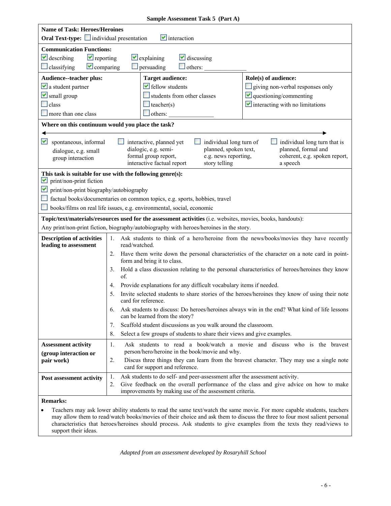| Sample Assessment Task 5 (Part A)                                                                                                                                         |                                                                                                                                      |                                                                                                        |                                                                                                             |                                                                                                                         |  |
|---------------------------------------------------------------------------------------------------------------------------------------------------------------------------|--------------------------------------------------------------------------------------------------------------------------------------|--------------------------------------------------------------------------------------------------------|-------------------------------------------------------------------------------------------------------------|-------------------------------------------------------------------------------------------------------------------------|--|
| <b>Name of Task: Heroes/Heroines</b>                                                                                                                                      |                                                                                                                                      |                                                                                                        |                                                                                                             |                                                                                                                         |  |
|                                                                                                                                                                           | <b>Oral Text-type:</b> individual presentation<br>$\blacksquare$ interaction                                                         |                                                                                                        |                                                                                                             |                                                                                                                         |  |
| <b>Communication Functions:</b>                                                                                                                                           |                                                                                                                                      |                                                                                                        |                                                                                                             |                                                                                                                         |  |
| $\vee$ describing<br>$\blacktriangleright$ reporting                                                                                                                      |                                                                                                                                      | $\vee$ explaining                                                                                      | $\vee$ discussing                                                                                           |                                                                                                                         |  |
| $\Box$ classifying<br>$\vee$ comparing                                                                                                                                    |                                                                                                                                      | $\Box$ persuading                                                                                      | $\Box$ others:                                                                                              |                                                                                                                         |  |
| Audience--teacher plus:                                                                                                                                                   |                                                                                                                                      | <b>Target audience:</b>                                                                                |                                                                                                             | Role(s) of audience:                                                                                                    |  |
| $\vee$ a student partner                                                                                                                                                  |                                                                                                                                      | $\blacktriangleright$ fellow students                                                                  |                                                                                                             | giving non-verbal responses only                                                                                        |  |
| $\vee$ small group                                                                                                                                                        |                                                                                                                                      |                                                                                                        | students from other classes                                                                                 | $\blacksquare$ questioning/commenting                                                                                   |  |
| $\Box$ class                                                                                                                                                              |                                                                                                                                      | $\blacksquare$ teacher(s)                                                                              |                                                                                                             | $\vee$ interacting with no limitations                                                                                  |  |
| more than one class                                                                                                                                                       |                                                                                                                                      | others:                                                                                                |                                                                                                             |                                                                                                                         |  |
| Where on this continuum would you place the task?                                                                                                                         |                                                                                                                                      |                                                                                                        |                                                                                                             |                                                                                                                         |  |
| M<br>spontaneous, informal<br>dialogue, e.g. small<br>group interaction                                                                                                   |                                                                                                                                      | interactive, planned yet<br>dialogic, e.g. semi-<br>formal group report,<br>interactive factual report | individual long turn of<br>planned, spoken text,<br>e.g. news reporting,<br>story telling                   | individual long turn that is<br>planned, formal and<br>coherent, e.g. spoken report,<br>a speech                        |  |
| This task is suitable for use with the following genre(s):<br>print/non-print fiction<br>M                                                                                |                                                                                                                                      |                                                                                                        |                                                                                                             |                                                                                                                         |  |
| M<br>print/non-print biography/autobiography                                                                                                                              |                                                                                                                                      |                                                                                                        |                                                                                                             |                                                                                                                         |  |
| factual books/documentaries on common topics, e.g. sports, hobbies, travel                                                                                                |                                                                                                                                      |                                                                                                        |                                                                                                             |                                                                                                                         |  |
| books/films on real life issues, e.g. environmental, social, economic                                                                                                     |                                                                                                                                      |                                                                                                        |                                                                                                             |                                                                                                                         |  |
|                                                                                                                                                                           |                                                                                                                                      |                                                                                                        | Topic/text/materials/resources used for the assessment activities (i.e. websites, movies, books, handouts): |                                                                                                                         |  |
|                                                                                                                                                                           |                                                                                                                                      |                                                                                                        | Any print/non-print fiction, biography/autobiography with heroes/heroines in the story.                     |                                                                                                                         |  |
| <b>Description of activities</b><br>Ask students to think of a hero/heroine from the news/books/movies they have recently<br>1.<br>leading to assessment<br>read/watched. |                                                                                                                                      |                                                                                                        |                                                                                                             |                                                                                                                         |  |
|                                                                                                                                                                           | Have them write down the personal characteristics of the character on a note card in point-<br>2.<br>form and bring it to class.     |                                                                                                        |                                                                                                             |                                                                                                                         |  |
|                                                                                                                                                                           | Hold a class discussion relating to the personal characteristics of heroes/heroines they know<br>3.<br>of.                           |                                                                                                        |                                                                                                             |                                                                                                                         |  |
|                                                                                                                                                                           | 4.                                                                                                                                   |                                                                                                        | Provide explanations for any difficult vocabulary items if needed.                                          |                                                                                                                         |  |
|                                                                                                                                                                           | 5.                                                                                                                                   | card for reference.                                                                                    |                                                                                                             | Invite selected students to share stories of the heroes/heroines they know of using their note                          |  |
|                                                                                                                                                                           | Ask students to discuss: Do heroes/heroines always win in the end? What kind of life lessons<br>6.<br>can be learned from the story? |                                                                                                        |                                                                                                             |                                                                                                                         |  |
|                                                                                                                                                                           | 7.                                                                                                                                   |                                                                                                        | Scaffold student discussions as you walk around the classroom.                                              |                                                                                                                         |  |
|                                                                                                                                                                           | 8.                                                                                                                                   |                                                                                                        | Select a few groups of students to share their views and give examples.                                     |                                                                                                                         |  |
| <b>Assessment activity</b>                                                                                                                                                | 1.                                                                                                                                   |                                                                                                        |                                                                                                             | Ask students to read a book/watch a movie and discuss who is the bravest                                                |  |
| (group interaction or                                                                                                                                                     |                                                                                                                                      |                                                                                                        | person/hero/heroine in the book/movie and why.                                                              |                                                                                                                         |  |
| pair work)                                                                                                                                                                | 2.                                                                                                                                   | card for support and reference.                                                                        |                                                                                                             | Discus three things they can learn from the bravest character. They may use a single note                               |  |
| Post assessment activity                                                                                                                                                  | 1.                                                                                                                                   |                                                                                                        | Ask students to do self- and peer-assessment after the assessment activity.                                 |                                                                                                                         |  |
|                                                                                                                                                                           | 2.                                                                                                                                   |                                                                                                        | improvements by making use of the assessment criteria.                                                      | Give feedback on the overall performance of the class and give advice on how to make                                    |  |
| <b>Remarks:</b>                                                                                                                                                           |                                                                                                                                      |                                                                                                        |                                                                                                             |                                                                                                                         |  |
|                                                                                                                                                                           |                                                                                                                                      |                                                                                                        |                                                                                                             | Teachers may ask lower ability students to read the same text/watch the same movie. For more capable students, teachers |  |

 may allow them to read/watch books/movies of their choice and ask them to discuss the three to four most salient personal characteristics that heroes/heroines should process. Ask students to give examples from the texts they read/views to support their ideas.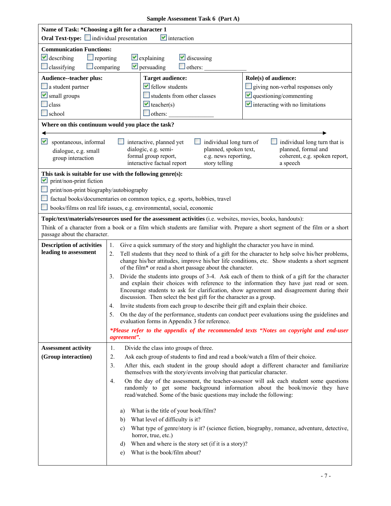|  | Sample Assessment Task 6 (Part A) |  |  |
|--|-----------------------------------|--|--|
|--|-----------------------------------|--|--|

| Name of Task: * Choosing a gift for a character 1<br><b>Oral Text-type:</b> individual presentation<br>$\blacksquare$ interaction |                                                                                                                                                                                                                                                                                                                                                                     |                                                                                                                                                                                                    |  |  |
|-----------------------------------------------------------------------------------------------------------------------------------|---------------------------------------------------------------------------------------------------------------------------------------------------------------------------------------------------------------------------------------------------------------------------------------------------------------------------------------------------------------------|----------------------------------------------------------------------------------------------------------------------------------------------------------------------------------------------------|--|--|
| <b>Communication Functions:</b>                                                                                                   |                                                                                                                                                                                                                                                                                                                                                                     |                                                                                                                                                                                                    |  |  |
| $\vee$ describing<br>$\Box$ reporting                                                                                             | $\vee$ discussing<br>$\vee$ explaining                                                                                                                                                                                                                                                                                                                              |                                                                                                                                                                                                    |  |  |
| $\Box$ classifying<br>$\Box$ comparing                                                                                            | $\triangleright$ persuading<br>others:                                                                                                                                                                                                                                                                                                                              |                                                                                                                                                                                                    |  |  |
| Audience--teacher plus:                                                                                                           | <b>Target audience:</b>                                                                                                                                                                                                                                                                                                                                             | Role(s) of audience:                                                                                                                                                                               |  |  |
| $\Box$ a student partner                                                                                                          | $\blacktriangleright$ fellow students                                                                                                                                                                                                                                                                                                                               | giving non-verbal responses only                                                                                                                                                                   |  |  |
| Small groups                                                                                                                      | students from other classes                                                                                                                                                                                                                                                                                                                                         | $\vee$ questioning/commenting                                                                                                                                                                      |  |  |
| $\Box$ class                                                                                                                      | $\vee$ teacher(s)                                                                                                                                                                                                                                                                                                                                                   | $\vee$ interacting with no limitations                                                                                                                                                             |  |  |
| $\Box$ school                                                                                                                     | $\Box$ others:                                                                                                                                                                                                                                                                                                                                                      |                                                                                                                                                                                                    |  |  |
|                                                                                                                                   | Where on this continuum would you place the task?                                                                                                                                                                                                                                                                                                                   |                                                                                                                                                                                                    |  |  |
| M<br>spontaneous, informal                                                                                                        | interactive, planned yet                                                                                                                                                                                                                                                                                                                                            | individual long turn of<br>individual long turn that is                                                                                                                                            |  |  |
| dialogue, e.g. small                                                                                                              | dialogic, e.g. semi-<br>formal group report,                                                                                                                                                                                                                                                                                                                        | planned, formal and<br>planned, spoken text,<br>e.g. news reporting,<br>coherent, e.g. spoken report,                                                                                              |  |  |
| group interaction                                                                                                                 | interactive factual report                                                                                                                                                                                                                                                                                                                                          | story telling<br>a speech                                                                                                                                                                          |  |  |
|                                                                                                                                   | This task is suitable for use with the following genre(s):                                                                                                                                                                                                                                                                                                          |                                                                                                                                                                                                    |  |  |
| print/non-print fiction<br>M                                                                                                      |                                                                                                                                                                                                                                                                                                                                                                     |                                                                                                                                                                                                    |  |  |
| print/non-print biography/autobiography                                                                                           |                                                                                                                                                                                                                                                                                                                                                                     |                                                                                                                                                                                                    |  |  |
|                                                                                                                                   | factual books/documentaries on common topics, e.g. sports, hobbies, travel                                                                                                                                                                                                                                                                                          |                                                                                                                                                                                                    |  |  |
|                                                                                                                                   | books/films on real life issues, e.g. environmental, social, economic                                                                                                                                                                                                                                                                                               |                                                                                                                                                                                                    |  |  |
|                                                                                                                                   | Topic/text/materials/resources used for the assessment activities (i.e. websites, movies, books, handouts):                                                                                                                                                                                                                                                         |                                                                                                                                                                                                    |  |  |
| passage about the character.                                                                                                      |                                                                                                                                                                                                                                                                                                                                                                     | Think of a character from a book or a film which students are familiar with. Prepare a short segment of the film or a short                                                                        |  |  |
| <b>Description of activities</b>                                                                                                  | Give a quick summary of the story and highlight the character you have in mind.<br>1.                                                                                                                                                                                                                                                                               |                                                                                                                                                                                                    |  |  |
| leading to assessment                                                                                                             | 2.<br>of the film* or read a short passage about the character.                                                                                                                                                                                                                                                                                                     | Tell students that they need to think of a gift for the character to help solve his/her problems,<br>change his/her attitudes, improve his/her life conditions, etc. Show students a short segment |  |  |
|                                                                                                                                   | Divide the students into groups of 3-4. Ask each of them to think of a gift for the character<br>3.<br>and explain their choices with reference to the information they have just read or seen.<br>Encourage students to ask for clarification, show agreement and disagreement during their<br>discussion. Then select the best gift for the character as a group. |                                                                                                                                                                                                    |  |  |
|                                                                                                                                   | Invite students from each group to describe their gift and explain their choice.<br>4.                                                                                                                                                                                                                                                                              |                                                                                                                                                                                                    |  |  |
|                                                                                                                                   | 5.<br>evaluation forms in Appendix 3 for reference.                                                                                                                                                                                                                                                                                                                 | On the day of the performance, students can conduct peer evaluations using the guidelines and                                                                                                      |  |  |
|                                                                                                                                   | agreement".                                                                                                                                                                                                                                                                                                                                                         | *Please refer to the appendix of the recommended texts "Notes on copyright and end-user                                                                                                            |  |  |
| <b>Assessment activity</b>                                                                                                        | Divide the class into groups of three.<br>1.                                                                                                                                                                                                                                                                                                                        |                                                                                                                                                                                                    |  |  |
| (Group interaction)                                                                                                               | 2.<br>Ask each group of students to find and read a book/watch a film of their choice.                                                                                                                                                                                                                                                                              |                                                                                                                                                                                                    |  |  |
|                                                                                                                                   | 3.<br>After this, each student in the group should adopt a different character and familiarize<br>themselves with the story/events involving that particular character.                                                                                                                                                                                             |                                                                                                                                                                                                    |  |  |
|                                                                                                                                   | 4.<br>read/watched. Some of the basic questions may include the following:                                                                                                                                                                                                                                                                                          | On the day of the assessment, the teacher-assessor will ask each student some questions<br>randomly to get some background information about the book/movie they have                              |  |  |
|                                                                                                                                   | What is the title of your book/film?<br>a)                                                                                                                                                                                                                                                                                                                          |                                                                                                                                                                                                    |  |  |
|                                                                                                                                   | What level of difficulty is it?<br>b)                                                                                                                                                                                                                                                                                                                               |                                                                                                                                                                                                    |  |  |
|                                                                                                                                   | c)<br>horror, true, etc.)                                                                                                                                                                                                                                                                                                                                           | What type of genre/story is it? (science fiction, biography, romance, adventure, detective,                                                                                                        |  |  |
|                                                                                                                                   | When and where is the story set (if it is a story)?<br>d)                                                                                                                                                                                                                                                                                                           |                                                                                                                                                                                                    |  |  |
|                                                                                                                                   | What is the book/film about?<br>e)                                                                                                                                                                                                                                                                                                                                  |                                                                                                                                                                                                    |  |  |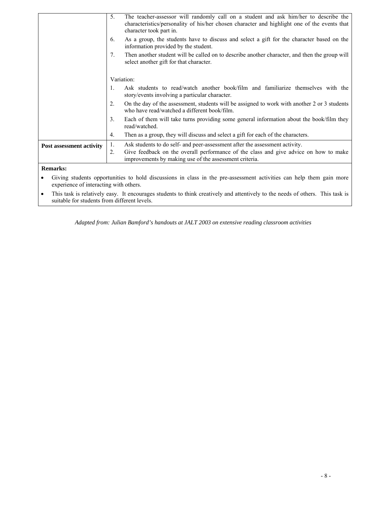|                                 | 5.                                                                                                                                             | The teacher-assessor will randomly call on a student and ask him/her to describe the<br>characteristics/personality of his/her chosen character and highlight one of the events that<br>character took part in. |  |
|---------------------------------|------------------------------------------------------------------------------------------------------------------------------------------------|-----------------------------------------------------------------------------------------------------------------------------------------------------------------------------------------------------------------|--|
|                                 | 6.                                                                                                                                             | As a group, the students have to discuss and select a gift for the character based on the<br>information provided by the student.                                                                               |  |
|                                 | 7.<br>Then another student will be called on to describe another character, and then the group will<br>select another gift for that character. |                                                                                                                                                                                                                 |  |
|                                 | Variation:                                                                                                                                     |                                                                                                                                                                                                                 |  |
|                                 | $\mathbf{1}$ .                                                                                                                                 | Ask students to read/watch another book/film and familiarize themselves with the<br>story/events involving a particular character.                                                                              |  |
|                                 | 2.                                                                                                                                             | On the day of the assessment, students will be assigned to work with another 2 or 3 students<br>who have read/watched a different book/film.                                                                    |  |
|                                 | 3.                                                                                                                                             | Each of them will take turns providing some general information about the book/film they<br>read/watched.                                                                                                       |  |
|                                 | 4.                                                                                                                                             | Then as a group, they will discuss and select a gift for each of the characters.                                                                                                                                |  |
| <b>Post assessment activity</b> | 1.                                                                                                                                             | Ask students to do self- and peer-assessment after the assessment activity.                                                                                                                                     |  |
|                                 | 2.                                                                                                                                             | Give feedback on the overall performance of the class and give advice on how to make<br>improvements by making use of the assessment criteria.                                                                  |  |
| Domarke.                        |                                                                                                                                                |                                                                                                                                                                                                                 |  |

#### **Remarks:**

 experience of interacting with others. • Giving students opportunities to hold discussions in class in the pre-assessment activities can help them gain more

• This task is relatively easy. It encourages students to think creatively and attentively to the needs of others. This task is suitable for students from different levels.

*Adapted from: Julian Bamford's handouts at JALT 2003 on extensive reading classroom activities*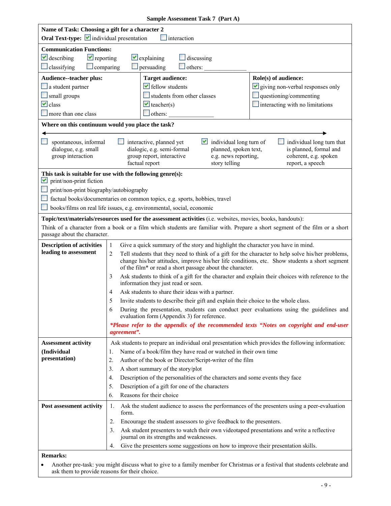|  | Sample Assessment Task 7 (Part A) |  |  |
|--|-----------------------------------|--|--|
|--|-----------------------------------|--|--|

|                                                                | Name of Task: Choosing a gift for a character 2                                                                                                                                                                                            |  |  |  |  |
|----------------------------------------------------------------|--------------------------------------------------------------------------------------------------------------------------------------------------------------------------------------------------------------------------------------------|--|--|--|--|
|                                                                | Oral Text-type: individual presentation<br>interaction                                                                                                                                                                                     |  |  |  |  |
| <b>Communication Functions:</b>                                |                                                                                                                                                                                                                                            |  |  |  |  |
| $\vee$ describing<br>$\blacktriangleright$ reporting           | $\vee$ explaining<br>$\Box$ discussing                                                                                                                                                                                                     |  |  |  |  |
| $\Box$ classifying<br>$\Box$ comparing                         | $\Box$ persuading<br>$\Box$ others:                                                                                                                                                                                                        |  |  |  |  |
| Audience--teacher plus:                                        | Role(s) of audience:<br><b>Target audience:</b>                                                                                                                                                                                            |  |  |  |  |
| $\Box$ a student partner                                       | $\blacktriangleright$ fellow students<br>$\vee$ giving non-verbal responses only                                                                                                                                                           |  |  |  |  |
| small groups                                                   | students from other classes<br>$\Box$ questioning/commenting                                                                                                                                                                               |  |  |  |  |
| $\vee$ class                                                   | $\blacksquare$ interacting with no limitations<br>$\vee$ teacher(s)                                                                                                                                                                        |  |  |  |  |
| $\Box$ more than one class                                     | $\Box$ others:                                                                                                                                                                                                                             |  |  |  |  |
|                                                                | Where on this continuum would you place the task?                                                                                                                                                                                          |  |  |  |  |
| spontaneous, informal                                          | individual long turn of<br>individual long turn that<br>interactive, planned yet                                                                                                                                                           |  |  |  |  |
| dialogue, e.g. small                                           | dialogic, e.g. semi-formal<br>planned, spoken text,<br>is planned, formal and                                                                                                                                                              |  |  |  |  |
| group interaction                                              | group report, interactive<br>e.g. news reporting,<br>coherent, e.g. spoken                                                                                                                                                                 |  |  |  |  |
|                                                                | factual report<br>story telling<br>report, a speech                                                                                                                                                                                        |  |  |  |  |
| print/non-print fiction<br>M                                   | This task is suitable for use with the following genre(s):                                                                                                                                                                                 |  |  |  |  |
| print/non-print biography/autobiography                        |                                                                                                                                                                                                                                            |  |  |  |  |
|                                                                | factual books/documentaries on common topics, e.g. sports, hobbies, travel                                                                                                                                                                 |  |  |  |  |
|                                                                | books/films on real life issues, e.g. environmental, social, economic                                                                                                                                                                      |  |  |  |  |
|                                                                |                                                                                                                                                                                                                                            |  |  |  |  |
|                                                                | Topic/text/materials/resources used for the assessment activities (i.e. websites, movies, books, handouts):<br>Think of a character from a book or a film which students are familiar with. Prepare a short segment of the film or a short |  |  |  |  |
| passage about the character.                                   |                                                                                                                                                                                                                                            |  |  |  |  |
| <b>Description of activities</b>                               | Give a quick summary of the story and highlight the character you have in mind.<br>$\mathbf{1}$                                                                                                                                            |  |  |  |  |
| leading to assessment                                          | Tell students that they need to think of a gift for the character to help solve his/her problems,<br>2                                                                                                                                     |  |  |  |  |
|                                                                | change his/her attitudes, improve his/her life conditions, etc. Show students a short segment                                                                                                                                              |  |  |  |  |
| of the film* or read a short passage about the character.<br>3 |                                                                                                                                                                                                                                            |  |  |  |  |
|                                                                | Ask students to think of a gift for the character and explain their choices with reference to the<br>information they just read or seen.                                                                                                   |  |  |  |  |
|                                                                | Ask students to share their ideas with a partner.                                                                                                                                                                                          |  |  |  |  |
|                                                                | Invite students to describe their gift and explain their choice to the whole class.                                                                                                                                                        |  |  |  |  |
|                                                                | During the presentation, students can conduct peer evaluations using the guidelines and                                                                                                                                                    |  |  |  |  |
|                                                                | evaluation form (Appendix 3) for reference.                                                                                                                                                                                                |  |  |  |  |
|                                                                | *Please refer to the appendix of the recommended texts "Notes on copyright and end-user<br>agreement".                                                                                                                                     |  |  |  |  |
| <b>Assessment activity</b>                                     | Ask students to prepare an individual oral presentation which provides the following information:                                                                                                                                          |  |  |  |  |
| (Individual                                                    | Name of a book/film they have read or watched in their own time<br>1.                                                                                                                                                                      |  |  |  |  |
| presentation)                                                  | 2.<br>Author of the book or Director/Script-writer of the film                                                                                                                                                                             |  |  |  |  |
|                                                                | A short summary of the story/plot<br>3.                                                                                                                                                                                                    |  |  |  |  |
|                                                                | Description of the personalities of the characters and some events they face<br>4.                                                                                                                                                         |  |  |  |  |
|                                                                | 5.<br>Description of a gift for one of the characters                                                                                                                                                                                      |  |  |  |  |
|                                                                | Reasons for their choice<br>6.                                                                                                                                                                                                             |  |  |  |  |
| Post assessment activity                                       | Ask the student audience to assess the performances of the presenters using a peer-evaluation<br>1.<br>form.                                                                                                                               |  |  |  |  |
|                                                                | 2.<br>Encourage the student assessors to give feedback to the presenters.                                                                                                                                                                  |  |  |  |  |
|                                                                | Ask student presenters to watch their own videotaped presentations and write a reflective<br>3.<br>journal on its strengths and weaknesses.                                                                                                |  |  |  |  |
|                                                                | Give the presenters some suggestions on how to improve their presentation skills.<br>4.                                                                                                                                                    |  |  |  |  |
| <b>Remarks:</b>                                                |                                                                                                                                                                                                                                            |  |  |  |  |
|                                                                |                                                                                                                                                                                                                                            |  |  |  |  |

• Another pre-task: you might discuss what to give to a family member for Christmas or a festival that students celebrate and ask them to provide reasons for their choice.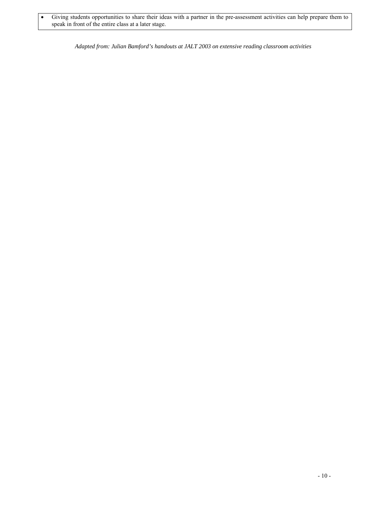speak in front of the entire class at a later stage. • Giving students opportunities to share their ideas with a partner in the pre-assessment activities can help prepare them to

*Adapted from: Julian Bamford's handouts at JALT 2003 on extensive reading classroom activities*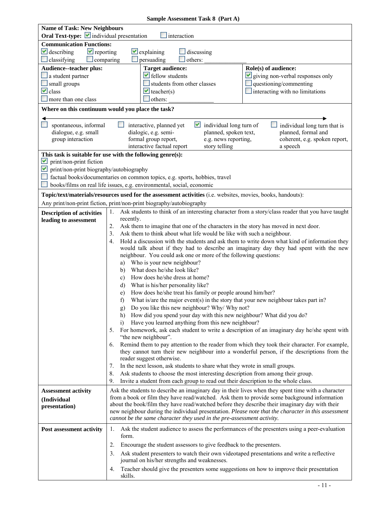|  | <b>Sample Assessment Task 8 (Part A)</b> |  |  |
|--|------------------------------------------|--|--|
|--|------------------------------------------|--|--|

| <b>Name of Task: New Neighbours</b><br>Oral Text-type: <i>v</i> individual presentation<br>interaction            |                                                                                                                                                                                                                                                                                                                                                                                                                                                                                                                                                                                                                                                                                                                                                                                                                                                                                                                                                                                                                                                                     |                                                                                                  |                                                                                                                                                                                                                                                                                                                                                                                                                                                                                                                                                                                                                                                                               |
|-------------------------------------------------------------------------------------------------------------------|---------------------------------------------------------------------------------------------------------------------------------------------------------------------------------------------------------------------------------------------------------------------------------------------------------------------------------------------------------------------------------------------------------------------------------------------------------------------------------------------------------------------------------------------------------------------------------------------------------------------------------------------------------------------------------------------------------------------------------------------------------------------------------------------------------------------------------------------------------------------------------------------------------------------------------------------------------------------------------------------------------------------------------------------------------------------|--------------------------------------------------------------------------------------------------|-------------------------------------------------------------------------------------------------------------------------------------------------------------------------------------------------------------------------------------------------------------------------------------------------------------------------------------------------------------------------------------------------------------------------------------------------------------------------------------------------------------------------------------------------------------------------------------------------------------------------------------------------------------------------------|
| <b>Communication Functions:</b>                                                                                   |                                                                                                                                                                                                                                                                                                                                                                                                                                                                                                                                                                                                                                                                                                                                                                                                                                                                                                                                                                                                                                                                     |                                                                                                  |                                                                                                                                                                                                                                                                                                                                                                                                                                                                                                                                                                                                                                                                               |
| $\vee$ describing<br>$\blacktriangleright$ reporting<br>$\Box$ classifying<br>comparing                           | $\vee$ explaining<br>persuading<br>others:                                                                                                                                                                                                                                                                                                                                                                                                                                                                                                                                                                                                                                                                                                                                                                                                                                                                                                                                                                                                                          | discussing                                                                                       |                                                                                                                                                                                                                                                                                                                                                                                                                                                                                                                                                                                                                                                                               |
| <b>Audience--teacher plus:</b><br>$\Box$ a student partner<br>small groups<br>$\vee$ class<br>more than one class | <b>Target audience:</b><br>$\blacktriangleright$ fellow students<br>students from other classes<br>$\blacktriangleright$ teacher(s)<br>others:                                                                                                                                                                                                                                                                                                                                                                                                                                                                                                                                                                                                                                                                                                                                                                                                                                                                                                                      |                                                                                                  | Role(s) of audience:<br>giving non-verbal responses only<br>questioning/commenting<br>$\Box$ interacting with no limitations                                                                                                                                                                                                                                                                                                                                                                                                                                                                                                                                                  |
| Where on this continuum would you place the task?                                                                 |                                                                                                                                                                                                                                                                                                                                                                                                                                                                                                                                                                                                                                                                                                                                                                                                                                                                                                                                                                                                                                                                     |                                                                                                  |                                                                                                                                                                                                                                                                                                                                                                                                                                                                                                                                                                                                                                                                               |
| spontaneous, informal<br>dialogue, e.g. small<br>group interaction                                                | interactive, planned yet<br>dialogic, e.g. semi-<br>formal group report,<br>interactive factual report                                                                                                                                                                                                                                                                                                                                                                                                                                                                                                                                                                                                                                                                                                                                                                                                                                                                                                                                                              | $\vee$ individual long turn of<br>planned, spoken text,<br>e.g. news reporting,<br>story telling | individual long turn that is<br>planned, formal and<br>coherent, e.g. spoken report,<br>a speech                                                                                                                                                                                                                                                                                                                                                                                                                                                                                                                                                                              |
| M<br>print/non-print fiction<br>print/non-print biography/autobiography<br>M                                      | This task is suitable for use with the following genre(s):<br>factual books/documentaries on common topics, e.g. sports, hobbies, travel<br>books/films on real life issues, e.g. environmental, social, economic                                                                                                                                                                                                                                                                                                                                                                                                                                                                                                                                                                                                                                                                                                                                                                                                                                                   |                                                                                                  |                                                                                                                                                                                                                                                                                                                                                                                                                                                                                                                                                                                                                                                                               |
|                                                                                                                   | Topic/text/materials/resources used for the assessment activities (i.e. websites, movies, books, handouts):                                                                                                                                                                                                                                                                                                                                                                                                                                                                                                                                                                                                                                                                                                                                                                                                                                                                                                                                                         |                                                                                                  |                                                                                                                                                                                                                                                                                                                                                                                                                                                                                                                                                                                                                                                                               |
|                                                                                                                   | Any print/non-print fiction, print/non-print biography/autobiography                                                                                                                                                                                                                                                                                                                                                                                                                                                                                                                                                                                                                                                                                                                                                                                                                                                                                                                                                                                                |                                                                                                  |                                                                                                                                                                                                                                                                                                                                                                                                                                                                                                                                                                                                                                                                               |
| <b>Description of activities</b><br>leading to assessment                                                         | 1.<br>recently.<br>2.<br>Ask them to imagine that one of the characters in the story has moved in next door.<br>3.<br>Ask them to think about what life would be like with such a neighbour.<br>4.<br>neighbour. You could ask one or more of the following questions:<br>Who is your new neighbour?<br>a)<br>What does he/she look like?<br>b)<br>How does he/she dress at home?<br>c)<br>What is his/her personality like?<br>d)<br>How does he/she treat his family or people around him/her?<br>e)<br>f)<br>Do you like this new neighbour? Why/ Why not?<br>g)<br>How did you spend your day with this new neighbour? What did you do?<br>h)<br>Have you learned anything from this new neighbour?<br>$\overline{1}$<br>5.<br>"the new neighbour".<br>6.<br>reader suggest otherwise.<br>In the next lesson, ask students to share what they wrote in small groups.<br>7.<br>Ask students to choose the most interesting description from among their group.<br>8.<br>Invite a student from each group to read out their description to the whole class.<br>9. |                                                                                                  | Ask students to think of an interesting character from a story/class reader that you have taught<br>Hold a discussion with the students and ask them to write down what kind of information they<br>would talk about if they had to describe an imaginary day they had spent with the new<br>What is/are the major event(s) in the story that your new neighbour takes part in?<br>For homework, ask each student to write a description of an imaginary day he/she spent with<br>Remind them to pay attention to the reader from which they took their character. For example,<br>they cannot turn their new neighbour into a wonderful person, if the descriptions from the |
| <b>Assessment activity</b><br>(Individual<br>presentation)                                                        | cannot be the same character they used in the pre-assessment activity.                                                                                                                                                                                                                                                                                                                                                                                                                                                                                                                                                                                                                                                                                                                                                                                                                                                                                                                                                                                              |                                                                                                  | Ask the students to describe an imaginary day in their lives when they spent time with a character<br>from a book or film they have read/watched. Ask them to provide some background information<br>about the book/film they have read/watched before they describe their imaginary day with their<br>new neighbour during the individual presentation. Please note that the character in this assessment                                                                                                                                                                                                                                                                    |
| Post assessment activity                                                                                          | $\mathbf{I}_{\star}$<br>form.                                                                                                                                                                                                                                                                                                                                                                                                                                                                                                                                                                                                                                                                                                                                                                                                                                                                                                                                                                                                                                       |                                                                                                  | Ask the student audience to assess the performances of the presenters using a peer-evaluation                                                                                                                                                                                                                                                                                                                                                                                                                                                                                                                                                                                 |
|                                                                                                                   | Encourage the student assessors to give feedback to the presenters.<br>2.<br>3.<br>journal on his/her strengths and weaknesses.                                                                                                                                                                                                                                                                                                                                                                                                                                                                                                                                                                                                                                                                                                                                                                                                                                                                                                                                     |                                                                                                  | Ask student presenters to watch their own videotaped presentations and write a reflective                                                                                                                                                                                                                                                                                                                                                                                                                                                                                                                                                                                     |
|                                                                                                                   | 4.<br>skills.                                                                                                                                                                                                                                                                                                                                                                                                                                                                                                                                                                                                                                                                                                                                                                                                                                                                                                                                                                                                                                                       |                                                                                                  | Teacher should give the presenters some suggestions on how to improve their presentation                                                                                                                                                                                                                                                                                                                                                                                                                                                                                                                                                                                      |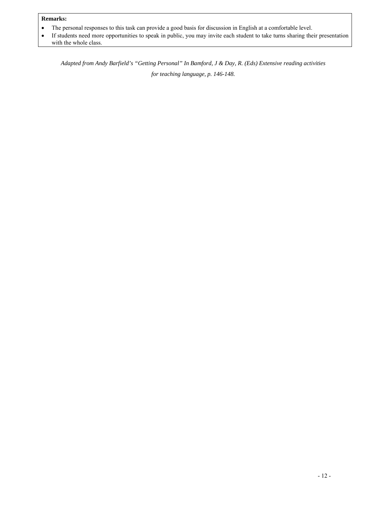#### **Remarks:**

- • The personal responses to this task can provide a good basis for discussion in English at a comfortable level.
- If students need more opportunities to speak in public, you may invite each student to take turns sharing their presentation with the whole class.

*Adapted from Andy Barfield's "Getting Personal" In Bamford, J & Day, R. (Eds) Extensive reading activities for teaching language, p. 146-148.*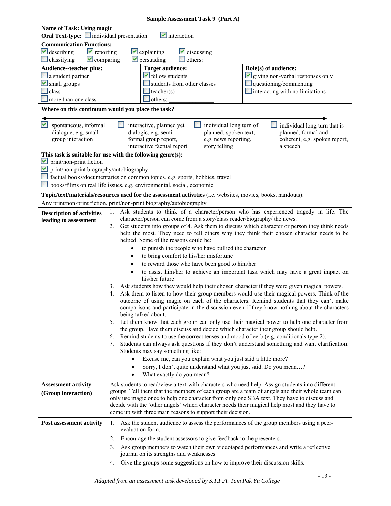| <b>Name of Task: Using magic</b>                        |                                                                                                                                                                                                    |                                                                                 |
|---------------------------------------------------------|----------------------------------------------------------------------------------------------------------------------------------------------------------------------------------------------------|---------------------------------------------------------------------------------|
| <b>Oral Text-type:</b> individual presentation          | $\blacktriangleright$ interaction                                                                                                                                                                  |                                                                                 |
| <b>Communication Functions:</b>                         |                                                                                                                                                                                                    |                                                                                 |
| $\blacktriangleright$ reporting<br>$\vee$ describing    | $\vee$ explaining<br>$\vee$ discussing                                                                                                                                                             |                                                                                 |
| $\vee$ comparing<br>classifying                         | $\triangledown$ persuading<br>others:                                                                                                                                                              |                                                                                 |
| Audience--teacher plus:                                 | <b>Target audience:</b>                                                                                                                                                                            | Role(s) of audience:                                                            |
| a student partner<br>$\blacktriangleright$ small groups | fellow students<br>students from other classes                                                                                                                                                     | $\vee$ giving non-verbal responses only<br>questioning/commenting               |
| class                                                   | teacher(s)                                                                                                                                                                                         | $\Box$ interacting with no limitations                                          |
| more than one class                                     | others:                                                                                                                                                                                            |                                                                                 |
|                                                         | Where on this continuum would you place the task?                                                                                                                                                  |                                                                                 |
|                                                         |                                                                                                                                                                                                    |                                                                                 |
| M<br>spontaneous, informal                              | individual long turn of<br>interactive, planned yet<br>$\mathcal{L}_{\mathcal{A}}$                                                                                                                 | individual long turn that is                                                    |
| dialogue, e.g. small                                    | dialogic, e.g. semi-<br>planned, spoken text,                                                                                                                                                      | planned, formal and                                                             |
| group interaction                                       | formal group report,<br>e.g. news reporting,<br>interactive factual report<br>story telling                                                                                                        | coherent, e.g. spoken report,                                                   |
|                                                         | This task is suitable for use with the following genre(s):                                                                                                                                         | a speech                                                                        |
| M<br>print/non-print fiction                            |                                                                                                                                                                                                    |                                                                                 |
| M<br>print/non-print biography/autobiography            |                                                                                                                                                                                                    |                                                                                 |
|                                                         | factual books/documentaries on common topics, e.g. sports, hobbies, travel                                                                                                                         |                                                                                 |
|                                                         | books/films on real life issues, e.g. environmental, social, economic                                                                                                                              |                                                                                 |
|                                                         | Topic/text/materials/resources used for the assessment activities (i.e. websites, movies, books, handouts):                                                                                        |                                                                                 |
|                                                         | Any print/non-print fiction, print/non-print biography/autobiography                                                                                                                               |                                                                                 |
| <b>Description of activities</b>                        | Ask students to think of a character/person who has experienced tragedy in life. The<br>1.                                                                                                         |                                                                                 |
| leading to assessment                                   | character/person can come from a story/class reader/biography/ the news.                                                                                                                           |                                                                                 |
|                                                         | Get students into groups of 4. Ask them to discuss which character or person they think needs<br>2.<br>help the most. They need to tell others why they think their chosen character needs to be   |                                                                                 |
|                                                         | helped. Some of the reasons could be:                                                                                                                                                              |                                                                                 |
|                                                         | to punish the people who have bullied the character                                                                                                                                                |                                                                                 |
|                                                         | to bring comfort to his/her misfortune                                                                                                                                                             |                                                                                 |
|                                                         | to reward those who have been good to him/her                                                                                                                                                      |                                                                                 |
|                                                         |                                                                                                                                                                                                    | to assist him/her to achieve an important task which may have a great impact on |
|                                                         | his/her future                                                                                                                                                                                     |                                                                                 |
|                                                         | Ask students how they would help their chosen character if they were given magical powers.<br>3.                                                                                                   |                                                                                 |
|                                                         | Ask them to listen to how their group members would use their magical powers. Think of the<br>4.<br>outcome of using magic on each of the characters. Remind students that they can't make         |                                                                                 |
|                                                         | comparisons and participate in the discussion even if they know nothing about the characters                                                                                                       |                                                                                 |
|                                                         | being talked about.                                                                                                                                                                                |                                                                                 |
|                                                         | Let them know that each group can only use their magical power to help one character from<br>5.                                                                                                    |                                                                                 |
|                                                         | the group. Have them discuss and decide which character their group should help.                                                                                                                   |                                                                                 |
|                                                         | Remind students to use the correct tenses and mood of verb (e.g. conditionals type 2).<br>6.<br>Students can always ask questions if they don't understand something and want clarification.<br>7. |                                                                                 |
|                                                         | Students may say something like:                                                                                                                                                                   |                                                                                 |
|                                                         | Excuse me, can you explain what you just said a little more?                                                                                                                                       |                                                                                 |
|                                                         | Sorry, I don't quite understand what you just said. Do you mean?                                                                                                                                   |                                                                                 |
|                                                         | What exactly do you mean?                                                                                                                                                                          |                                                                                 |
| <b>Assessment activity</b>                              | Ask students to read/view a text with characters who need help. Assign students into different                                                                                                     |                                                                                 |
| (Group interaction)                                     | groups. Tell them that the members of each group are a team of angels and their whole team can                                                                                                     |                                                                                 |
|                                                         | only use magic once to help one character from only one SBA text. They have to discuss and<br>decide with the 'other angels' which character needs their magical help most and they have to        |                                                                                 |
|                                                         | come up with three main reasons to support their decision.                                                                                                                                         |                                                                                 |
| Post assessment activity                                | Ask the student audience to assess the performances of the group members using a peer-<br>1.                                                                                                       |                                                                                 |
|                                                         | evaluation form.                                                                                                                                                                                   |                                                                                 |
|                                                         | Encourage the student assessors to give feedback to the presenters.<br>2.                                                                                                                          |                                                                                 |
|                                                         | Ask group members to watch their own videotaped performances and write a reflective<br>3.                                                                                                          |                                                                                 |
|                                                         | journal on its strengths and weaknesses.                                                                                                                                                           |                                                                                 |
|                                                         | Give the groups some suggestions on how to improve their discussion skills.<br>4.                                                                                                                  |                                                                                 |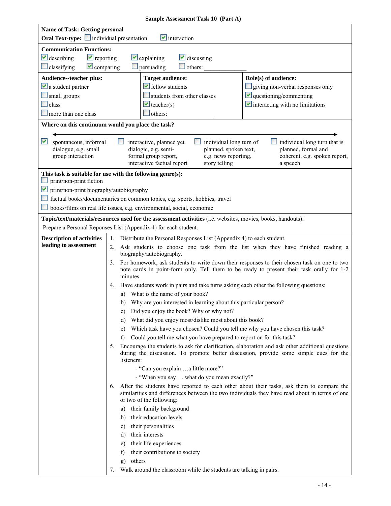| <b>Name of Task: Getting personal</b><br><b>Oral Text-type:</b> individual presentation                                           | $\blacksquare$ interaction                                                                                                                                                                                                                                                                                                                                                                                                                                                                                                                                                                                                                                                                                                                                                                                                                                                                                                                                                                                                                                                                                                                                                                                                                                                                                                                                                                                                                                                                                                                                    |
|-----------------------------------------------------------------------------------------------------------------------------------|---------------------------------------------------------------------------------------------------------------------------------------------------------------------------------------------------------------------------------------------------------------------------------------------------------------------------------------------------------------------------------------------------------------------------------------------------------------------------------------------------------------------------------------------------------------------------------------------------------------------------------------------------------------------------------------------------------------------------------------------------------------------------------------------------------------------------------------------------------------------------------------------------------------------------------------------------------------------------------------------------------------------------------------------------------------------------------------------------------------------------------------------------------------------------------------------------------------------------------------------------------------------------------------------------------------------------------------------------------------------------------------------------------------------------------------------------------------------------------------------------------------------------------------------------------------|
| <b>Communication Functions:</b><br>$\vee$ describing<br>$\blacktriangleright$ reporting<br>$\vee$ comparing<br>$\Box$ classifying | $\vee$ explaining<br>$\vee$ discussing<br>persuading<br>others:                                                                                                                                                                                                                                                                                                                                                                                                                                                                                                                                                                                                                                                                                                                                                                                                                                                                                                                                                                                                                                                                                                                                                                                                                                                                                                                                                                                                                                                                                               |
| Audience--teacher plus:<br>$\vee$ a student partner<br>small groups<br>$\Box$ class<br>$\blacksquare$ more than one class         | Role(s) of audience:<br><b>Target audience:</b><br>$\blacktriangleright$ fellow students<br>giving non-verbal responses only<br>$\vee$ questioning/commenting<br>students from other classes<br>$\blacktriangleright$ interacting with no limitations<br>$\vee$ teacher(s)<br>$\Box$ others:                                                                                                                                                                                                                                                                                                                                                                                                                                                                                                                                                                                                                                                                                                                                                                                                                                                                                                                                                                                                                                                                                                                                                                                                                                                                  |
|                                                                                                                                   | Where on this continuum would you place the task?                                                                                                                                                                                                                                                                                                                                                                                                                                                                                                                                                                                                                                                                                                                                                                                                                                                                                                                                                                                                                                                                                                                                                                                                                                                                                                                                                                                                                                                                                                             |
| M<br>spontaneous, informal<br>dialogue, e.g. small<br>group interaction                                                           | individual long turn of<br>individual long turn that is<br>interactive, planned yet<br>planned, formal and<br>dialogic, e.g. semi-<br>planned, spoken text,<br>coherent, e.g. spoken report,<br>formal group report,<br>e.g. news reporting,<br>interactive factual report<br>story telling<br>a speech                                                                                                                                                                                                                                                                                                                                                                                                                                                                                                                                                                                                                                                                                                                                                                                                                                                                                                                                                                                                                                                                                                                                                                                                                                                       |
| print/non-print fiction<br>$\blacktriangleright$ print/non-print biography/autobiography<br>$\mathcal{H}^{\mathcal{A}}$           | This task is suitable for use with the following genre(s):<br>factual books/documentaries on common topics, e.g. sports, hobbies, travel<br>books/films on real life issues, e.g. environmental, social, economic                                                                                                                                                                                                                                                                                                                                                                                                                                                                                                                                                                                                                                                                                                                                                                                                                                                                                                                                                                                                                                                                                                                                                                                                                                                                                                                                             |
|                                                                                                                                   | Topic/text/materials/resources used for the assessment activities (i.e. websites, movies, books, handouts):                                                                                                                                                                                                                                                                                                                                                                                                                                                                                                                                                                                                                                                                                                                                                                                                                                                                                                                                                                                                                                                                                                                                                                                                                                                                                                                                                                                                                                                   |
|                                                                                                                                   | Prepare a Personal Reponses List (Appendix 4) for each student.                                                                                                                                                                                                                                                                                                                                                                                                                                                                                                                                                                                                                                                                                                                                                                                                                                                                                                                                                                                                                                                                                                                                                                                                                                                                                                                                                                                                                                                                                               |
| <b>Description of activities</b><br>leading to assessment                                                                         | 1. Distribute the Personal Responses List (Appendix 4) to each student.<br>2. Ask students to choose one task from the list when they have finished reading a<br>biography/autobiography.<br>For homework, ask students to write down their responses to their chosen task on one to two<br>3.<br>note cards in point-form only. Tell them to be ready to present their task orally for 1-2<br>minutes.<br>Have students work in pairs and take turns asking each other the following questions:<br>4.<br>What is the name of your book?<br>a)<br>b) Why are you interested in learning about this particular person?<br>Did you enjoy the book? Why or why not?<br>C)<br>What did you enjoy most/dislike most about this book?<br>d)<br>Which task have you chosen? Could you tell me why you have chosen this task?<br>e)<br>Could you tell me what you have prepared to report on for this task?<br>f)<br>Encourage the students to ask for clarification, elaboration and ask other additional questions<br>5.<br>during the discussion. To promote better discussion, provide some simple cues for the<br>listeners:<br>- "Can you explain  a little more?"<br>- "When you say, what do you mean exactly?"<br>6. After the students have reported to each other about their tasks, ask them to compare the<br>similarities and differences between the two individuals they have read about in terms of one<br>or two of the following:<br>their family background<br>a)<br>their education levels<br>b)<br>their personalities<br>C)<br>their interests |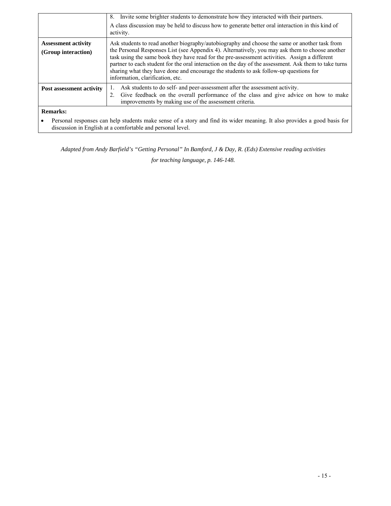|                                                   | 8. Invite some brighter students to demonstrate how they interacted with their partners.<br>A class discussion may be held to discuss how to generate better oral interaction in this kind of<br>activity.                                                                                                                                                                                                                                                                                                                              |
|---------------------------------------------------|-----------------------------------------------------------------------------------------------------------------------------------------------------------------------------------------------------------------------------------------------------------------------------------------------------------------------------------------------------------------------------------------------------------------------------------------------------------------------------------------------------------------------------------------|
| <b>Assessment activity</b><br>(Group interaction) | Ask students to read another biography/autobiography and choose the same or another task from<br>the Personal Responses List (see Appendix 4). Alternatively, you may ask them to choose another<br>task using the same book they have read for the pre-assessment activities. Assign a different<br>partner to each student for the oral interaction on the day of the assessment. Ask them to take turns<br>sharing what they have done and encourage the students to ask follow-up questions for<br>information, clarification, etc. |
| Post assessment activity                          | Ask students to do self- and peer-assessment after the assessment activity.<br>Give feedback on the overall performance of the class and give advice on how to make<br>2.<br>improvements by making use of the assessment criteria.                                                                                                                                                                                                                                                                                                     |
| Remarks:                                          |                                                                                                                                                                                                                                                                                                                                                                                                                                                                                                                                         |

• Personal responses can help students make sense of a story and find its wider meaning. It also provides a good basis for discussion in English at a comfortable and personal level.

*Adapted from Andy Barfield's "Getting Personal" In Bamford, J & Day, R. (Eds) Extensive reading activities* 

*for teaching language, p. 146-148.*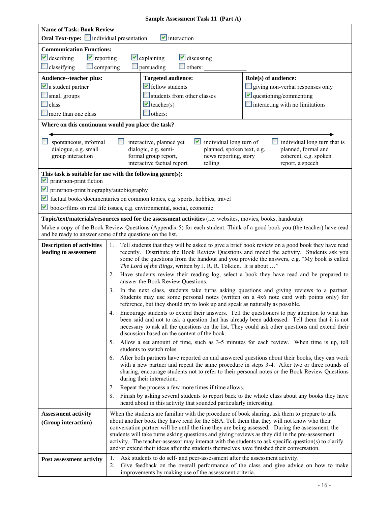| <b>Name of Task: Book Review</b>                                                                            |          |                                                                                                                                                                                                                                                                                                                                                                                                                                                                                                |                                                                                                                                                                                                                                                                                                   |
|-------------------------------------------------------------------------------------------------------------|----------|------------------------------------------------------------------------------------------------------------------------------------------------------------------------------------------------------------------------------------------------------------------------------------------------------------------------------------------------------------------------------------------------------------------------------------------------------------------------------------------------|---------------------------------------------------------------------------------------------------------------------------------------------------------------------------------------------------------------------------------------------------------------------------------------------------|
| Oral Text-type: individual presentation                                                                     |          | $\vee$ interaction                                                                                                                                                                                                                                                                                                                                                                                                                                                                             |                                                                                                                                                                                                                                                                                                   |
|                                                                                                             |          |                                                                                                                                                                                                                                                                                                                                                                                                                                                                                                |                                                                                                                                                                                                                                                                                                   |
| <b>Communication Functions:</b>                                                                             |          |                                                                                                                                                                                                                                                                                                                                                                                                                                                                                                |                                                                                                                                                                                                                                                                                                   |
| $\vee$ describing<br>$\blacktriangleright$ reporting                                                        |          | $\vee$ explaining<br>$\vee$ discussing                                                                                                                                                                                                                                                                                                                                                                                                                                                         |                                                                                                                                                                                                                                                                                                   |
| $\Box$ classifying<br>$\Box$ comparing                                                                      |          | persuading<br>$\Box$ others:                                                                                                                                                                                                                                                                                                                                                                                                                                                                   |                                                                                                                                                                                                                                                                                                   |
| <b>Audience--teacher plus:</b>                                                                              |          | <b>Targeted audience:</b>                                                                                                                                                                                                                                                                                                                                                                                                                                                                      | Role(s) of audience:                                                                                                                                                                                                                                                                              |
| $\vee$ a student partner                                                                                    |          | $\blacktriangleright$ fellow students                                                                                                                                                                                                                                                                                                                                                                                                                                                          | giving non-verbal responses only                                                                                                                                                                                                                                                                  |
| small groups                                                                                                |          | students from other classes                                                                                                                                                                                                                                                                                                                                                                                                                                                                    | $\vee$ questioning/commenting                                                                                                                                                                                                                                                                     |
| $\Box$ class                                                                                                |          | $\blacktriangleright$ teacher(s)                                                                                                                                                                                                                                                                                                                                                                                                                                                               | $\Box$ interacting with no limitations                                                                                                                                                                                                                                                            |
| more than one class                                                                                         |          | $\Box$ others:                                                                                                                                                                                                                                                                                                                                                                                                                                                                                 |                                                                                                                                                                                                                                                                                                   |
| Where on this continuum would you place the task?                                                           |          |                                                                                                                                                                                                                                                                                                                                                                                                                                                                                                |                                                                                                                                                                                                                                                                                                   |
| spontaneous, informal<br>dialogue, e.g. small<br>group interaction                                          |          | interactive, planned yet<br>$\vee$ individual long turn of<br>dialogic, e.g. semi-<br>planned, spoken text, e.g.<br>formal group report,<br>news reporting, story<br>interactive factual report<br>telling                                                                                                                                                                                                                                                                                     | individual long turn that is<br>planned, formal and<br>coherent, e.g. spoken<br>report, a speech                                                                                                                                                                                                  |
| This task is suitable for use with the following genre(s):<br>$\blacktriangleright$ print/non-print fiction |          |                                                                                                                                                                                                                                                                                                                                                                                                                                                                                                |                                                                                                                                                                                                                                                                                                   |
| print/non-print biography/autobiography                                                                     |          |                                                                                                                                                                                                                                                                                                                                                                                                                                                                                                |                                                                                                                                                                                                                                                                                                   |
|                                                                                                             |          | factual books/documentaries on common topics, e.g. sports, hobbies, travel                                                                                                                                                                                                                                                                                                                                                                                                                     |                                                                                                                                                                                                                                                                                                   |
|                                                                                                             |          | $\blacktriangleright$ books/films on real life issues, e.g. environmental, social, economic                                                                                                                                                                                                                                                                                                                                                                                                    |                                                                                                                                                                                                                                                                                                   |
|                                                                                                             |          | Topic/text/materials/resources used for the assessment activities (i.e. websites, movies, books, handouts):                                                                                                                                                                                                                                                                                                                                                                                    |                                                                                                                                                                                                                                                                                                   |
| and be ready to answer some of the questions on the list.                                                   |          |                                                                                                                                                                                                                                                                                                                                                                                                                                                                                                | Make a copy of the Book Review Questions (Appendix 5) for each student. Think of a good book you (the teacher) have read                                                                                                                                                                          |
| <b>Description of activities</b><br>leading to assessment                                                   | 1.       | The Lord of the Rings, written by J. R. R. Tolkien. It is about "                                                                                                                                                                                                                                                                                                                                                                                                                              | Tell students that they will be asked to give a brief book review on a good book they have read<br>recently. Distribute the Book Review Questions and model the activity. Students ask you<br>some of the questions from the handout and you provide the answers, e.g. "My book is called         |
|                                                                                                             | 2.       | answer the Book Review Questions.                                                                                                                                                                                                                                                                                                                                                                                                                                                              | Have students review their reading log, select a book they have read and be prepared to                                                                                                                                                                                                           |
|                                                                                                             | 3.       | reference, but they should try to look up and speak as naturally as possible.                                                                                                                                                                                                                                                                                                                                                                                                                  | In the next class, students take turns asking questions and giving reviews to a partner.<br>Students may use some personal notes (written on a 4x6 note card with points only) for                                                                                                                |
|                                                                                                             | 4.       | discussion based on the content of the book.                                                                                                                                                                                                                                                                                                                                                                                                                                                   | Encourage students to extend their answers. Tell the questioners to pay attention to what has<br>been said and not to ask a question that has already been addressed. Tell them that it is not<br>necessary to ask all the questions on the list. They could ask other questions and extend their |
|                                                                                                             | 5.       | students to switch roles.                                                                                                                                                                                                                                                                                                                                                                                                                                                                      | Allow a set amount of time, such as 3-5 minutes for each review. When time is up, tell                                                                                                                                                                                                            |
|                                                                                                             | 6.       | during their interaction.                                                                                                                                                                                                                                                                                                                                                                                                                                                                      | After both partners have reported on and answered questions about their books, they can work<br>with a new partner and repeat the same procedure in steps 3-4. After two or three rounds of<br>sharing, encourage students not to refer to their personal notes or the Book Review Questions      |
|                                                                                                             | 7.       | Repeat the process a few more times if time allows.                                                                                                                                                                                                                                                                                                                                                                                                                                            |                                                                                                                                                                                                                                                                                                   |
|                                                                                                             | 8.       | heard about in this activity that sounded particularly interesting.                                                                                                                                                                                                                                                                                                                                                                                                                            | Finish by asking several students to report back to the whole class about any books they have                                                                                                                                                                                                     |
| <b>Assessment activity</b><br>(Group interaction)                                                           |          | When the students are familiar with the procedure of book sharing, ask them to prepare to talk<br>about another book they have read for the SBA. Tell them that they will not know who their<br>conversation partner will be until the time they are being assessed. During the assessment, the<br>students will take turns asking questions and giving reviews as they did in the pre-assessment<br>and/or extend their ideas after the students themselves have finished their conversation. | activity. The teacher-assessor may interact with the students to ask specific question(s) to clarify                                                                                                                                                                                              |
| Post assessment activity                                                                                    | 1.<br>2. | Ask students to do self- and peer-assessment after the assessment activity.<br>improvements by making use of the assessment criteria.                                                                                                                                                                                                                                                                                                                                                          | Give feedback on the overall performance of the class and give advice on how to make                                                                                                                                                                                                              |

## **Sample Assessment Task 11 (Part A)**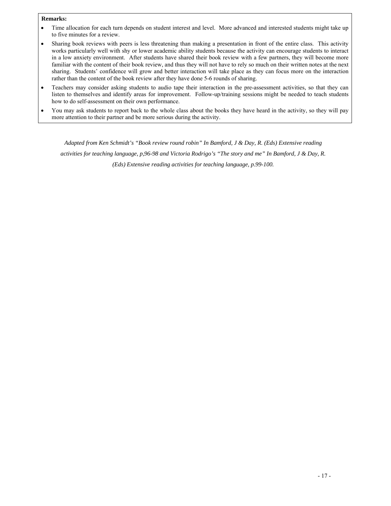#### **Remarks:**

- Time allocation for each turn depends on student interest and level. More advanced and interested students might take up to five minutes for a review.
- works particularly well with shy or lower academic ability students because the activity can encourage students to interact in a low anxiety environment. After students have shared their book review with a few partners, they will become more • Sharing book reviews with peers is less threatening than making a presentation in front of the entire class. This activity familiar with the content of their book review, and thus they will not have to rely so much on their written notes at the next sharing. Students' confidence will grow and better interaction will take place as they can focus more on the interaction rather than the content of the book review after they have done 5-6 rounds of sharing.
- Teachers may consider asking students to audio tape their interaction in the pre-assessment activities, so that they can listen to themselves and identify areas for improvement. Follow-up/training sessions might be needed to teach students how to do self-assessment on their own performance.
- • You may ask students to report back to the whole class about the books they have heard in the activity, so they will pay more attention to their partner and be more serious during the activity.

 *Adapted from Ken Schmidt's "Book review round robin" In Bamford, J & Day, R. (Eds) Extensive reading activities for teaching language, p,96-98 and Victoria Rodrigo's "The story and me" In Bamford, J & Day, R. (Eds) Extensive reading activities for teaching language, p.99-100.*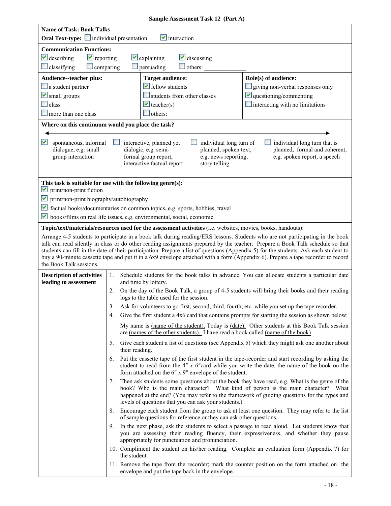| <b>Name of Task: Book Talks</b><br><b>Oral Text-type:</b> individual presentation          |                             | $\blacksquare$ interaction                                                                                                                                                                                                                                                                                                                                                                               |                                                                                               |
|--------------------------------------------------------------------------------------------|-----------------------------|----------------------------------------------------------------------------------------------------------------------------------------------------------------------------------------------------------------------------------------------------------------------------------------------------------------------------------------------------------------------------------------------------------|-----------------------------------------------------------------------------------------------|
| <b>Communication Functions:</b>                                                            |                             |                                                                                                                                                                                                                                                                                                                                                                                                          |                                                                                               |
|                                                                                            |                             |                                                                                                                                                                                                                                                                                                                                                                                                          |                                                                                               |
| $\blacktriangleright$ reporting<br>$\vee$ describing                                       |                             | $\vee$ explaining<br>$\vee$ discussing                                                                                                                                                                                                                                                                                                                                                                   |                                                                                               |
| $\Box$ classifying<br>$\Box$ comparing                                                     |                             | $\Box$ persuading<br>$\Box$ others:                                                                                                                                                                                                                                                                                                                                                                      |                                                                                               |
| Audience--teacher plus:                                                                    |                             | <b>Target audience:</b>                                                                                                                                                                                                                                                                                                                                                                                  | Role(s) of audience:                                                                          |
| a student partner                                                                          |                             | $\blacktriangleright$ fellow students                                                                                                                                                                                                                                                                                                                                                                    | giving non-verbal responses only                                                              |
| $\triangleright$ small groups                                                              |                             | students from other classes                                                                                                                                                                                                                                                                                                                                                                              | $\vee$ questioning/commenting                                                                 |
| $\Box$ class                                                                               |                             | $\vee$ teacher(s)                                                                                                                                                                                                                                                                                                                                                                                        | $\blacksquare$ interacting with no limitations                                                |
| more than one class                                                                        |                             | $\Box$ others:                                                                                                                                                                                                                                                                                                                                                                                           |                                                                                               |
| Where on this continuum would you place the task?                                          |                             |                                                                                                                                                                                                                                                                                                                                                                                                          |                                                                                               |
| M<br>spontaneous, informal<br>dialogue, e.g. small<br>group interaction                    | $\mathcal{L}^{\mathcal{L}}$ | interactive, planned yet<br>individual long turn of<br>planned, spoken text,<br>dialogic, e.g. semi-<br>formal group report,<br>e.g. news reporting,<br>interactive factual report<br>story telling                                                                                                                                                                                                      | individual long turn that is<br>planned, formal and coherent,<br>e.g. spoken report, a speech |
| This task is suitable for use with the following genre(s):<br>print/non-print fiction<br>M |                             |                                                                                                                                                                                                                                                                                                                                                                                                          |                                                                                               |
| print/non-print biography/autobiography<br>Y                                               |                             |                                                                                                                                                                                                                                                                                                                                                                                                          |                                                                                               |
| M                                                                                          |                             | factual books/documentaries on common topics, e.g. sports, hobbies, travel                                                                                                                                                                                                                                                                                                                               |                                                                                               |
| V                                                                                          |                             | books/films on real life issues, e.g. environmental, social, economic                                                                                                                                                                                                                                                                                                                                    |                                                                                               |
|                                                                                            |                             |                                                                                                                                                                                                                                                                                                                                                                                                          |                                                                                               |
|                                                                                            |                             | Topic/text/materials/resources used for the assessment activities (i.e. websites, movies, books, handouts):<br>Arrange 4-5 students to participate in a book talk during reading/ERS lessons. Students who are not participating in the book                                                                                                                                                             |                                                                                               |
| the Book Talk sessions.                                                                    |                             | talk can read silently in class or do other reading assignments prepared by the teacher. Prepare a Book Talk schedule so that<br>students can fill in the date of their participation. Prepare a list of questions (Appendix 5) for the students. Ask each student to<br>buy a 90-minute cassette tape and put it in a 6x9 envelope attached with a form (Appendix 6). Prepare a tape recorder to record |                                                                                               |
| <b>Description of activities</b><br>leading to assessment                                  | 1.                          | Schedule students for the book talks in advance. You can allocate students a particular date<br>and time by lottery.                                                                                                                                                                                                                                                                                     |                                                                                               |
|                                                                                            | 2.                          | On the day of the Book Talk, a group of 4-5 students will bring their books and their reading<br>logs to the table used for the session.                                                                                                                                                                                                                                                                 |                                                                                               |
|                                                                                            | 3.                          | Ask for volunteers to go first, second, third, fourth, etc. while you set up the tape recorder.                                                                                                                                                                                                                                                                                                          |                                                                                               |
|                                                                                            |                             | 4. Give the first student a 4x6 card that contains prompts for starting the session as shown below:                                                                                                                                                                                                                                                                                                      |                                                                                               |
|                                                                                            |                             | My name is (name of the student). Today is (date). Other students at this Book Talk session<br>are (names of the other students). I have read a book called (name of the book)                                                                                                                                                                                                                           |                                                                                               |
|                                                                                            | 5.                          | Give each student a list of questions (see Appendix 5) which they might ask one another about<br>their reading.                                                                                                                                                                                                                                                                                          |                                                                                               |
|                                                                                            | 6.                          | Put the cassette tape of the first student in the tape-recorder and start recording by asking the<br>student to read from the 4" x 6"card while you write the date, the name of the book on the<br>form attached on the 6" x 9" envelope of the student.                                                                                                                                                 |                                                                                               |
|                                                                                            | 7.                          | Then ask students some questions about the book they have read, e.g. What is the genre of the<br>book? Who is the main character? What kind of person is the main character? What<br>happened at the end? (You may refer to the framework of guiding questions for the types and<br>levels of questions that you can ask your students.)                                                                 |                                                                                               |
|                                                                                            | 8.                          | Encourage each student from the group to ask at least one question. They may refer to the list<br>of sample questions for reference or they can ask other questions.                                                                                                                                                                                                                                     |                                                                                               |
|                                                                                            | 9.                          | In the next phase, ask the students to select a passage to read aloud. Let students know that<br>you are assessing their reading fluency, their expressiveness, and whether they pause<br>appropriately for punctuation and pronunciation.                                                                                                                                                               |                                                                                               |
|                                                                                            |                             | 10. Compliment the student on his/her reading. Complete an evaluation form (Appendix 7) for<br>the student.                                                                                                                                                                                                                                                                                              |                                                                                               |
|                                                                                            |                             | 11. Remove the tape from the recorder; mark the counter position on the form attached on the<br>envelope and put the tape back in the envelope.                                                                                                                                                                                                                                                          |                                                                                               |

## **Sample Assessment Task 12 (Part A)**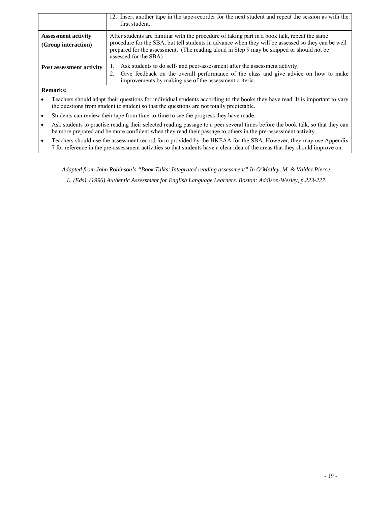|                                                   | 12. Insert another tape in the tape-recorder for the next student and repeat the session as with the<br>first student.                                                                                                                                                                                                    |
|---------------------------------------------------|---------------------------------------------------------------------------------------------------------------------------------------------------------------------------------------------------------------------------------------------------------------------------------------------------------------------------|
| <b>Assessment activity</b><br>(Group interaction) | After students are familiar with the procedure of taking part in a book talk, repeat the same<br>procedure for the SBA, but tell students in advance when they will be assessed so they can be well<br>prepared for the assessment. (The reading aloud in Step 9 may be skipped or should not be<br>assessed for the SBA) |
| Post assessment activity                          | Ask students to do self- and peer-assessment after the assessment activity.<br>2. Give feedback on the overall performance of the class and give advice on how to make<br>improvements by making use of the assessment criteria.                                                                                          |

**Remarks:** 

• Teachers should adapt their questions for individual students according to the books they have read. It is important to vary the questions from student to student so that the questions are not totally predictable.

- Students can review their tape from time-to-time to see the progress they have made.
- • Ask students to practise reading their selected reading passage to a peer several times before the book talk, so that they can be more prepared and be more confident when they read their passage to others in the pre-assessment activity.
- • Teachers should use the assessment record form provided by the HKEAA for the SBA. However, they may use Appendix 7 for reference in the pre-assessment activities so that students have a clear idea of the areas that they should improve on.

 *L. (Eds). (1996) Authentic Assessment for English Language Learners. Boston: Addison-Wesley, p.223-227. Adapted from John Robinson's "Book Talks: Integrated reading assessment" In O'Malley, M. & Valdez Pierce,*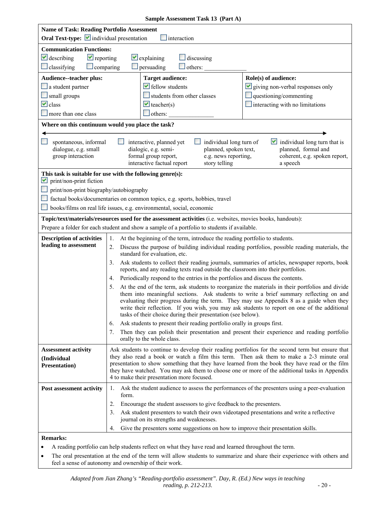|  | Sample Assessment Task 13 (Part A) |  |  |
|--|------------------------------------|--|--|
|--|------------------------------------|--|--|

| <b>Name of Task: Reading Portfolio Assessment</b><br>Oral Text-type: individual presentation<br>Interaction |                                                                                                                                                                                                                                                                                                                                                                                                                                                                                                                                                                                                                                                 |  |
|-------------------------------------------------------------------------------------------------------------|-------------------------------------------------------------------------------------------------------------------------------------------------------------------------------------------------------------------------------------------------------------------------------------------------------------------------------------------------------------------------------------------------------------------------------------------------------------------------------------------------------------------------------------------------------------------------------------------------------------------------------------------------|--|
| <b>Communication Functions:</b>                                                                             |                                                                                                                                                                                                                                                                                                                                                                                                                                                                                                                                                                                                                                                 |  |
| $\vee$ describing<br>$\blacktriangleright$ reporting                                                        | $\vee$ explaining<br>$\Box$ discussing                                                                                                                                                                                                                                                                                                                                                                                                                                                                                                                                                                                                          |  |
| $\Box$ classifying<br>$\Box$ comparing                                                                      | persuading<br>$\Box$ others:                                                                                                                                                                                                                                                                                                                                                                                                                                                                                                                                                                                                                    |  |
| Audience--teacher plus:                                                                                     | Role(s) of audience:<br><b>Target audience:</b>                                                                                                                                                                                                                                                                                                                                                                                                                                                                                                                                                                                                 |  |
| $\Box$ a student partner                                                                                    | $\blacktriangleright$ fellow students<br>$\vee$ giving non-verbal responses only                                                                                                                                                                                                                                                                                                                                                                                                                                                                                                                                                                |  |
| small groups                                                                                                | students from other classes<br>$\Box$ questioning/commenting                                                                                                                                                                                                                                                                                                                                                                                                                                                                                                                                                                                    |  |
| $\vee$ class                                                                                                | $\vee$ teacher(s)<br>$\blacksquare$ interacting with no limitations                                                                                                                                                                                                                                                                                                                                                                                                                                                                                                                                                                             |  |
| more than one class                                                                                         | $\Box$ others:                                                                                                                                                                                                                                                                                                                                                                                                                                                                                                                                                                                                                                  |  |
|                                                                                                             |                                                                                                                                                                                                                                                                                                                                                                                                                                                                                                                                                                                                                                                 |  |
|                                                                                                             | Where on this continuum would you place the task?                                                                                                                                                                                                                                                                                                                                                                                                                                                                                                                                                                                               |  |
| spontaneous, informal<br>dialogue, e.g. small<br>group interaction                                          | individual long turn that is<br>interactive, planned yet<br>individual long turn of<br>dialogic, e.g. semi-<br>planned, spoken text,<br>planned, formal and<br>formal group report,<br>e.g. news reporting,<br>coherent, e.g. spoken report,<br>interactive factual report<br>story telling<br>a speech                                                                                                                                                                                                                                                                                                                                         |  |
| print/non-print fiction<br>M                                                                                | This task is suitable for use with the following genre(s):                                                                                                                                                                                                                                                                                                                                                                                                                                                                                                                                                                                      |  |
| print/non-print biography/autobiography                                                                     |                                                                                                                                                                                                                                                                                                                                                                                                                                                                                                                                                                                                                                                 |  |
|                                                                                                             | factual books/documentaries on common topics, e.g. sports, hobbies, travel                                                                                                                                                                                                                                                                                                                                                                                                                                                                                                                                                                      |  |
|                                                                                                             | books/films on real life issues, e.g. environmental, social, economic                                                                                                                                                                                                                                                                                                                                                                                                                                                                                                                                                                           |  |
|                                                                                                             | Topic/text/materials/resources used for the assessment activities (i.e. websites, movies books, handouts):                                                                                                                                                                                                                                                                                                                                                                                                                                                                                                                                      |  |
|                                                                                                             | Prepare a folder for each student and show a sample of a portfolio to students if available.                                                                                                                                                                                                                                                                                                                                                                                                                                                                                                                                                    |  |
| <b>Description of activities</b><br>leading to assessment                                                   | At the beginning of the term, introduce the reading portfolio to students.<br>1.<br>Discuss the purpose of building individual reading portfolios, possible reading materials, the<br>2.<br>standard for evaluation, etc.                                                                                                                                                                                                                                                                                                                                                                                                                       |  |
|                                                                                                             | Ask students to collect their reading journals, summaries of articles, newspaper reports, book<br>3.<br>reports, and any reading texts read outside the classroom into their portfolios.                                                                                                                                                                                                                                                                                                                                                                                                                                                        |  |
|                                                                                                             | Periodically respond to the entries in the portfolios and discuss the contents.<br>4.                                                                                                                                                                                                                                                                                                                                                                                                                                                                                                                                                           |  |
|                                                                                                             | At the end of the term, ask students to reorganize the materials in their portfolios and divide<br>5.<br>them into meaningful sections. Ask students to write a brief summary reflecting on and<br>evaluating their progress during the term. They may use Appendix 8 as a guide when they<br>write their reflection. If you wish, you may ask students to report on one of the additional<br>tasks of their choice during their presentation (see below).<br>Ask students to present their reading portfolio orally in groups first.<br>6.<br>Then they can polish their presentation and present their experience and reading portfolio<br>7. |  |
|                                                                                                             | orally to the whole class.                                                                                                                                                                                                                                                                                                                                                                                                                                                                                                                                                                                                                      |  |
| <b>Assessment activity</b><br>(Individual<br><b>Presentation</b> )                                          | Ask students to continue to develop their reading portfolios for the second term but ensure that<br>they also read a book or watch a film this term. Then ask them to make a 2-3 minute oral<br>presentation to show something that they have learned from the book they have read or the film<br>they have watched. You may ask them to choose one or more of the additional tasks in Appendix<br>4 to make their presentation more focused.                                                                                                                                                                                                   |  |
| Post assessment activity                                                                                    | Ask the student audience to assess the performances of the presenters using a peer-evaluation<br>1.<br>form.                                                                                                                                                                                                                                                                                                                                                                                                                                                                                                                                    |  |
|                                                                                                             | Encourage the student assessors to give feedback to the presenters.<br>2.                                                                                                                                                                                                                                                                                                                                                                                                                                                                                                                                                                       |  |
|                                                                                                             | Ask student presenters to watch their own videotaped presentations and write a reflective<br>3.<br>journal on its strengths and weaknesses.                                                                                                                                                                                                                                                                                                                                                                                                                                                                                                     |  |
|                                                                                                             | Give the presenters some suggestions on how to improve their presentation skills.<br>4.                                                                                                                                                                                                                                                                                                                                                                                                                                                                                                                                                         |  |
| <b>Remarks:</b>                                                                                             |                                                                                                                                                                                                                                                                                                                                                                                                                                                                                                                                                                                                                                                 |  |

• A reading portfolio can help students reflect on what they have read and learned throughout the term.

 • The oral presentation at the end of the term will allow students to summarize and share their experience with others and feel a sense of autonomy and ownership of their work.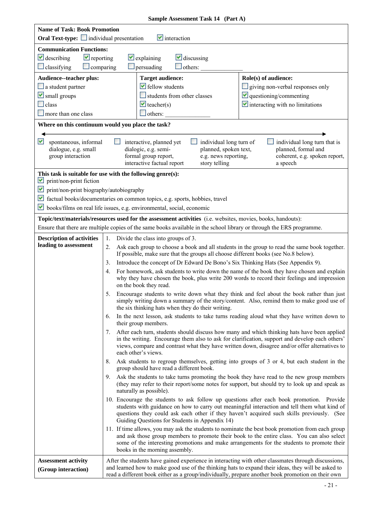| <b>Name of Task: Book Promotion</b>                                      |                                                                                                                                                                                                                                                                                                                                         |
|--------------------------------------------------------------------------|-----------------------------------------------------------------------------------------------------------------------------------------------------------------------------------------------------------------------------------------------------------------------------------------------------------------------------------------|
| <b>Oral Text-type:</b> individual presentation                           | $\blacksquare$ interaction                                                                                                                                                                                                                                                                                                              |
| <b>Communication Functions:</b>                                          |                                                                                                                                                                                                                                                                                                                                         |
| $\vee$ describing<br>$\blacktriangleright$ reporting<br>$\Box$ comparing | $\vee$ explaining<br>$\vee$ discussing<br>$\Box$ others:                                                                                                                                                                                                                                                                                |
| $\Box$ classifying                                                       | $\Box$ persuading                                                                                                                                                                                                                                                                                                                       |
| Audience--teacher plus:                                                  | Role(s) of audience:<br><b>Target audience:</b><br>$\blacktriangleright$ fellow students                                                                                                                                                                                                                                                |
| $\Box$ a student partner<br>$\vee$ small groups                          | giving non-verbal responses only<br>$\vee$ questioning/commenting<br>students from other classes                                                                                                                                                                                                                                        |
| class                                                                    | $\blacktriangleright$ interacting with no limitations<br>$\blacktriangleright$ teacher(s)                                                                                                                                                                                                                                               |
| more than one class                                                      | $\Box$ others:                                                                                                                                                                                                                                                                                                                          |
|                                                                          | Where on this continuum would you place the task?                                                                                                                                                                                                                                                                                       |
|                                                                          |                                                                                                                                                                                                                                                                                                                                         |
| M<br>spontaneous, informal<br>dialogue, e.g. small<br>group interaction  | individual long turn of<br>individual long turn that is<br>interactive, planned yet<br>planned, formal and<br>dialogic, e.g. semi-<br>planned, spoken text,<br>formal group report,<br>e.g. news reporting,<br>coherent, e.g. spoken report,<br>interactive factual report<br>story telling<br>a speech                                 |
| M<br>print/non-print fiction                                             | This task is suitable for use with the following genre(s):                                                                                                                                                                                                                                                                              |
| M<br>print/non-print biography/autobiography                             |                                                                                                                                                                                                                                                                                                                                         |
| M                                                                        | factual books/documentaries on common topics, e.g. sports, hobbies, travel                                                                                                                                                                                                                                                              |
| M                                                                        | books/films on real life issues, e.g. environmental, social, economic                                                                                                                                                                                                                                                                   |
|                                                                          | Topic/text/materials/resources used for the assessment activities (i.e. websites, movies, books, handouts):                                                                                                                                                                                                                             |
|                                                                          | Ensure that there are multiple copies of the same books available in the school library or through the ERS programme.                                                                                                                                                                                                                   |
| <b>Description of activities</b>                                         | Divide the class into groups of 3.<br>1.                                                                                                                                                                                                                                                                                                |
| leading to assessment                                                    | Ask each group to choose a book and all students in the group to read the same book together.<br>2.                                                                                                                                                                                                                                     |
|                                                                          | If possible, make sure that the groups all choose different books (see No.8 below).                                                                                                                                                                                                                                                     |
|                                                                          | Introduce the concept of Dr Edward De Bono's Six Thinking Hats (See Appendix 9).<br>3.<br>For homework, ask students to write down the name of the book they have chosen and explain                                                                                                                                                    |
|                                                                          | 4.<br>why they have chosen the book, plus write 200 words to record their feelings and impression<br>on the book they read.                                                                                                                                                                                                             |
|                                                                          | Encourage students to write down what they think and feel about the book rather than just<br>5.<br>simply writing down a summary of the story/content. Also, remind them to make good use of<br>the six thinking hats when they do their writing.                                                                                       |
|                                                                          | In the next lesson, ask students to take turns reading aloud what they have written down to<br>6.<br>their group members.                                                                                                                                                                                                               |
|                                                                          | After each turn, students should discuss how many and which thinking hats have been applied<br>7.<br>in the writing. Encourage them also to ask for clarification, support and develop each others'<br>views, compare and contrast what they have written down, disagree and/or offer alternatives to<br>each other's views.            |
|                                                                          | Ask students to regroup themselves, getting into groups of 3 or 4, but each student in the<br>8.<br>group should have read a different book.                                                                                                                                                                                            |
|                                                                          | 9.<br>Ask the students to take turns promoting the book they have read to the new group members<br>(they may refer to their report/some notes for support, but should try to look up and speak as<br>naturally as possible).                                                                                                            |
|                                                                          | 10. Encourage the students to ask follow up questions after each book promotion. Provide<br>students with guidance on how to carry out meaningful interaction and tell them what kind of<br>questions they could ask each other if they haven't acquired such skills previously. (See<br>Guiding Questions for Students in Appendix 14) |
|                                                                          | 11. If time allows, you may ask the students to nominate the best book promotion from each group<br>and ask those group members to promote their book to the entire class. You can also select<br>some of the interesting promotions and make arrangements for the students to promote their<br>books in the morning assembly.          |
| <b>Assessment activity</b>                                               | After the students have gained experience in interacting with other classmates through discussions,                                                                                                                                                                                                                                     |
| (Group interaction)                                                      | and learned how to make good use of the thinking hats to expand their ideas, they will be asked to<br>read a different book either as a group/individually, prepare another book promotion on their own                                                                                                                                 |

## **Sample Assessment Task 14 (Part A)**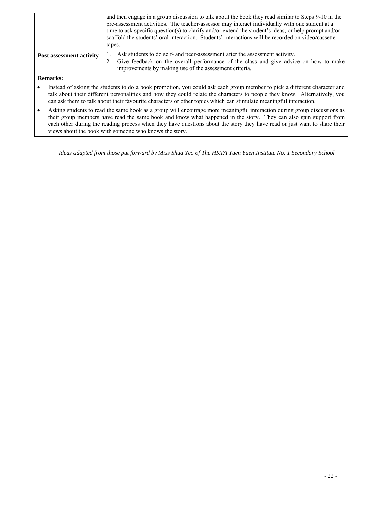|                          | and then engage in a group discussion to talk about the book they read similar to Steps 9-10 in the<br>pre-assessment activities. The teacher-assessor may interact individually with one student at a<br>time to ask specific question(s) to clarify and/or extend the student's ideas, or help prompt and/or<br>scaffold the students' oral interaction. Students' interactions will be recorded on video/cassette<br>tapes. |
|--------------------------|--------------------------------------------------------------------------------------------------------------------------------------------------------------------------------------------------------------------------------------------------------------------------------------------------------------------------------------------------------------------------------------------------------------------------------|
| Post assessment activity | Ask students to do self- and peer-assessment after the assessment activity.<br>2. Give feedback on the overall performance of the class and give advice on how to make<br>improvements by making use of the assessment criteria.                                                                                                                                                                                               |
|                          |                                                                                                                                                                                                                                                                                                                                                                                                                                |

#### **Remarks:**

- • Instead of asking the students to do a book promotion, you could ask each group member to pick a different character and talk about their different personalities and how they could relate the characters to people they know. Alternatively, you can ask them to talk about their favourite characters or other topics which can stimulate meaningful interaction.
- Asking students to read the same book as a group will encourage more meaningful interaction during group discussions as their group members have read the same book and know what happened in the story. They can also gain support from each other during the reading process when they have questions about the story they have read or just want to share their views about the book with someone who knows the story.

*Ideas adapted from those put forward by Miss Shua Yeo of The HKTA Yuen Yuen Institute No. 1 Secondary School*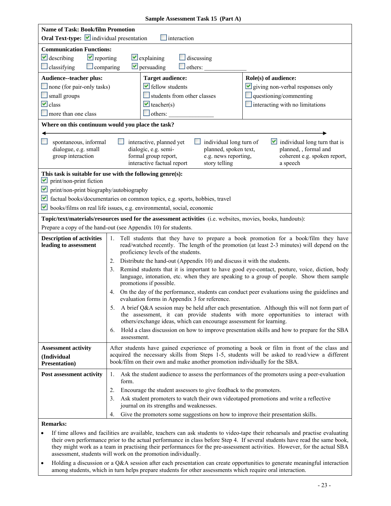| Sample Assessment Task 15 (Part A)                                      |                                                                                                                                                                                                                                                                             |  |  |
|-------------------------------------------------------------------------|-----------------------------------------------------------------------------------------------------------------------------------------------------------------------------------------------------------------------------------------------------------------------------|--|--|
| <b>Name of Task: Book/film Promotion</b>                                |                                                                                                                                                                                                                                                                             |  |  |
|                                                                         | Oral Text-type: individual presentation<br>interaction                                                                                                                                                                                                                      |  |  |
| <b>Communication Functions:</b>                                         |                                                                                                                                                                                                                                                                             |  |  |
| $\vee$ describing<br>$\blacktriangleright$ reporting                    | $\vee$ explaining<br>$\Box$ discussing                                                                                                                                                                                                                                      |  |  |
| classifying<br>$\Box$ comparing                                         | $\vee$ persuading<br>$\Box$ others: $\Box$                                                                                                                                                                                                                                  |  |  |
| Audience--teacher plus:                                                 | Role(s) of audience:<br><b>Target audience:</b>                                                                                                                                                                                                                             |  |  |
| $\Box$ none (for pair-only tasks)                                       | $\blacktriangleright$ fellow students<br>$\vee$ giving non-verbal responses only                                                                                                                                                                                            |  |  |
| small groups                                                            | students from other classes<br>$\Box$ questioning/commenting                                                                                                                                                                                                                |  |  |
| $\vee$ class                                                            | $\blacksquare$ interacting with no limitations<br>$\vee$ teacher(s)                                                                                                                                                                                                         |  |  |
| more than one class                                                     | $\Box$ others:                                                                                                                                                                                                                                                              |  |  |
|                                                                         | Where on this continuum would you place the task?                                                                                                                                                                                                                           |  |  |
| spontaneous, informal                                                   | $\blacksquare$ individual long turn that is<br>interactive, planned yet<br>individual long turn of                                                                                                                                                                          |  |  |
| dialogue, e.g. small                                                    | dialogic, e.g. semi-<br>planned, spoken text,<br>planned, , formal and                                                                                                                                                                                                      |  |  |
| group interaction                                                       | formal group report,<br>e.g. news reporting,<br>coherent e.g. spoken report,                                                                                                                                                                                                |  |  |
|                                                                         | interactive factual report<br>story telling<br>a speech                                                                                                                                                                                                                     |  |  |
|                                                                         | This task is suitable for use with the following genre(s):                                                                                                                                                                                                                  |  |  |
| print/non-print fiction<br>M<br>print/non-print biography/autobiography |                                                                                                                                                                                                                                                                             |  |  |
|                                                                         |                                                                                                                                                                                                                                                                             |  |  |
| M<br>M                                                                  | factual books/documentaries on common topics, e.g. sports, hobbies, travel                                                                                                                                                                                                  |  |  |
|                                                                         | books/films on real life issues, e.g. environmental, social, economic                                                                                                                                                                                                       |  |  |
|                                                                         | Topic/text/materials/resources used for the assessment activities (i.e. websites, movies, books, handouts):                                                                                                                                                                 |  |  |
|                                                                         | Prepare a copy of the hand-out (see Appendix 10) for students.                                                                                                                                                                                                              |  |  |
| <b>Description of activities</b><br>leading to assessment               | Tell students that they have to prepare a book promotion for a book/film they have<br>1.<br>read/watched recently. The length of the promotion (at least 2-3 minutes) will depend on the<br>proficiency levels of the students.                                             |  |  |
|                                                                         | Distribute the hand-out (Appendix 10) and discuss it with the students.<br>2.                                                                                                                                                                                               |  |  |
|                                                                         | Remind students that it is important to have good eye-contact, posture, voice, diction, body<br>3.<br>language, intonation, etc. when they are speaking to a group of people. Show them sample<br>promotions if possible.                                                   |  |  |
|                                                                         | On the day of the performance, students can conduct peer evaluations using the guidelines and<br>4.<br>evaluation forms in Appendix 3 for reference.                                                                                                                        |  |  |
|                                                                         | A brief Q&A session may be held after each presentation. Although this will not form part of<br>5.<br>the assessment, it can provide students with more opportunities to interact with<br>others/exchange ideas, which can encourage assessment for learning.               |  |  |
|                                                                         | Hold a class discussion on how to improve presentation skills and how to prepare for the SBA<br>6.<br>assessment.                                                                                                                                                           |  |  |
| <b>Assessment activity</b><br>(Individual<br><b>Presentation</b> )      | After students have gained experience of promoting a book or film in front of the class and<br>acquired the necessary skills from Steps 1-5, students will be asked to read/view a different<br>book/film on their own and make another promotion individually for the SBA. |  |  |
| Post assessment activity                                                | Ask the student audience to assess the performances of the promoters using a peer-evaluation<br>1.<br>form.                                                                                                                                                                 |  |  |
|                                                                         | 2.<br>Encourage the student assessors to give feedback to the promoters.                                                                                                                                                                                                    |  |  |
|                                                                         | Ask student promoters to watch their own videotaped promotions and write a reflective<br>3.<br>journal on its strengths and weaknesses.                                                                                                                                     |  |  |
|                                                                         | Give the promoters some suggestions on how to improve their presentation skills.<br>4.                                                                                                                                                                                      |  |  |
| <b>Remarks:</b>                                                         |                                                                                                                                                                                                                                                                             |  |  |

- • If time allows and facilities are available, teachers can ask students to video-tape their rehearsals and practise evaluating their own performance prior to the actual performance in class before Step 4. If several students have read the same book, they might work as a team in practising their performances for the pre-assessment activities. However, for the actual SBA assessment, students will work on the promotion individually.
- among students, which in turn helps prepare students for other assessments which require oral interaction. • Holding a discussion or a Q&A session after each presentation can create opportunities to generate meaningful interaction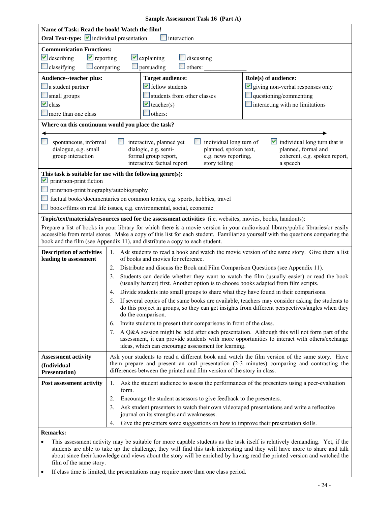|  | Sample Assessment Task 16 (Part A) |  |  |
|--|------------------------------------|--|--|
|--|------------------------------------|--|--|

| Name of Task: Read the book! Watch the film!                                                                                                                                                                                                                                                                                                                                                        |                                                                                                                                                                                                                                                                                                                                                                                                                                                                                                                       |  |  |
|-----------------------------------------------------------------------------------------------------------------------------------------------------------------------------------------------------------------------------------------------------------------------------------------------------------------------------------------------------------------------------------------------------|-----------------------------------------------------------------------------------------------------------------------------------------------------------------------------------------------------------------------------------------------------------------------------------------------------------------------------------------------------------------------------------------------------------------------------------------------------------------------------------------------------------------------|--|--|
| Oral Text-type: individual presentation                                                                                                                                                                                                                                                                                                                                                             | interaction                                                                                                                                                                                                                                                                                                                                                                                                                                                                                                           |  |  |
| <b>Communication Functions:</b><br>$\vee$ describing<br>$\vee$ reporting<br>$\Box$ classifying<br>$\Box$ comparing                                                                                                                                                                                                                                                                                  | $\vee$ explaining<br>discussing<br>$\Box$ persuading<br>others:                                                                                                                                                                                                                                                                                                                                                                                                                                                       |  |  |
| Audience--teacher plus:<br>$\Box$ a student partner<br>$\Box$ small groups<br>$\vee$ class<br>more than one class                                                                                                                                                                                                                                                                                   | Role(s) of audience:<br><b>Target audience:</b><br>$\blacktriangleright$ fellow students<br>$\vee$ giving non-verbal responses only<br>questioning/commenting<br>students from other classes<br>$\blacktriangleright$ teacher(s)<br>$\blacksquare$ interacting with no limitations<br>$\Box$ others:                                                                                                                                                                                                                  |  |  |
|                                                                                                                                                                                                                                                                                                                                                                                                     | Where on this continuum would you place the task?                                                                                                                                                                                                                                                                                                                                                                                                                                                                     |  |  |
| individual long turn of<br>$\blacktriangleright$ individual long turn that is<br>spontaneous, informal<br>interactive, planned yet<br>dialogue, e.g. small<br>dialogic, e.g. semi-<br>planned, spoken text,<br>planned, formal and<br>group interaction<br>formal group report,<br>e.g. news reporting,<br>coherent, e.g. spoken report,<br>interactive factual report<br>story telling<br>a speech |                                                                                                                                                                                                                                                                                                                                                                                                                                                                                                                       |  |  |
| M<br>print/non-print fiction<br>books/films on real life issues, e.g. environmental, social, economic                                                                                                                                                                                                                                                                                               | This task is suitable for use with the following genre(s):<br>print/non-print biography/autobiography<br>factual books/documentaries on common topics, e.g. sports, hobbies, travel                                                                                                                                                                                                                                                                                                                                   |  |  |
|                                                                                                                                                                                                                                                                                                                                                                                                     | Topic/text/materials/resources used for the assessment activities (i.e. websites, movies, books, handouts):                                                                                                                                                                                                                                                                                                                                                                                                           |  |  |
| Prepare a list of books in your library for which there is a movie version in your audiovisual library/public libraries/or easily<br>accessible from rental stores. Make a copy of this list for each student. Familiarize yourself with the questions comparing the<br>book and the film (see Appendix 11), and distribute a copy to each student.                                                 |                                                                                                                                                                                                                                                                                                                                                                                                                                                                                                                       |  |  |
| <b>Description of activities</b><br>leading to assessment                                                                                                                                                                                                                                                                                                                                           | 1. Ask students to read a book and watch the movie version of the same story. Give them a list<br>of books and movies for reference.<br>2. Distribute and discuss the Book and Film Comparison Questions (see Appendix 11).<br>Students can decide whether they want to watch the film (usually easier) or read the book<br>3.<br>(usually harder) first. Another option is to choose books adapted from film scripts.<br>Divide students into small groups to share what they have found in their comparisons.<br>4. |  |  |
|                                                                                                                                                                                                                                                                                                                                                                                                     | 5. If several copies of the same books are available, teachers may consider asking the students to<br>do this project in groups, so they can get insights from different perspectives/angles when they<br>do the comparison.<br>Invite students to present their comparisons in front of the class.<br>6.                                                                                                                                                                                                             |  |  |
|                                                                                                                                                                                                                                                                                                                                                                                                     | A Q&A session might be held after each presentation. Although this will not form part of the<br>7.<br>assessment, it can provide students with more opportunities to interact with others/exchange<br>ideas, which can encourage assessment for learning.                                                                                                                                                                                                                                                             |  |  |
| <b>Assessment activity</b><br>(Individual<br><b>Presentation</b> )                                                                                                                                                                                                                                                                                                                                  | Ask your students to read a different book and watch the film version of the same story. Have<br>them prepare and present an oral presentation (2-3 minutes) comparing and contrasting the<br>differences between the printed and film version of the story in class.                                                                                                                                                                                                                                                 |  |  |
| Post assessment activity                                                                                                                                                                                                                                                                                                                                                                            | Ask the student audience to assess the performances of the presenters using a peer-evaluation<br>1.<br>form.                                                                                                                                                                                                                                                                                                                                                                                                          |  |  |
|                                                                                                                                                                                                                                                                                                                                                                                                     | Encourage the student assessors to give feedback to the presenters.<br>2.<br>Ask student presenters to watch their own videotaped presentations and write a reflective<br>3.<br>journal on its strengths and weaknesses.                                                                                                                                                                                                                                                                                              |  |  |
| <b>Remarks:</b>                                                                                                                                                                                                                                                                                                                                                                                     | Give the presenters some suggestions on how to improve their presentation skills.<br>4.                                                                                                                                                                                                                                                                                                                                                                                                                               |  |  |

- students are able to take up the challenge, they will find this task interesting and they will have more to share and talk film of the same story. • This assessment activity may be suitable for more capable students as the task itself is relatively demanding. Yet, if the about since their knowledge and views about the story will be enriched by having read the printed version and watched the
- If class time is limited, the presentations may require more than one class period.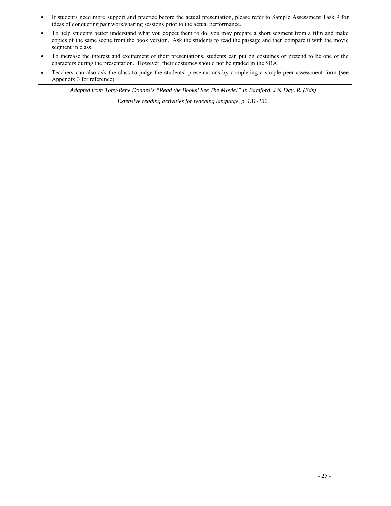- • If students need more support and practice before the actual presentation, please refer to Sample Assessment Task 9 for ideas of conducting pair work/sharing sessions prior to the actual performance.
- • To help students better understand what you expect them to do, you may prepare a short segment from a film and make copies of the same scene from the book version. Ask the students to read the passage and then compare it with the movie segment in class.
- • To increase the interest and excitement of their presentations, students can put on costumes or pretend to be one of the characters during the presentation. However, their costumes should not be graded in the SBA.
- Teachers can also ask the class to judge the students' presentations by completing a simple peer assessment form (see Appendix 3 for reference).

*Adapted from Tony-Rene Donnes's "Read the Books! See The Movie!" In Bamford, J & Day, R. (Eds)* 

*Extensive reading activities for teaching language, p. 131-132.*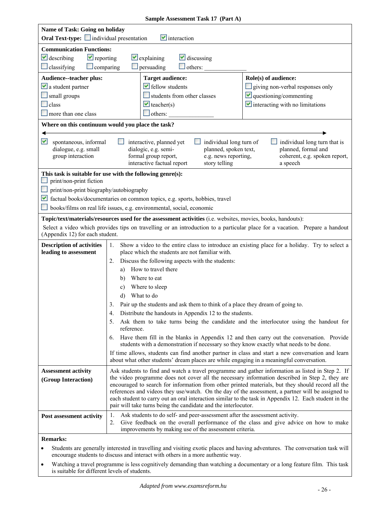|                                                                                                                                                                                                                                                                                                                                                                                                                                                                                                                                       | Sample Assessment Task 17 (Part A)                                                                                                                                                                                                                                                                                                                                                                                                                                                                                                                                                                                                                                                                                                                                                                                                                                                  |  |  |
|---------------------------------------------------------------------------------------------------------------------------------------------------------------------------------------------------------------------------------------------------------------------------------------------------------------------------------------------------------------------------------------------------------------------------------------------------------------------------------------------------------------------------------------|-------------------------------------------------------------------------------------------------------------------------------------------------------------------------------------------------------------------------------------------------------------------------------------------------------------------------------------------------------------------------------------------------------------------------------------------------------------------------------------------------------------------------------------------------------------------------------------------------------------------------------------------------------------------------------------------------------------------------------------------------------------------------------------------------------------------------------------------------------------------------------------|--|--|
| Name of Task: Going on holiday                                                                                                                                                                                                                                                                                                                                                                                                                                                                                                        |                                                                                                                                                                                                                                                                                                                                                                                                                                                                                                                                                                                                                                                                                                                                                                                                                                                                                     |  |  |
| $\vee$ interaction<br><b>Oral Text-type:</b> individual presentation                                                                                                                                                                                                                                                                                                                                                                                                                                                                  |                                                                                                                                                                                                                                                                                                                                                                                                                                                                                                                                                                                                                                                                                                                                                                                                                                                                                     |  |  |
| <b>Communication Functions:</b><br>$\vee$ describing<br>$\blacktriangleright$ reporting<br>$\Box$ classifying<br>$\Box$ comparing                                                                                                                                                                                                                                                                                                                                                                                                     | $\vee$ discussing<br>$\vee$ explaining<br>others:<br>$\Box$ persuading                                                                                                                                                                                                                                                                                                                                                                                                                                                                                                                                                                                                                                                                                                                                                                                                              |  |  |
| Audience--teacher plus:<br>$\vee$ a student partner<br>$\Box$ small groups<br>$\Box$ class<br>more than one class                                                                                                                                                                                                                                                                                                                                                                                                                     | Role(s) of audience:<br><b>Target audience:</b><br>$\blacktriangleright$ fellow students<br>giving non-verbal responses only<br>$\vee$ questioning/commenting<br>students from other classes<br>$\vee$ interacting with no limitations<br>$\blacktriangleright$ teacher(s)<br>others:                                                                                                                                                                                                                                                                                                                                                                                                                                                                                                                                                                                               |  |  |
| M<br>dialogue, e.g. small<br>group interaction                                                                                                                                                                                                                                                                                                                                                                                                                                                                                        | Where on this continuum would you place the task?<br>spontaneous, informal<br>individual long turn that is<br>interactive, planned yet<br>individual long turn of<br>planned, spoken text,<br>planned, formal and<br>dialogic, e.g. semi-<br>formal group report,<br>coherent, e.g. spoken report,<br>e.g. news reporting,<br>interactive factual report<br>story telling<br>a speech                                                                                                                                                                                                                                                                                                                                                                                                                                                                                               |  |  |
| This task is suitable for use with the following genre(s):<br>print/non-print fiction<br>print/non-print biography/autobiography<br>factual books/documentaries on common topics, e.g. sports, hobbies, travel<br>books/films on real life issues, e.g. environmental, social, economic<br>Topic/text/materials/resources used for the assessment activities (i.e. websites, movies, books, handouts):<br>Select a video which provides tips on travelling or an introduction to a particular place for a vacation. Prepare a handout |                                                                                                                                                                                                                                                                                                                                                                                                                                                                                                                                                                                                                                                                                                                                                                                                                                                                                     |  |  |
| <b>Description of activities</b><br>leading to assessment                                                                                                                                                                                                                                                                                                                                                                                                                                                                             | Show a video to the entire class to introduce an existing place for a holiday. Try to select a<br>1.<br>place which the students are not familiar with.<br>Discuss the following aspects with the students:<br>2.<br>How to travel there<br>a)<br>Where to eat<br>b)<br>Where to sleep<br>c)<br>What to do<br>d)<br>3.<br>Pair up the students and ask them to think of a place they dream of going to.<br>Distribute the handouts in Appendix 12 to the students.<br>4.<br>Ask them to take turns being the candidate and the interlocutor using the handout for<br>5.<br>reference.<br>6. Have them fill in the blanks in Appendix 12 and then carry out the conversation. Provide<br>students with a demonstration if necessary so they know exactly what needs to be done.<br>If time allows, students can find another partner in class and start a new conversation and learn |  |  |
| <b>Assessment activity</b><br>(Group Interaction)                                                                                                                                                                                                                                                                                                                                                                                                                                                                                     | Ask students to find and watch a travel programme and gather information as listed in Step 2. If<br>the video programme does not cover all the necessary information described in Step 2, they are<br>encouraged to search for information from other printed materials, but they should record all the<br>references and videos they use/watch. On the day of the assessment, a partner will be assigned to<br>each student to carry out an oral interaction similar to the task in Appendix 12. Each student in the<br>pair will take turns being the candidate and the interlocutor.                                                                                                                                                                                                                                                                                             |  |  |
| Post assessment activity                                                                                                                                                                                                                                                                                                                                                                                                                                                                                                              | 1.<br>Ask students to do self- and peer-assessment after the assessment activity.<br>Give feedback on the overall performance of the class and give advice on how to make<br>2.<br>improvements by making use of the assessment criteria.                                                                                                                                                                                                                                                                                                                                                                                                                                                                                                                                                                                                                                           |  |  |
| <b>Remarks:</b>                                                                                                                                                                                                                                                                                                                                                                                                                                                                                                                       |                                                                                                                                                                                                                                                                                                                                                                                                                                                                                                                                                                                                                                                                                                                                                                                                                                                                                     |  |  |

• Students are generally interested in travelling and visiting exotic places and having adventures. The conversation task will encourage students to discuss and interact with others in a more authentic way.

 • Watching a travel programme is less cognitively demanding than watching a documentary or a long feature film. This task is suitable for different levels of students.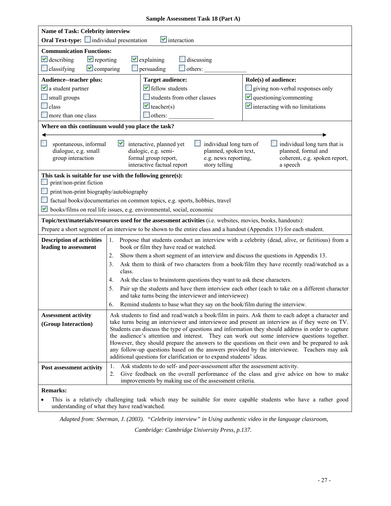| <b>Sample Assessment Task 18 (Part A)</b> |  |  |
|-------------------------------------------|--|--|
|-------------------------------------------|--|--|

|                                                           | Name of Task: Celebrity interview<br>Oral Text-type: individual presentation<br>$\blacksquare$ interaction                                                                                                                                                                                                                                                                                                                                                                                                                                                                  |                                        |  |
|-----------------------------------------------------------|-----------------------------------------------------------------------------------------------------------------------------------------------------------------------------------------------------------------------------------------------------------------------------------------------------------------------------------------------------------------------------------------------------------------------------------------------------------------------------------------------------------------------------------------------------------------------------|----------------------------------------|--|
| <b>Communication Functions:</b>                           |                                                                                                                                                                                                                                                                                                                                                                                                                                                                                                                                                                             |                                        |  |
| $\vee$ describing<br>$\blacktriangleright$ reporting      | $\vee$ explaining<br>$\Box$ discussing                                                                                                                                                                                                                                                                                                                                                                                                                                                                                                                                      |                                        |  |
| $\vee$ comparing<br>$\Box$ classifying                    | $\Box$ persuading<br>others:                                                                                                                                                                                                                                                                                                                                                                                                                                                                                                                                                |                                        |  |
|                                                           |                                                                                                                                                                                                                                                                                                                                                                                                                                                                                                                                                                             |                                        |  |
| Audience--teacher plus:                                   | <b>Target audience:</b>                                                                                                                                                                                                                                                                                                                                                                                                                                                                                                                                                     | Role(s) of audience:                   |  |
| $\vee$ a student partner                                  | $\blacktriangleright$ fellow students                                                                                                                                                                                                                                                                                                                                                                                                                                                                                                                                       | giving non-verbal responses only       |  |
| small groups                                              | students from other classes                                                                                                                                                                                                                                                                                                                                                                                                                                                                                                                                                 | $\vee$ questioning/commenting          |  |
| class                                                     | $\vee$ teacher(s)                                                                                                                                                                                                                                                                                                                                                                                                                                                                                                                                                           | $\vee$ interacting with no limitations |  |
| more than one class                                       | $\Box$ others:                                                                                                                                                                                                                                                                                                                                                                                                                                                                                                                                                              |                                        |  |
|                                                           | Where on this continuum would you place the task?                                                                                                                                                                                                                                                                                                                                                                                                                                                                                                                           |                                        |  |
| dialogue, e.g. small<br>group interaction                 | M<br>spontaneous, informal<br>interactive, planned yet<br>individual long turn of<br>individual long turn that is<br>planned, formal and<br>dialogic, e.g. semi-<br>planned, spoken text,<br>formal group report,<br>e.g. news reporting,<br>coherent, e.g. spoken report,<br>interactive factual report<br>story telling<br>a speech                                                                                                                                                                                                                                       |                                        |  |
| print/non-print fiction                                   | This task is suitable for use with the following genre(s):                                                                                                                                                                                                                                                                                                                                                                                                                                                                                                                  |                                        |  |
| print/non-print biography/autobiography                   |                                                                                                                                                                                                                                                                                                                                                                                                                                                                                                                                                                             |                                        |  |
|                                                           | factual books/documentaries on common topics, e.g. sports, hobbies, travel                                                                                                                                                                                                                                                                                                                                                                                                                                                                                                  |                                        |  |
|                                                           | $\blacktriangleright$ books/films on real life issues, e.g. environmental, social, economic                                                                                                                                                                                                                                                                                                                                                                                                                                                                                 |                                        |  |
|                                                           | Topic/text/materials/resources used for the assessment activities (i.e. websites, movies, books, handouts):                                                                                                                                                                                                                                                                                                                                                                                                                                                                 |                                        |  |
|                                                           | Prepare a short segment of an interview to be shown to the entire class and a handout (Appendix 13) for each student.                                                                                                                                                                                                                                                                                                                                                                                                                                                       |                                        |  |
| <b>Description of activities</b><br>leading to assessment | Propose that students conduct an interview with a celebrity (dead, alive, or fictitious) from a<br>1.<br>book or film they have read or watched.                                                                                                                                                                                                                                                                                                                                                                                                                            |                                        |  |
|                                                           | Show them a short segment of an interview and discuss the questions in Appendix 13.<br>2.                                                                                                                                                                                                                                                                                                                                                                                                                                                                                   |                                        |  |
|                                                           | Ask them to think of two characters from a book/film they have recently read/watched as a<br>3.                                                                                                                                                                                                                                                                                                                                                                                                                                                                             |                                        |  |
|                                                           | class.                                                                                                                                                                                                                                                                                                                                                                                                                                                                                                                                                                      |                                        |  |
|                                                           | Ask the class to brainstorm questions they want to ask these characters.<br>4.                                                                                                                                                                                                                                                                                                                                                                                                                                                                                              |                                        |  |
|                                                           | Pair up the students and have them interview each other (each to take on a different character<br>5.<br>and take turns being the interviewer and interviewee)                                                                                                                                                                                                                                                                                                                                                                                                               |                                        |  |
|                                                           | Remind students to base what they say on the book/film during the interview.<br>6.                                                                                                                                                                                                                                                                                                                                                                                                                                                                                          |                                        |  |
| <b>Assessment activity</b>                                | Ask students to find and read/watch a book/film in pairs. Ask them to each adopt a character and                                                                                                                                                                                                                                                                                                                                                                                                                                                                            |                                        |  |
| (Group Interaction)                                       | take turns being an interviewer and interviewee and present an interview as if they were on TV.<br>Students can discuss the type of questions and information they should address in order to capture<br>the audience's attention and interest. They can work out some interview questions together.<br>However, they should prepare the answers to the questions on their own and be prepared to ask<br>any follow-up questions based on the answers provided by the interviewee. Teachers may ask<br>additional questions for clarification or to expand students' ideas. |                                        |  |
| Post assessment activity                                  | 1.<br>Ask students to do self- and peer-assessment after the assessment activity.<br>Give feedback on the overall performance of the class and give advice on how to make<br>2.<br>improvements by making use of the assessment criteria.                                                                                                                                                                                                                                                                                                                                   |                                        |  |
| <b>Remarks:</b>                                           |                                                                                                                                                                                                                                                                                                                                                                                                                                                                                                                                                                             |                                        |  |
| This is                                                   | relatively challenging took which may be suitable for more canoble students who have a rather good                                                                                                                                                                                                                                                                                                                                                                                                                                                                          |                                        |  |

 • This is a relatively challenging task which may be suitable for more capable students who have a rather good understanding of what they have read/watched.

*Adapted from: Sherman, J. (2003). "Celebrity interview" in Using authentic video in the language classroom,*

*Cambridge: Cambridge University Press, p.137.*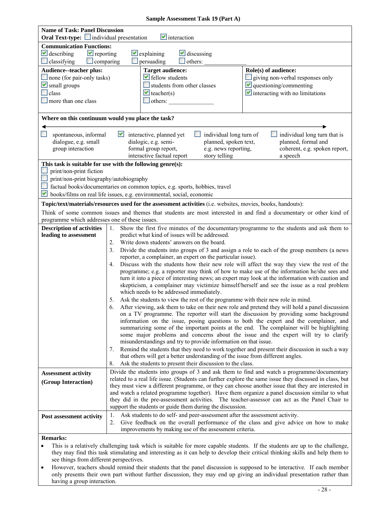#### **Sample Assessment Task 19 (Part A)**

| <b>Name of Task: Panel Discussion</b><br><b>Oral Text-type:</b> individual presentation |                                                                                                                                                                 |  |
|-----------------------------------------------------------------------------------------|-----------------------------------------------------------------------------------------------------------------------------------------------------------------|--|
| <b>Communication Functions:</b>                                                         | $\blacksquare$ interaction                                                                                                                                      |  |
| $\vee$ describing<br>$\blacktriangleright$ reporting                                    | $\vee$ explaining<br>$\vee$ discussing                                                                                                                          |  |
| classifying<br>$\Box$ comparing                                                         | $\Box$ others:<br>persuading                                                                                                                                    |  |
| Audience--teacher plus:                                                                 | <b>Target audience:</b><br>Role(s) of audience:                                                                                                                 |  |
| none (for pair-only tasks)                                                              | $\blacktriangleright$ fellow students<br>giving non-verbal responses only                                                                                       |  |
| $\blacktriangleright$ small groups                                                      | students from other classes<br>$\blacksquare$ questioning/commenting                                                                                            |  |
| class                                                                                   | $\vee$ interacting with no limitations<br>$\vee$ teacher(s)                                                                                                     |  |
| more than one class                                                                     | others:                                                                                                                                                         |  |
|                                                                                         |                                                                                                                                                                 |  |
|                                                                                         | Where on this continuum would you place the task?                                                                                                               |  |
| spontaneous, informal                                                                   | $\blacktriangleright$ interactive, planned yet<br>individual long turn that is<br>individual long turn of                                                       |  |
| dialogue, e.g. small                                                                    | dialogic, e.g. semi-<br>planned, spoken text,<br>planned, formal and                                                                                            |  |
| group interaction                                                                       | formal group report,<br>e.g. news reporting,<br>coherent, e.g. spoken report,                                                                                   |  |
|                                                                                         | interactive factual report<br>story telling<br>a speech                                                                                                         |  |
|                                                                                         | This task is suitable for use with the following genre(s):                                                                                                      |  |
| print/non-print fiction                                                                 |                                                                                                                                                                 |  |
| print/non-print biography/autobiography                                                 |                                                                                                                                                                 |  |
|                                                                                         | factual books/documentaries on common topics, e.g. sports, hobbies, travel                                                                                      |  |
| M                                                                                       | books/films on real life issues, e.g. environmental, social, economic                                                                                           |  |
|                                                                                         | Topic/text/materials/resources used for the assessment activities (i.e. websites, movies, books, handouts):                                                     |  |
| programme which addresses one of these issues.                                          | Think of some common issues and themes that students are most interested in and find a documentary or other kind of                                             |  |
| <b>Description of activities</b>                                                        |                                                                                                                                                                 |  |
| leading to assessment                                                                   | Show the first five minutes of the documentary/programme to the students and ask them to<br>1.<br>predict what kind of issues will be addressed.                |  |
|                                                                                         | Write down students' answers on the board.<br>2.                                                                                                                |  |
|                                                                                         | Divide the students into groups of 3 and assign a role to each of the group members (a news<br>3.                                                               |  |
|                                                                                         | reporter, a complainer, an expert on the particular issue).                                                                                                     |  |
|                                                                                         | Discuss with the students how their new role will affect the way they view the rest of the<br>4.                                                                |  |
|                                                                                         | programme; e.g. a reporter may think of how to make use of the information he/she sees and                                                                      |  |
|                                                                                         | turn it into a piece of interesting news; an expert may look at the information with caution and                                                                |  |
|                                                                                         | skepticism, a complainer may victimize himself/herself and see the issue as a real problem                                                                      |  |
|                                                                                         | which needs to be addressed immediately.<br>Ask the students to view the rest of the programme with their new role in mind.                                     |  |
|                                                                                         | 5.<br>After viewing, ask them to take on their new role and pretend they will hold a panel discussion<br>6.                                                     |  |
|                                                                                         | on a TV programme. The reporter will start the discussion by providing some background                                                                          |  |
|                                                                                         | information on the issue, posing questions to both the expert and the complainer, and                                                                           |  |
|                                                                                         | summarizing some of the important points at the end. The complainer will be highlighting                                                                        |  |
|                                                                                         | some major problems and concerns about the issue and the expert will try to clarify                                                                             |  |
|                                                                                         | misunderstandings and try to provide information on that issue.                                                                                                 |  |
|                                                                                         | Remind the students that they need to work together and present their discussion in such a way<br>7.                                                            |  |
|                                                                                         | that others will get a better understanding of the issue from different angles.                                                                                 |  |
|                                                                                         | Ask the students to present their discussion to the class.<br>8.<br>Divide the students into groups of 3 and ask them to find and watch a programme/documentary |  |
| <b>Assessment activity</b>                                                              | related to a real life issue. (Students can further explore the same issue they discussed in class, but                                                         |  |
| (Group Interaction)                                                                     | they must view a different programme, or they can choose another issue that they are interested in                                                              |  |
|                                                                                         | and watch a related programme together). Have them organize a panel discussion similar to what                                                                  |  |
|                                                                                         | they did in the pre-assessment activities. The teacher-assessor can act as the Panel Chair to                                                                   |  |
|                                                                                         | support the students or guide them during the discussion.                                                                                                       |  |
| Post assessment activity                                                                | 1.<br>Ask students to do self- and peer-assessment after the assessment activity.                                                                               |  |
|                                                                                         | Give feedback on the overall performance of the class and give advice on how to make<br>2.                                                                      |  |
|                                                                                         | improvements by making use of the assessment criteria.                                                                                                          |  |
| <b>Remarks:</b>                                                                         |                                                                                                                                                                 |  |

 see things from different perspectives. This is a relatively challenging task which is suitable for more capable students. If the students are up to the challenge, they may find this task stimulating and interesting as it can help to develop their critical thinking skills and help them to

• However, teachers should remind their students that the panel discussion is supposed to be interactive. If each member only presents their own part without further discussion, they may end up giving an individual presentation rather than having a group interaction.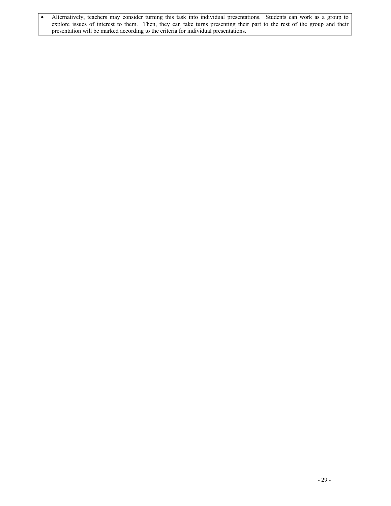• Alternatively, teachers may consider turning this task into individual presentations. Students can work as a group to explore issues of interest to them. Then, they can take turns presenting their part to the rest of the group and their presentation will be marked according to the criteria for individual presentations.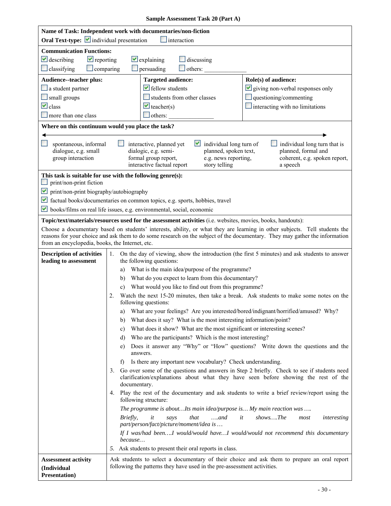**Sample Assessment Task 20 (Part A)** 

| Name of Task: Independent work with documentaries/non-fiction<br>Oral Text-type: <i>v</i> individual presentation<br>interaction  |                                                                                                                                                                                                                                                                                                                                                                                                                                                                                                                                                                                                                                                                                                                                                                                                                                                                                                                                                                                                                                                                                                                                                                                                                                                                                                                                                                                                                                                                                                                                                                                    |  |
|-----------------------------------------------------------------------------------------------------------------------------------|------------------------------------------------------------------------------------------------------------------------------------------------------------------------------------------------------------------------------------------------------------------------------------------------------------------------------------------------------------------------------------------------------------------------------------------------------------------------------------------------------------------------------------------------------------------------------------------------------------------------------------------------------------------------------------------------------------------------------------------------------------------------------------------------------------------------------------------------------------------------------------------------------------------------------------------------------------------------------------------------------------------------------------------------------------------------------------------------------------------------------------------------------------------------------------------------------------------------------------------------------------------------------------------------------------------------------------------------------------------------------------------------------------------------------------------------------------------------------------------------------------------------------------------------------------------------------------|--|
| <b>Communication Functions:</b><br>$\blacktriangleright$ reporting<br>$\vee$ describing<br>$\Box$ classifying<br>$\Box$ comparing | $\vee$ explaining<br>discussing<br>$\Box$ persuading<br>others:                                                                                                                                                                                                                                                                                                                                                                                                                                                                                                                                                                                                                                                                                                                                                                                                                                                                                                                                                                                                                                                                                                                                                                                                                                                                                                                                                                                                                                                                                                                    |  |
| Audience--teacher plus:<br>$\Box$ a student partner<br>$\Box$ small groups<br>$\vee$ class<br>more than one class                 | Role(s) of audience:<br><b>Targeted audience:</b><br>$\blacktriangleright$ fellow students<br>$\vee$ giving non-verbal responses only<br>students from other classes<br>$\Box$ questioning/commenting<br>$\vee$ teacher(s)<br>$\blacksquare$ interacting with no limitations<br>$\Box$ others:                                                                                                                                                                                                                                                                                                                                                                                                                                                                                                                                                                                                                                                                                                                                                                                                                                                                                                                                                                                                                                                                                                                                                                                                                                                                                     |  |
|                                                                                                                                   | Where on this continuum would you place the task?                                                                                                                                                                                                                                                                                                                                                                                                                                                                                                                                                                                                                                                                                                                                                                                                                                                                                                                                                                                                                                                                                                                                                                                                                                                                                                                                                                                                                                                                                                                                  |  |
| spontaneous, informal<br>dialogue, e.g. small<br>group interaction                                                                | individual long turn that is<br>M<br>individual long turn of<br>interactive, planned yet<br>planned, spoken text,<br>planned, formal and<br>dialogic, e.g. semi-<br>formal group report,<br>e.g. news reporting,<br>coherent, e.g. spoken report,<br>interactive factual report<br>story telling<br>a speech                                                                                                                                                                                                                                                                                                                                                                                                                                                                                                                                                                                                                                                                                                                                                                                                                                                                                                                                                                                                                                                                                                                                                                                                                                                                       |  |
| print/non-print fiction<br>print/non-print biography/autobiography<br>M<br>from an encyclopedia, books, the Internet, etc.        | This task is suitable for use with the following genre(s):<br>In factual books/documentaries on common topics, e.g. sports, hobbies, travel<br>books/films on real life issues, e.g. environmental, social, economic<br>Topic/text/materials/resources used for the assessment activities (i.e. websites, movies, books, handouts):<br>Choose a documentary based on students' interests, ability, or what they are learning in other subjects. Tell students the<br>reasons for your choice and ask them to do some research on the subject of the documentary. They may gather the information                                                                                                                                                                                                                                                                                                                                                                                                                                                                                                                                                                                                                                                                                                                                                                                                                                                                                                                                                                                   |  |
| <b>Description of activities</b><br>leading to assessment                                                                         | On the day of viewing, show the introduction (the first 5 minutes) and ask students to answer<br>1.<br>the following questions:<br>What is the main idea/purpose of the programme?<br>a)<br>What do you expect to learn from this documentary?<br>b)<br>What would you like to find out from this programme?<br>c)<br>Watch the next 15-20 minutes, then take a break. Ask students to make some notes on the<br>2.<br>following questions:<br>a) What are your feelings? Are you interested/bored/indignant/horrified/amused? Why?<br>What does it say? What is the most interesting information/point?<br>b)<br>What does it show? What are the most significant or interesting scenes?<br>C)<br>Who are the participants? Which is the most interesting?<br>d)<br>Does it answer any "Why" or "How" questions? Write down the questions and the<br>e)<br>answers.<br>Is there any important new vocabulary? Check understanding.<br>f)<br>Go over some of the questions and answers in Step 2 briefly. Check to see if students need<br>3.<br>clarification/explanations about what they have seen before showing the rest of the<br>documentary.<br>4. Play the rest of the documentary and ask students to write a brief review/report using the<br>following structure:<br>The programme is aboutIts main idea/purpose is My main reaction was<br>Briefly,<br>that<br>$$ and<br>showsThe<br>it<br>it<br>interesting<br>says<br>most<br>part/person/fact/picture/moment/idea is<br>If I was/had beenI would/would haveI would/would not recommend this documentary<br>because |  |
| <b>Assessment activity</b><br>(Individual<br><b>Presentation</b> )                                                                | 5. Ask students to present their oral reports in class.<br>Ask students to select a documentary of their choice and ask them to prepare an oral report<br>following the patterns they have used in the pre-assessment activities.                                                                                                                                                                                                                                                                                                                                                                                                                                                                                                                                                                                                                                                                                                                                                                                                                                                                                                                                                                                                                                                                                                                                                                                                                                                                                                                                                  |  |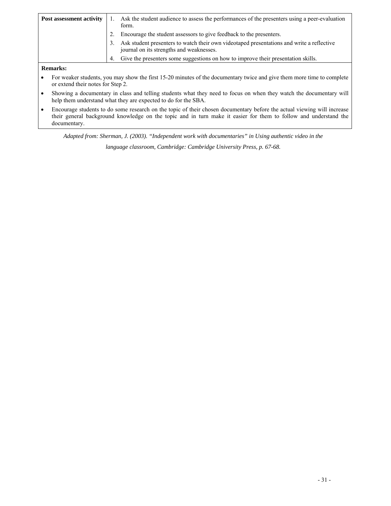| Post assessment activity |    | Ask the student audience to assess the performances of the presenters using a peer-evaluation<br>form.                                |
|--------------------------|----|---------------------------------------------------------------------------------------------------------------------------------------|
|                          |    | Encourage the student assessors to give feedback to the presenters.                                                                   |
|                          | 3. | Ask student presenters to watch their own videotaped presentations and write a reflective<br>journal on its strengths and weaknesses. |
|                          | 4. | Give the presenters some suggestions on how to improve their presentation skills.                                                     |
|                          |    |                                                                                                                                       |

#### **Remarks:**

- For weaker students, you may show the first 15-20 minutes of the documentary twice and give them more time to complete or extend their notes for Step 2.
- Showing a documentary in class and telling students what they need to focus on when they watch the documentary will help them understand what they are expected to do for the SBA.
- their general background knowledge on the topic and in turn make it easier for them to follow and understand the • Encourage students to do some research on the topic of their chosen documentary before the actual viewing will increase documentary.

 *Adapted from: Sherman, J. (2003). "Independent work with documentaries" in Using authentic video in the* 

*language classroom, Cambridge: Cambridge University Press, p. 67-68.*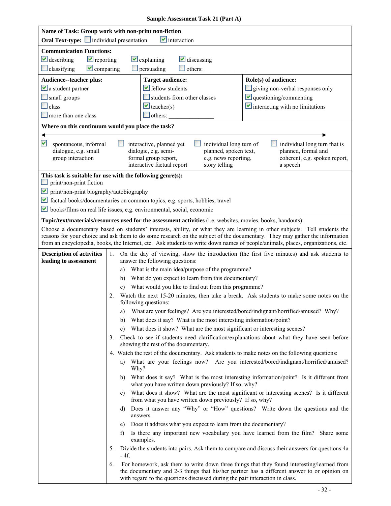|  | Sample Assessment Task 21 (Part A) |  |  |
|--|------------------------------------|--|--|
|--|------------------------------------|--|--|

| Name of Task: Group work with non-print non-fiction<br><b>Oral Text-type:</b> individual presentation<br>$\vee$ interaction       |                                                                                                                                                                                                                                                                                                                                                                                                                                                                                                                                                                                                                                                                                                                                                                                                                                                                                                                                                                                                                                                                                                                                                                                                                                                                                                                                                                                                                                                                                                                                                                                                                                                                                                                                                                                                                                                                                                                                                                                                                                                                  |  |
|-----------------------------------------------------------------------------------------------------------------------------------|------------------------------------------------------------------------------------------------------------------------------------------------------------------------------------------------------------------------------------------------------------------------------------------------------------------------------------------------------------------------------------------------------------------------------------------------------------------------------------------------------------------------------------------------------------------------------------------------------------------------------------------------------------------------------------------------------------------------------------------------------------------------------------------------------------------------------------------------------------------------------------------------------------------------------------------------------------------------------------------------------------------------------------------------------------------------------------------------------------------------------------------------------------------------------------------------------------------------------------------------------------------------------------------------------------------------------------------------------------------------------------------------------------------------------------------------------------------------------------------------------------------------------------------------------------------------------------------------------------------------------------------------------------------------------------------------------------------------------------------------------------------------------------------------------------------------------------------------------------------------------------------------------------------------------------------------------------------------------------------------------------------------------------------------------------------|--|
| <b>Communication Functions:</b><br>$\vee$ describing<br>$\blacktriangleright$ reporting<br>$\Box$ classifying<br>$\vee$ comparing | $\vee$ explaining<br>$\vee$ discussing<br>others:<br>$\Box$ persuading                                                                                                                                                                                                                                                                                                                                                                                                                                                                                                                                                                                                                                                                                                                                                                                                                                                                                                                                                                                                                                                                                                                                                                                                                                                                                                                                                                                                                                                                                                                                                                                                                                                                                                                                                                                                                                                                                                                                                                                           |  |
| Audience--teacher plus:<br>$\vee$ a student partner<br>small groups<br>$\Box$ class<br>$\Box$ more than one class                 | Role(s) of audience:<br><b>Target audience:</b><br>$\blacktriangleright$ fellow students<br>$\Box$ giving non-verbal responses only<br>students from other classes<br>$\vee$ questioning/commenting<br>$\vee$ interacting with no limitations<br>$\vee$ teacher(s)<br>others:                                                                                                                                                                                                                                                                                                                                                                                                                                                                                                                                                                                                                                                                                                                                                                                                                                                                                                                                                                                                                                                                                                                                                                                                                                                                                                                                                                                                                                                                                                                                                                                                                                                                                                                                                                                    |  |
| Where on this continuum would you place the task?                                                                                 |                                                                                                                                                                                                                                                                                                                                                                                                                                                                                                                                                                                                                                                                                                                                                                                                                                                                                                                                                                                                                                                                                                                                                                                                                                                                                                                                                                                                                                                                                                                                                                                                                                                                                                                                                                                                                                                                                                                                                                                                                                                                  |  |
| M<br>spontaneous, informal<br>dialogue, e.g. small<br>group interaction                                                           | individual long turn that is<br>interactive, planned yet<br>individual long turn of<br>planned, formal and<br>dialogic, e.g. semi-<br>planned, spoken text,<br>formal group report,<br>e.g. news reporting,<br>coherent, e.g. spoken report,<br>interactive factual report<br>story telling<br>a speech                                                                                                                                                                                                                                                                                                                                                                                                                                                                                                                                                                                                                                                                                                                                                                                                                                                                                                                                                                                                                                                                                                                                                                                                                                                                                                                                                                                                                                                                                                                                                                                                                                                                                                                                                          |  |
| print/non-print fiction<br>$\blacktriangleright$ print/non-print biography/autobiography                                          | This task is suitable for use with the following genre(s):<br>factual books/documentaries on common topics, e.g. sports, hobbies, travel<br>books/films on real life issues, e.g. environmental, social, economic                                                                                                                                                                                                                                                                                                                                                                                                                                                                                                                                                                                                                                                                                                                                                                                                                                                                                                                                                                                                                                                                                                                                                                                                                                                                                                                                                                                                                                                                                                                                                                                                                                                                                                                                                                                                                                                |  |
|                                                                                                                                   | Topic/text/materials/resources used for the assessment activities (i.e. websites, movies, books, handouts):<br>Choose a documentary based on students' interests, ability, or what they are learning in other subjects. Tell students the<br>reasons for your choice and ask them to do some research on the subject of the documentary. They may gather the information<br>from an encyclopedia, books, the Internet, etc. Ask students to write down names of people/animals, places, organizations, etc.                                                                                                                                                                                                                                                                                                                                                                                                                                                                                                                                                                                                                                                                                                                                                                                                                                                                                                                                                                                                                                                                                                                                                                                                                                                                                                                                                                                                                                                                                                                                                      |  |
| <b>Description of activities</b><br>leading to assessment                                                                         | On the day of viewing, show the introduction (the first five minutes) and ask students to<br>1.<br>answer the following questions:<br>What is the main idea/purpose of the programme?<br>a)<br>What do you expect to learn from this documentary?<br>b)<br>What would you like to find out from this programme?<br>Watch the next 15-20 minutes, then take a break. Ask students to make some notes on the<br>2.<br>following questions:<br>a) What are your feelings? Are you interested/bored/indignant/horrified/amused? Why?<br>What does it say? What is the most interesting information/point?<br>b)<br>What does it show? What are the most significant or interesting scenes?<br>C)<br>Check to see if students need clarification/explanations about what they have seen before<br>3.<br>showing the rest of the documentary.<br>4. Watch the rest of the documentary. Ask students to make notes on the following questions:<br>What are your feelings now? Are you interested/bored/indignant/horrified/amused?<br>a)<br>Why?<br>b) What does it say? What is the most interesting information/point? Is it different from<br>what you have written down previously? If so, why?<br>What does it show? What are the most significant or interesting scenes? Is it different<br>C)<br>from what you have written down previously? If so, why?<br>Does it answer any "Why" or "How" questions? Write down the questions and the<br>d)<br>answers.<br>Does it address what you expect to learn from the documentary?<br>e)<br>Is there any important new vocabulary you have learned from the film? Share some<br>$\ddot{\phantom{1}}$<br>examples.<br>Divide the students into pairs. Ask them to compare and discuss their answers for questions 4a<br>5.<br>- 4f.<br>For homework, ask them to write down three things that they found interesting/learned from<br>6.<br>the documentary and 2-3 things that his/her partner has a different answer to or opinion on<br>with regard to the questions discussed during the pair interaction in class. |  |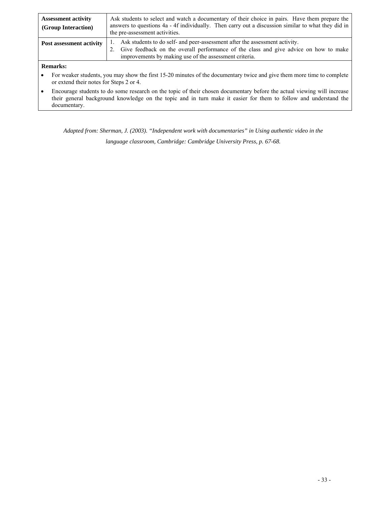| <b>Assessment activity</b><br>(Group Interaction) | Ask students to select and watch a documentary of their choice in pairs. Have them prepare the<br>answers to questions 4a - 4f individually. Then carry out a discussion similar to what they did in<br>the pre-assessment activities. |
|---------------------------------------------------|----------------------------------------------------------------------------------------------------------------------------------------------------------------------------------------------------------------------------------------|
| Post assessment activity                          | Ask students to do self- and peer-assessment after the assessment activity.<br>2. Give feedback on the overall performance of the class and give advice on how to make<br>improvements by making use of the assessment criteria.       |
| Domarka.                                          |                                                                                                                                                                                                                                        |

#### **Remarks:**

- For weaker students, you may show the first 15-20 minutes of the documentary twice and give them more time to complete or extend their notes for Steps 2 or 4.
- their general background knowledge on the topic and in turn make it easier for them to follow and understand the • Encourage students to do some research on the topic of their chosen documentary before the actual viewing will increase documentary.

 *Adapted from: Sherman, J. (2003). "Independent work with documentaries" in Using authentic video in the* 

*language classroom, Cambridge: Cambridge University Press, p. 67-68.*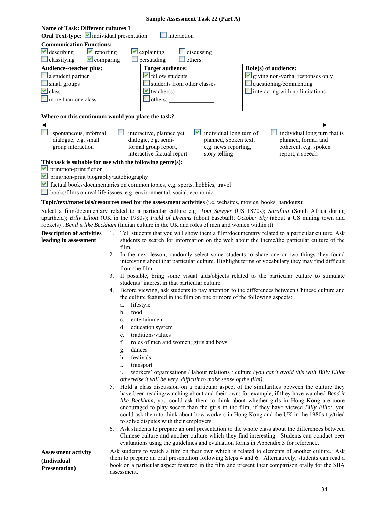| <b>Name of Task: Different cultures 1</b>                                                      |                                                                                                                                                                                             |                                                                                                             |                                                                                                                        |  |  |
|------------------------------------------------------------------------------------------------|---------------------------------------------------------------------------------------------------------------------------------------------------------------------------------------------|-------------------------------------------------------------------------------------------------------------|------------------------------------------------------------------------------------------------------------------------|--|--|
| Oral Text-type: $\blacksquare$ individual presentation                                         |                                                                                                                                                                                             |                                                                                                             |                                                                                                                        |  |  |
| interaction                                                                                    |                                                                                                                                                                                             |                                                                                                             |                                                                                                                        |  |  |
| <b>Communication Functions:</b>                                                                |                                                                                                                                                                                             |                                                                                                             |                                                                                                                        |  |  |
| $\vee$ describing<br>$\blacktriangleright$ reporting<br>$\vee$ explaining<br>$\Box$ discussing |                                                                                                                                                                                             |                                                                                                             |                                                                                                                        |  |  |
| $\vee$ comparing<br>$\Box$ classifying                                                         |                                                                                                                                                                                             | persuading<br>others:                                                                                       |                                                                                                                        |  |  |
| Audience--teacher plus:                                                                        |                                                                                                                                                                                             | <b>Target audience:</b>                                                                                     | Role(s) of audience:                                                                                                   |  |  |
| $\Box$ a student partner                                                                       |                                                                                                                                                                                             | $\blacktriangleright$ fellow students                                                                       | giving non-verbal responses only                                                                                       |  |  |
| small groups                                                                                   |                                                                                                                                                                                             | students from other classes                                                                                 | $\Box$ questioning/commenting                                                                                          |  |  |
| $\vee$ class                                                                                   |                                                                                                                                                                                             | $\blacktriangleright$ teacher(s)                                                                            | $\Box$ interacting with no limitations                                                                                 |  |  |
| more than one class                                                                            |                                                                                                                                                                                             | others:                                                                                                     |                                                                                                                        |  |  |
|                                                                                                |                                                                                                                                                                                             |                                                                                                             |                                                                                                                        |  |  |
|                                                                                                |                                                                                                                                                                                             |                                                                                                             |                                                                                                                        |  |  |
| Where on this continuum would you place the task?                                              |                                                                                                                                                                                             |                                                                                                             |                                                                                                                        |  |  |
|                                                                                                |                                                                                                                                                                                             |                                                                                                             |                                                                                                                        |  |  |
| spontaneous, informal                                                                          |                                                                                                                                                                                             | $\blacksquare$ individual long turn of<br>interactive, planned yet                                          | individual long turn that is                                                                                           |  |  |
| dialogue, e.g. small                                                                           |                                                                                                                                                                                             | dialogic, e.g. semi-<br>planned, spoken text,                                                               | planned, formal and                                                                                                    |  |  |
| group interaction                                                                              |                                                                                                                                                                                             | formal group report,<br>e.g. news reporting,                                                                | coherent, e.g. spoken                                                                                                  |  |  |
|                                                                                                |                                                                                                                                                                                             | interactive factual report<br>story telling                                                                 | report, a speech                                                                                                       |  |  |
| This task is suitable for use with the following genre(s):                                     |                                                                                                                                                                                             |                                                                                                             |                                                                                                                        |  |  |
| M<br>print/non-print fiction                                                                   |                                                                                                                                                                                             |                                                                                                             |                                                                                                                        |  |  |
| $\blacktriangleright$ print/non-print biography/autobiography                                  |                                                                                                                                                                                             |                                                                                                             |                                                                                                                        |  |  |
|                                                                                                |                                                                                                                                                                                             |                                                                                                             |                                                                                                                        |  |  |
|                                                                                                |                                                                                                                                                                                             | factual books/documentaries on common topics, e.g. sports, hobbies, travel                                  |                                                                                                                        |  |  |
|                                                                                                |                                                                                                                                                                                             | books/films on real life issues, e.g. environmental, social, economic                                       |                                                                                                                        |  |  |
|                                                                                                |                                                                                                                                                                                             | Topic/text/materials/resources used for the assessment activities (i.e. websites, movies, books, handouts): |                                                                                                                        |  |  |
|                                                                                                |                                                                                                                                                                                             |                                                                                                             | Select a film/documentary related to a particular culture e.g. Tom Sawyer (US 1870s); Sarafina (South Africa during    |  |  |
|                                                                                                |                                                                                                                                                                                             |                                                                                                             | apartheid); Billy Elliott (UK in the 1980s); Field of Dreams (about baseball); October Sky (about a US mining town and |  |  |
|                                                                                                |                                                                                                                                                                                             | rockets); Bend it like Beckham (Indian culture in the UK and roles of men and women within it)              |                                                                                                                        |  |  |
| <b>Description of activities</b>                                                               | 1.                                                                                                                                                                                          |                                                                                                             | Tell students that you will show them a film/documentary related to a particular culture. Ask                          |  |  |
| leading to assessment                                                                          |                                                                                                                                                                                             |                                                                                                             | students to search for information on the web about the theme/the particular culture of the                            |  |  |
|                                                                                                | film.                                                                                                                                                                                       |                                                                                                             |                                                                                                                        |  |  |
|                                                                                                | 2.                                                                                                                                                                                          |                                                                                                             |                                                                                                                        |  |  |
|                                                                                                | In the next lesson, randomly select some students to share one or two things they found<br>interesting about that particular culture. Highlight terms or vocabulary they may find difficult |                                                                                                             |                                                                                                                        |  |  |
|                                                                                                | from the film.                                                                                                                                                                              |                                                                                                             |                                                                                                                        |  |  |
|                                                                                                | 3.                                                                                                                                                                                          |                                                                                                             | If possible, bring some visual aids/objects related to the particular culture to stimulate                             |  |  |
|                                                                                                |                                                                                                                                                                                             | students' interest in that particular culture.                                                              |                                                                                                                        |  |  |
|                                                                                                | 4.                                                                                                                                                                                          |                                                                                                             | Before viewing, ask students to pay attention to the differences between Chinese culture and                           |  |  |
|                                                                                                |                                                                                                                                                                                             | the culture featured in the film on one or more of the following aspects:                                   |                                                                                                                        |  |  |
|                                                                                                | a. lifestyle                                                                                                                                                                                |                                                                                                             |                                                                                                                        |  |  |
|                                                                                                | $b_{\cdot}$<br>food                                                                                                                                                                         |                                                                                                             |                                                                                                                        |  |  |
|                                                                                                |                                                                                                                                                                                             |                                                                                                             |                                                                                                                        |  |  |
|                                                                                                | c.                                                                                                                                                                                          | entertainment                                                                                               |                                                                                                                        |  |  |
|                                                                                                | d.                                                                                                                                                                                          | education system                                                                                            |                                                                                                                        |  |  |
|                                                                                                | e.                                                                                                                                                                                          | traditions/values                                                                                           |                                                                                                                        |  |  |
|                                                                                                | f.                                                                                                                                                                                          | roles of men and women; girls and boys                                                                      |                                                                                                                        |  |  |
|                                                                                                | dances<br>g.                                                                                                                                                                                |                                                                                                             |                                                                                                                        |  |  |
|                                                                                                | h.                                                                                                                                                                                          | festivals                                                                                                   |                                                                                                                        |  |  |
|                                                                                                | i.                                                                                                                                                                                          | transport                                                                                                   |                                                                                                                        |  |  |
|                                                                                                | $\mathbf{1}$ .                                                                                                                                                                              |                                                                                                             | workers' organisations / labour relations / culture (you can't avoid this with Billy Elliot                            |  |  |
|                                                                                                |                                                                                                                                                                                             | otherwise it will be very difficult to make sense of the film),                                             |                                                                                                                        |  |  |
|                                                                                                | 5.                                                                                                                                                                                          |                                                                                                             | Hold a class discussion on a particular aspect of the similarities between the culture they                            |  |  |
|                                                                                                |                                                                                                                                                                                             |                                                                                                             | have been reading/watching about and their own; for example, if they have watched Bend it                              |  |  |
|                                                                                                |                                                                                                                                                                                             |                                                                                                             | like Beckham, you could ask them to think about whether girls in Hong Kong are more                                    |  |  |
|                                                                                                |                                                                                                                                                                                             |                                                                                                             | encouraged to play soccer than the girls in the film; if they have viewed Billy Elliot, you                            |  |  |
|                                                                                                |                                                                                                                                                                                             |                                                                                                             | could ask them to think about how workers in Hong Kong and the UK in the 1980s try/tried                               |  |  |
|                                                                                                |                                                                                                                                                                                             | to solve disputes with their employers.                                                                     |                                                                                                                        |  |  |
|                                                                                                | 6.                                                                                                                                                                                          |                                                                                                             | Ask students to prepare an oral presentation to the whole class about the differences between                          |  |  |
|                                                                                                |                                                                                                                                                                                             |                                                                                                             | Chinese culture and another culture which they find interesting. Students can conduct peer                             |  |  |
|                                                                                                |                                                                                                                                                                                             | evaluations using the guidelines and evaluation forms in Appendix 3 for reference.                          |                                                                                                                        |  |  |
| <b>Assessment activity</b>                                                                     |                                                                                                                                                                                             |                                                                                                             | Ask students to watch a film on their own which is related to elements of another culture. Ask                         |  |  |
|                                                                                                |                                                                                                                                                                                             |                                                                                                             | them to prepare an oral presentation following Steps 4 and 6. Alternatively, students can read a                       |  |  |
| (Individual                                                                                    |                                                                                                                                                                                             |                                                                                                             | book on a particular aspect featured in the film and present their comparison orally for the SBA                       |  |  |
| <b>Presentation</b> )                                                                          | assessment.                                                                                                                                                                                 |                                                                                                             |                                                                                                                        |  |  |

## **Sample Assessment Task 22 (Part A)**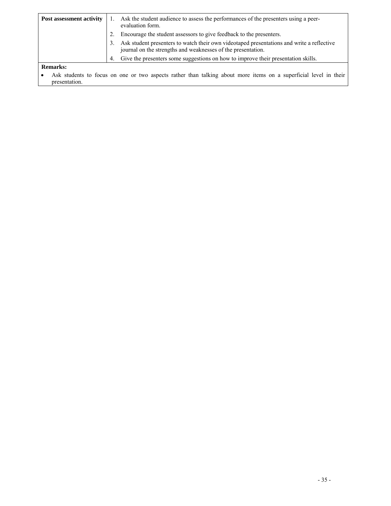| Ask the student audience to assess the performances of the presenters using a peer-<br>Post assessment activity<br>evaluation form. |    |                                                                                                                  |  |  |
|-------------------------------------------------------------------------------------------------------------------------------------|----|------------------------------------------------------------------------------------------------------------------|--|--|
| Encourage the student assessors to give feedback to the presenters.                                                                 |    |                                                                                                                  |  |  |
| 3.<br>journal on the strengths and weaknesses of the presentation.                                                                  |    | Ask student presenters to watch their own videotaped presentations and write a reflective                        |  |  |
|                                                                                                                                     | 4. | Give the presenters some suggestions on how to improve their presentation skills.                                |  |  |
| <b>Remarks:</b>                                                                                                                     |    |                                                                                                                  |  |  |
|                                                                                                                                     |    | Ack students to focus on one or two genects rather than talking about more items on a superficial level in their |  |  |

Ask students to focus on one or two aspects rather than talking about more items on a superficial level in their presentation.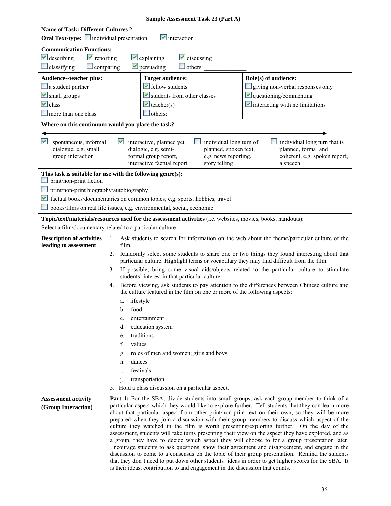| <b>Name of Task: Different Cultures 2</b><br><b>Oral Text-type:</b> individual presentation    | $\vee$ interaction                                                                                                                                                                                                                                                                                                                                                                                                                                                                                                                                                                                                                                                                                                                                                                                                                                                                                                                                                                                                                                                                                     |  |  |  |
|------------------------------------------------------------------------------------------------|--------------------------------------------------------------------------------------------------------------------------------------------------------------------------------------------------------------------------------------------------------------------------------------------------------------------------------------------------------------------------------------------------------------------------------------------------------------------------------------------------------------------------------------------------------------------------------------------------------------------------------------------------------------------------------------------------------------------------------------------------------------------------------------------------------------------------------------------------------------------------------------------------------------------------------------------------------------------------------------------------------------------------------------------------------------------------------------------------------|--|--|--|
| <b>Communication Functions:</b>                                                                |                                                                                                                                                                                                                                                                                                                                                                                                                                                                                                                                                                                                                                                                                                                                                                                                                                                                                                                                                                                                                                                                                                        |  |  |  |
| $\vee$ describing<br>$\blacktriangleright$ reporting<br>$\vee$ explaining<br>$\vee$ discussing |                                                                                                                                                                                                                                                                                                                                                                                                                                                                                                                                                                                                                                                                                                                                                                                                                                                                                                                                                                                                                                                                                                        |  |  |  |
| $\triangleright$ persuading<br>$\Box$ classifying<br>$\Box$ others:<br>$\Box$ comparing        |                                                                                                                                                                                                                                                                                                                                                                                                                                                                                                                                                                                                                                                                                                                                                                                                                                                                                                                                                                                                                                                                                                        |  |  |  |
| Audience--teacher plus:                                                                        | Role(s) of audience:<br><b>Target audience:</b>                                                                                                                                                                                                                                                                                                                                                                                                                                                                                                                                                                                                                                                                                                                                                                                                                                                                                                                                                                                                                                                        |  |  |  |
| $\Box$ a student partner                                                                       | $\blacktriangleright$ fellow students<br>giving non-verbal responses only                                                                                                                                                                                                                                                                                                                                                                                                                                                                                                                                                                                                                                                                                                                                                                                                                                                                                                                                                                                                                              |  |  |  |
| $\triangleright$ small groups                                                                  | $\vee$ questioning/commenting<br>$\blacktriangleright$ students from other classes                                                                                                                                                                                                                                                                                                                                                                                                                                                                                                                                                                                                                                                                                                                                                                                                                                                                                                                                                                                                                     |  |  |  |
| $\vee$ class                                                                                   | $\vee$ interacting with no limitations<br>$\blacktriangleright$ teacher(s)                                                                                                                                                                                                                                                                                                                                                                                                                                                                                                                                                                                                                                                                                                                                                                                                                                                                                                                                                                                                                             |  |  |  |
| more than one class                                                                            | $\Box$ others:                                                                                                                                                                                                                                                                                                                                                                                                                                                                                                                                                                                                                                                                                                                                                                                                                                                                                                                                                                                                                                                                                         |  |  |  |
|                                                                                                | Where on this continuum would you place the task?                                                                                                                                                                                                                                                                                                                                                                                                                                                                                                                                                                                                                                                                                                                                                                                                                                                                                                                                                                                                                                                      |  |  |  |
| M<br>spontaneous, informal<br>dialogue, e.g. small<br>group interaction                        | M<br>individual long turn of<br>individual long turn that is<br>interactive, planned yet<br>planned, formal and<br>dialogic, e.g. semi-<br>planned, spoken text,<br>e.g. news reporting,<br>formal group report,<br>coherent, e.g. spoken report,<br>interactive factual report<br>story telling<br>a speech                                                                                                                                                                                                                                                                                                                                                                                                                                                                                                                                                                                                                                                                                                                                                                                           |  |  |  |
|                                                                                                | This task is suitable for use with the following genre(s):                                                                                                                                                                                                                                                                                                                                                                                                                                                                                                                                                                                                                                                                                                                                                                                                                                                                                                                                                                                                                                             |  |  |  |
| print/non-print fiction                                                                        |                                                                                                                                                                                                                                                                                                                                                                                                                                                                                                                                                                                                                                                                                                                                                                                                                                                                                                                                                                                                                                                                                                        |  |  |  |
| print/non-print biography/autobiography                                                        |                                                                                                                                                                                                                                                                                                                                                                                                                                                                                                                                                                                                                                                                                                                                                                                                                                                                                                                                                                                                                                                                                                        |  |  |  |
|                                                                                                | factual books/documentaries on common topics, e.g. sports, hobbies, travel<br>books/films on real life issues, e.g. environmental, social, economic                                                                                                                                                                                                                                                                                                                                                                                                                                                                                                                                                                                                                                                                                                                                                                                                                                                                                                                                                    |  |  |  |
|                                                                                                |                                                                                                                                                                                                                                                                                                                                                                                                                                                                                                                                                                                                                                                                                                                                                                                                                                                                                                                                                                                                                                                                                                        |  |  |  |
|                                                                                                | Topic/text/materials/resources used for the assessment activities (i.e. websites, movies, books, handouts):<br>Select a film/documentary related to a particular culture                                                                                                                                                                                                                                                                                                                                                                                                                                                                                                                                                                                                                                                                                                                                                                                                                                                                                                                               |  |  |  |
| <b>Description of activities</b>                                                               | Ask students to search for information on the web about the theme/particular culture of the<br>1.                                                                                                                                                                                                                                                                                                                                                                                                                                                                                                                                                                                                                                                                                                                                                                                                                                                                                                                                                                                                      |  |  |  |
| leading to assessment                                                                          | film.                                                                                                                                                                                                                                                                                                                                                                                                                                                                                                                                                                                                                                                                                                                                                                                                                                                                                                                                                                                                                                                                                                  |  |  |  |
|                                                                                                | Randomly select some students to share one or two things they found interesting about that<br>2.<br>particular culture. Highlight terms or vocabulary they may find difficult from the film.                                                                                                                                                                                                                                                                                                                                                                                                                                                                                                                                                                                                                                                                                                                                                                                                                                                                                                           |  |  |  |
|                                                                                                | If possible, bring some visual aids/objects related to the particular culture to stimulate<br>3.<br>students' interest in that particular culture                                                                                                                                                                                                                                                                                                                                                                                                                                                                                                                                                                                                                                                                                                                                                                                                                                                                                                                                                      |  |  |  |
|                                                                                                | Before viewing, ask students to pay attention to the differences between Chinese culture and<br>4.<br>the culture featured in the film on one or more of the following aspects:                                                                                                                                                                                                                                                                                                                                                                                                                                                                                                                                                                                                                                                                                                                                                                                                                                                                                                                        |  |  |  |
|                                                                                                | a. lifestyle                                                                                                                                                                                                                                                                                                                                                                                                                                                                                                                                                                                                                                                                                                                                                                                                                                                                                                                                                                                                                                                                                           |  |  |  |
|                                                                                                | b. food                                                                                                                                                                                                                                                                                                                                                                                                                                                                                                                                                                                                                                                                                                                                                                                                                                                                                                                                                                                                                                                                                                |  |  |  |
|                                                                                                | entertainment<br>c.                                                                                                                                                                                                                                                                                                                                                                                                                                                                                                                                                                                                                                                                                                                                                                                                                                                                                                                                                                                                                                                                                    |  |  |  |
|                                                                                                | education system<br>d.                                                                                                                                                                                                                                                                                                                                                                                                                                                                                                                                                                                                                                                                                                                                                                                                                                                                                                                                                                                                                                                                                 |  |  |  |
|                                                                                                | traditions<br>e.                                                                                                                                                                                                                                                                                                                                                                                                                                                                                                                                                                                                                                                                                                                                                                                                                                                                                                                                                                                                                                                                                       |  |  |  |
|                                                                                                | f.<br>values                                                                                                                                                                                                                                                                                                                                                                                                                                                                                                                                                                                                                                                                                                                                                                                                                                                                                                                                                                                                                                                                                           |  |  |  |
|                                                                                                | roles of men and women; girls and boys<br>g.                                                                                                                                                                                                                                                                                                                                                                                                                                                                                                                                                                                                                                                                                                                                                                                                                                                                                                                                                                                                                                                           |  |  |  |
|                                                                                                | dances<br>h.                                                                                                                                                                                                                                                                                                                                                                                                                                                                                                                                                                                                                                                                                                                                                                                                                                                                                                                                                                                                                                                                                           |  |  |  |
|                                                                                                | festivals<br>i.                                                                                                                                                                                                                                                                                                                                                                                                                                                                                                                                                                                                                                                                                                                                                                                                                                                                                                                                                                                                                                                                                        |  |  |  |
|                                                                                                | j.<br>transportation                                                                                                                                                                                                                                                                                                                                                                                                                                                                                                                                                                                                                                                                                                                                                                                                                                                                                                                                                                                                                                                                                   |  |  |  |
|                                                                                                | 5. Hold a class discussion on a particular aspect.                                                                                                                                                                                                                                                                                                                                                                                                                                                                                                                                                                                                                                                                                                                                                                                                                                                                                                                                                                                                                                                     |  |  |  |
| <b>Assessment activity</b><br>(Group Interaction)                                              | Part 1: For the SBA, divide students into small groups, ask each group member to think of a<br>particular aspect which they would like to explore further. Tell students that they can learn more<br>about that particular aspect from other print/non-print text on their own, so they will be more<br>prepared when they join a discussion with their group members to discuss which aspect of the<br>culture they watched in the film is worth presenting/exploring further. On the day of the<br>assessment, students will take turns presenting their view on the aspect they have explored, and as<br>a group, they have to decide which aspect they will choose to for a group presentation later.<br>Encourage students to ask questions, show their agreement and disagreement, and engage in the<br>discussion to come to a consensus on the topic of their group presentation. Remind the students<br>that they don't need to put down other students' ideas in order to get higher scores for the SBA. It<br>is their ideas, contribution to and engagement in the discussion that counts. |  |  |  |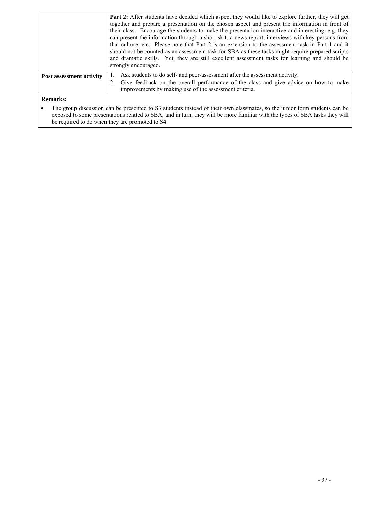|                          | Part 2: After students have decided which aspect they would like to explore further, they will get<br>together and prepare a presentation on the chosen aspect and present the information in front of<br>their class. Encourage the students to make the presentation interactive and interesting, e.g. they<br>can present the information through a short skit, a news report, interviews with key persons from<br>that culture, etc. Please note that Part 2 is an extension to the assessment task in Part 1 and it<br>should not be counted as an assessment task for SBA as these tasks might require prepared scripts<br>and dramatic skills. Yet, they are still excellent assessment tasks for learning and should be<br>strongly encouraged. |
|--------------------------|---------------------------------------------------------------------------------------------------------------------------------------------------------------------------------------------------------------------------------------------------------------------------------------------------------------------------------------------------------------------------------------------------------------------------------------------------------------------------------------------------------------------------------------------------------------------------------------------------------------------------------------------------------------------------------------------------------------------------------------------------------|
| Post assessment activity | 1. Ask students to do self- and peer-assessment after the assessment activity.<br>2. Give feedback on the overall performance of the class and give advice on how to make<br>improvements by making use of the assessment criteria.                                                                                                                                                                                                                                                                                                                                                                                                                                                                                                                     |

### **Remarks:**

• The group discussion can be presented to S3 students instead of their own classmates, so the junior form students can be exposed to some presentations related to SBA, and in turn, they will be more familiar with the types of SBA tasks they will be required to do when they are promoted to S4.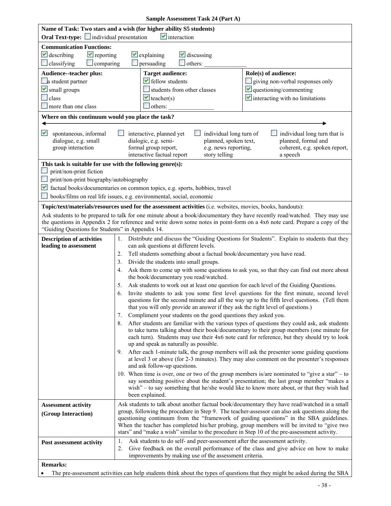| <b>Oral Text-type:</b> individual presentation                          | Name of Task: Two stars and a wish (for higher ability S5 students)<br>$\blacktriangleright$ interaction                                                                                                                                                                                                 |  |  |  |
|-------------------------------------------------------------------------|----------------------------------------------------------------------------------------------------------------------------------------------------------------------------------------------------------------------------------------------------------------------------------------------------------|--|--|--|
| <b>Communication Functions:</b>                                         |                                                                                                                                                                                                                                                                                                          |  |  |  |
| $\vee$ describing<br>$\blacktriangleright$ reporting                    | $\blacktriangleright$ discussing<br>$\vee$ explaining                                                                                                                                                                                                                                                    |  |  |  |
| $\Box$ classifying<br>$\Box$ comparing                                  | persuading<br>$\Box$ others:                                                                                                                                                                                                                                                                             |  |  |  |
| Audience--teacher plus:                                                 | <b>Target audience:</b><br>Role(s) of audience:                                                                                                                                                                                                                                                          |  |  |  |
| a student partner                                                       | $\blacktriangleright$ fellow students<br>giving non-verbal responses only                                                                                                                                                                                                                                |  |  |  |
| Small groups                                                            | students from other classes                                                                                                                                                                                                                                                                              |  |  |  |
| $\Box$ class                                                            | $\vee$ questioning/commenting<br>$\blacktriangleright$ teacher(s)<br>$\vee$ interacting with no limitations                                                                                                                                                                                              |  |  |  |
| more than one class                                                     | $\Box$ others:                                                                                                                                                                                                                                                                                           |  |  |  |
| Where on this continuum would you place the task?                       |                                                                                                                                                                                                                                                                                                          |  |  |  |
|                                                                         |                                                                                                                                                                                                                                                                                                          |  |  |  |
| M<br>spontaneous, informal<br>dialogue, e.g. small<br>group interaction | individual long turn that is<br>interactive, planned yet<br>individual long turn of<br>planned, formal and<br>dialogic, e.g. semi-<br>planned, spoken text,<br>formal group report,<br>e.g. news reporting,<br>coherent, e.g. spoken report,<br>interactive factual report<br>story telling<br>a speech  |  |  |  |
| This task is suitable for use with the following genre(s):              |                                                                                                                                                                                                                                                                                                          |  |  |  |
| $\Box$ print/non-print fiction                                          |                                                                                                                                                                                                                                                                                                          |  |  |  |
| print/non-print biography/autobiography                                 |                                                                                                                                                                                                                                                                                                          |  |  |  |
| M                                                                       | factual books/documentaries on common topics, e.g. sports, hobbies, travel                                                                                                                                                                                                                               |  |  |  |
|                                                                         | books/films on real life issues, e.g. environmental, social, economic                                                                                                                                                                                                                                    |  |  |  |
|                                                                         | Topic/text/materials/resources used for the assessment activities (i.e. websites, movies, books, handouts):                                                                                                                                                                                              |  |  |  |
| "Guiding Questions for Students" in Appendix 14.                        | Ask students to be prepared to talk for one minute about a book/documentary they have recently read/watched. They may use<br>the questions in Appendix 2 for reference and write down some notes in point-form on a 4x6 note card. Prepare a copy of the                                                 |  |  |  |
| <b>Description of activities</b><br>leading to assessment               | Distribute and discuss the "Guiding Questions for Students". Explain to students that they<br>1.<br>can ask questions at different levels.                                                                                                                                                               |  |  |  |
|                                                                         | Tell students something about a factual book/documentary you have read.<br>2.                                                                                                                                                                                                                            |  |  |  |
|                                                                         | Divide the students into small groups.<br>3.                                                                                                                                                                                                                                                             |  |  |  |
|                                                                         | Ask them to come up with some questions to ask you, so that they can find out more about<br>4.<br>the book/documentary you read/watched.                                                                                                                                                                 |  |  |  |
|                                                                         | Ask students to work out at least one question for each level of the Guiding Questions.<br>5.                                                                                                                                                                                                            |  |  |  |
|                                                                         | Invite students to ask you some first level questions for the first minute, second level<br>6.<br>questions for the second minute and all the way up to the fifth level questions. (Tell them<br>that you will only provide an answer if they ask the right level of questions.)                         |  |  |  |
|                                                                         | 7.<br>Compliment your students on the good questions they asked you.                                                                                                                                                                                                                                     |  |  |  |
|                                                                         | After students are familiar with the various types of questions they could ask, ask students<br>8.                                                                                                                                                                                                       |  |  |  |
|                                                                         | to take turns talking about their book/documentary to their group members (one minute for<br>each turn). Students may use their 4x6 note card for reference, but they should try to look<br>up and speak as naturally as possible.                                                                       |  |  |  |
|                                                                         | After each 1-minute talk, the group members will ask the presenter some guiding questions<br>9.<br>at level 3 or above (for 2-3 minutes). They may also comment on the presenter's responses<br>and ask follow-up questions.                                                                             |  |  |  |
|                                                                         | 10. When time is over, one or two of the group members is/are nominated to "give a star" – to<br>say something positive about the student's presentation; the last group member "makes a<br>wish" – to say something that he/she would like to know more about, or that they wish had<br>been explained. |  |  |  |
| <b>Assessment activity</b>                                              | Ask students to talk about another factual book/documentary they have read/watched in a small                                                                                                                                                                                                            |  |  |  |
| (Group Interaction)                                                     | group, following the procedure in Step 9. The teacher-assessor can also ask questions along the                                                                                                                                                                                                          |  |  |  |
|                                                                         | questioning continuum from the "framework of guiding questions" in the SBA guidelines.                                                                                                                                                                                                                   |  |  |  |
|                                                                         | When the teacher has completed his/her probing, group members will be invited to "give two<br>stars" and "make a wish" similar to the procedure in Step 10 of the pre-assessment activity.                                                                                                               |  |  |  |
|                                                                         | Ask students to do self- and peer-assessment after the assessment activity.                                                                                                                                                                                                                              |  |  |  |
| Post assessment activity                                                | 1.<br>Give feedback on the overall performance of the class and give advice on how to make<br>2.                                                                                                                                                                                                         |  |  |  |
|                                                                         | improvements by making use of the assessment criteria.                                                                                                                                                                                                                                                   |  |  |  |
|                                                                         |                                                                                                                                                                                                                                                                                                          |  |  |  |

- 38 -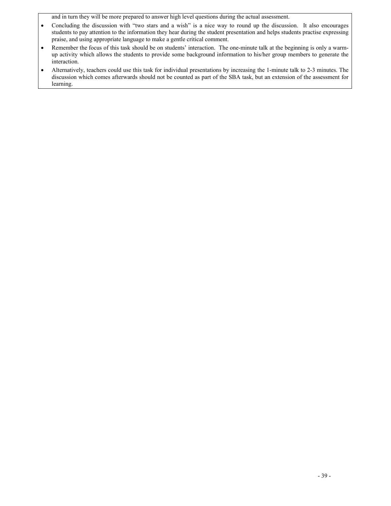and in turn they will be more prepared to answer high level questions during the actual assessment.

- students to pay attention to the information they hear during the student presentation and helps students practise expressing • Concluding the discussion with "two stars and a wish" is a nice way to round up the discussion. It also encourages praise, and using appropriate language to make a gentle critical comment.
- Remember the focus of this task should be on students' interaction. The one-minute talk at the beginning is only a warmup activity which allows the students to provide some background information to his/her group members to generate the interaction.
- • Alternatively, teachers could use this task for individual presentations by increasing the 1-minute talk to 2-3 minutes. The discussion which comes afterwards should not be counted as part of the SBA task, but an extension of the assessment for learning.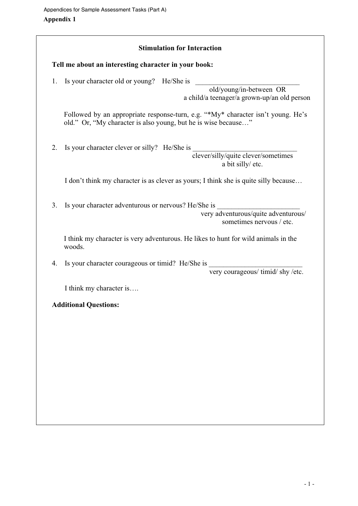|    | Tell me about an interesting character in your book:                                                                                               |
|----|----------------------------------------------------------------------------------------------------------------------------------------------------|
| 1. | Is your character old or young? He/She is<br>old/young/in-between OR<br>a child/a teenager/a grown-up/an old person                                |
|    | Followed by an appropriate response-turn, e.g. "*My* character isn't young. He's<br>old." Or, "My character is also young, but he is wise because" |
| 2. | Is your character clever or silly? He/She is                                                                                                       |
|    | clever/silly/quite clever/sometimes<br>a bit silly/ etc.                                                                                           |
|    | I don't think my character is as clever as yours; I think she is quite silly because                                                               |
| 3. | Is your character adventurous or nervous? He/She is                                                                                                |
|    | very adventurous/quite adventurous/<br>sometimes nervous / etc.                                                                                    |
|    | I think my character is very adventurous. He likes to hunt for wild animals in the<br>woods.                                                       |
| 4. | Is your character courageous or timid? He/She is                                                                                                   |
|    | very courageous/ timid/ shy/etc.                                                                                                                   |
|    | I think my character is                                                                                                                            |
|    | <b>Additional Questions:</b>                                                                                                                       |
|    |                                                                                                                                                    |
|    |                                                                                                                                                    |
|    |                                                                                                                                                    |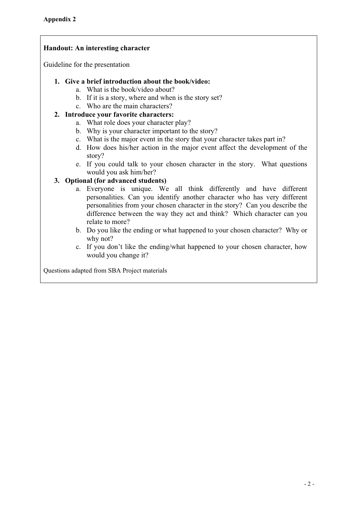## **Handout: An interesting character**

Guideline for the presentation

### **1. Give a brief introduction about the book/video:**

- a. What is the book/video about?
- b. If it is a story, where and when is the story set?
- c. Who are the main characters?

## **2. Introduce your favorite characters:**

- a. What role does your character play?
- b. Why is your character important to the story?
- c. What is the major event in the story that your character takes part in?
- d. How does his/her action in the major event affect the development of the story?
- e. If you could talk to your chosen character in the story. What questions would you ask him/her?

## **3. Optional (for advanced students)**

- a. Everyone is unique. We all think differently and have different personalities. Can you identify another character who has very different personalities from your chosen character in the story? Can you describe the difference between the way they act and think? Which character can you relate to more?
- why not? b. Do you like the ending or what happened to your chosen character? Why or
- c. If you don't like the ending/what happened to your chosen character, how would you change it?

Questions adapted from SBA Project materials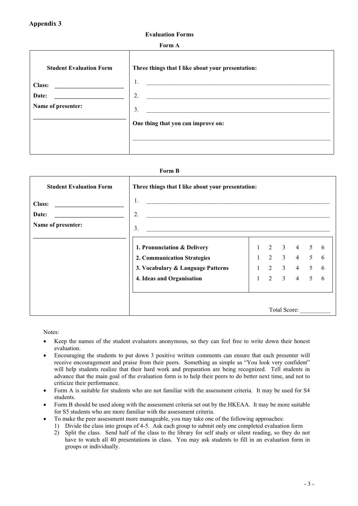#### **Evaluation Forms**

#### **Form A**

| <b>Student Evaluation Form</b><br><b>Class:</b><br>Date: | Three things that I like about your presentation:<br>1.<br>2. |
|----------------------------------------------------------|---------------------------------------------------------------|
|                                                          |                                                               |
| Name of presenter:                                       | 3.<br>One thing that you can improve on:                      |

#### **Form B**

| <b>Student Evaluation Form</b>                                                      | Three things that I like about your presentation:                                                                                                                                                                                                                                                                              |  |                                                                            |                |                  |
|-------------------------------------------------------------------------------------|--------------------------------------------------------------------------------------------------------------------------------------------------------------------------------------------------------------------------------------------------------------------------------------------------------------------------------|--|----------------------------------------------------------------------------|----------------|------------------|
| Class:<br>Date:<br><u> 1980 - Andrea Andrew Maria Barat (</u><br>Name of presenter: | 1.<br><u> 2000 - 2000 - 2000 - 2000 - 2000 - 2000 - 2000 - 2000 - 2000 - 2000 - 2000 - 2000 - 2000 - 2000 - 2000 - 200</u><br>2.<br><u> 1980 - Andrea Station, amerikansk politik (d. 1980)</u><br>3.<br><u> 1989 - Johann Stoff, deutscher Stoff, der Stoff, der Stoff, der Stoff, der Stoff, der Stoff, der Stoff, der S</u> |  |                                                                            |                |                  |
|                                                                                     | 1. Pronunciation & Delivery<br>2. Communication Strategies<br>3. Vocabulary & Language Patterns<br>4. Ideas and Organisation                                                                                                                                                                                                   |  | $1 \t2 \t3 \t4$<br>$1 \t2 \t3 \t4 \t5$<br>$1 \t2 \t3 \t4 \t5$<br>1 2 3 4 5 | 5 <sup>5</sup> | 6<br>6<br>6<br>6 |
|                                                                                     |                                                                                                                                                                                                                                                                                                                                |  |                                                                            |                | Total Score:     |

Notes:

- Keep the names of the student evaluators anonymous, so they can feel free to write down their honest evaluation.
- Encouraging the students to put down 3 positive written comments can ensure that each presenter will receive encouragement and praise from their peers. Something as simple as "You look very confident" will help students realize that their hard work and preparation are being recognized. Tell students in advance that the main goal of the evaluation form is to help their peers to do better next time, and not to criticize their performance.
- Form A is suitable for students who are not familiar with the assessment criteria. It may be used for S4 students.
- Form B should be used along with the assessment criteria set out by the HKEAA. It may be more suitable for S5 students who are more familiar with the assessment criteria.
	- To make the peer assessment more manageable, you may take one of the following approaches:
	- 1) Divide the class into groups of 4-5. Ask each group to submit only one completed evaluation form
	- 2) Split the class. Send half of the class to the library for self study or silent reading, so they do not have to watch all 40 presentations in class. You may ask students to fill in an evaluation form in groups or individually.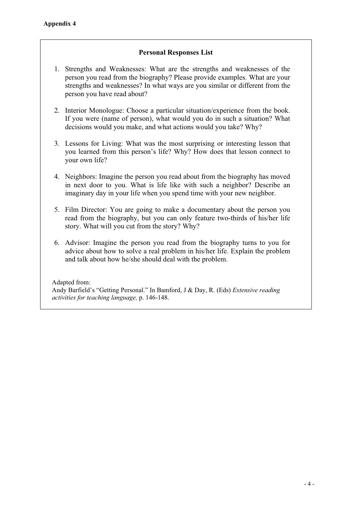## **Personal Responses List**

- person you have read about? 1. Strengths and Weaknesses: What are the strengths and weaknesses of the person you read from the biography? Please provide examples. What are your strengths and weaknesses? In what ways are you similar or different from the
- decisions would you make, and what actions would you take? Why? 2. Interior Monologue: Choose a particular situation/experience from the book. If you were (name of person), what would you do in such a situation? What
- 3. Lessons for Living: What was the most surprising or interesting lesson that you learned from this person's life? Why? How does that lesson connect to your own life?
- 4. Neighbors: Imagine the person you read about from the biography has moved in next door to you. What is life like with such a neighbor? Describe an imaginary day in your life when you spend time with your new neighbor.
- 5. Film Director: You are going to make a documentary about the person you read from the biography, but you can only feature two-thirds of his/her life story. What will you cut from the story? Why?
- 6. Advisor: Imagine the person you read from the biography turns to you for advice about how to solve a real problem in his/her life. Explain the problem and talk about how he/she should deal with the problem.

Adapted from: Andy Barfield's "Getting Personal." In Bamford, J & Day, R. (Eds) *Extensive reading activities for teaching language,* p. 146-148.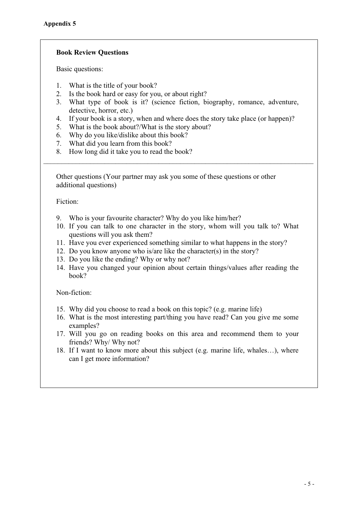## **Book Review Questions**

Basic questions:

- 1. What is the title of your book?
- 2. Is the book hard or easy for you, or about right?
- 3. What type of book is it? (science fiction, biography, romance, adventure, detective, horror, etc.)
- 4. If your book is a story, when and where does the story take place (or happen)?

\_\_\_\_\_\_\_\_\_\_\_\_\_\_\_\_\_\_\_\_\_\_\_\_\_\_\_\_\_\_\_\_\_\_\_\_\_\_\_\_\_\_\_\_\_\_\_\_\_\_\_\_\_\_\_\_\_\_\_\_\_\_\_\_\_\_\_\_\_\_\_\_\_\_\_

- 5. What is the book about?/What is the story about?
- 6. Why do you like/dislike about this book?
- 7. What did you learn from this book?
- 8. How long did it take you to read the book?

Other questions (Your partner may ask you some of these questions or other additional questions)

Fiction:

- 9. Who is your favourite character? Why do you like him/her?
- 10. If you can talk to one character in the story, whom will you talk to? What questions will you ask them?
- 11. Have you ever experienced something similar to what happens in the story?
- 12. Do you know anyone who is/are like the character(s) in the story?
- 13. Do you like the ending? Why or why not?
- 14. Have you changed your opinion about certain things/values after reading the book?

Non-fiction:

- 15. Why did you choose to read a book on this topic? (e.g. marine life)
- 16. What is the most interesting part/thing you have read? Can you give me some examples?
- 17. Will you go on reading books on this area and recommend them to your friends? Why/ Why not?
- 18. If I want to know more about this subject (e.g. marine life, whales…), where can I get more information?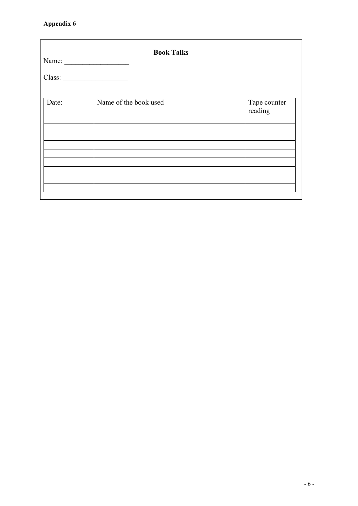## **Appendix 6**

|       | <b>Book Talks</b><br>Name: |                         |
|-------|----------------------------|-------------------------|
|       | Class:                     |                         |
|       |                            |                         |
| Date: | Name of the book used      | Tape counter<br>reading |
|       |                            |                         |
|       |                            |                         |
|       |                            |                         |
|       |                            |                         |
|       |                            |                         |
|       |                            |                         |
|       |                            |                         |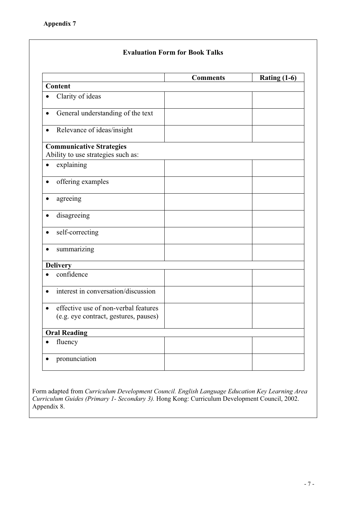# **Comments Rating (1-6) Content**   $\bullet$  Clarity of ideas • General understanding of the text  $\bullet$  Relevance of ideas/insight **Communicative Strategies**  Ability to use strategies such as:  $\bullet$  explaining  $\bullet$  offering examples • agreeing  $\bullet$  disagreeing  $\bullet$  self-correcting  $\bullet$  summarizing **Delivery**   $\bullet$  confidence  $\bullet$  interest in conversation/discussion  $\bullet$  effective use of non-verbal features (e.g. eye contract, gestures, pauses) **Oral Reading**   $\bullet$  fluency  $\bullet$  pronunciation

**Evaluation Form for Book Talks** 

Form adapted from *Curriculum Development Council. English Language Education Key Learning Area Curriculum Guides (Primary 1- Secondary 3).* Hong Kong: Curriculum Development Council, 2002. Appendix 8.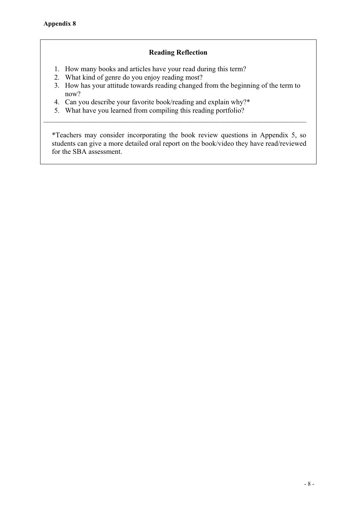## **Reading Reflection**

- 1. How many books and articles have your read during this term?
- 2. What kind of genre do you enjoy reading most?
- 3. How has your attitude towards reading changed from the beginning of the term to now?

\_\_\_\_\_\_\_\_\_\_\_\_\_\_\_\_\_\_\_\_\_\_\_\_\_\_\_\_\_\_\_\_\_\_\_\_\_\_\_\_\_\_\_\_\_\_\_\_\_\_\_\_\_\_\_\_\_\_\_\_\_\_\_\_\_\_\_\_\_\_\_\_\_

- 4. Can you describe your favorite book/reading and explain why?\*
- 5. What have you learned from compiling this reading portfolio?

\*Teachers may consider incorporating the book review questions in Appendix 5, so students can give a more detailed oral report on the book/video they have read/reviewed for the SBA assessment.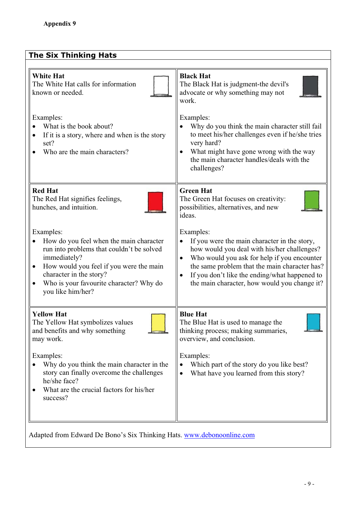| <b>The Six Thinking Hats</b>                                                                                                                                                                                                                                         |                                                                                                                                                                                                                                                                                                                        |
|----------------------------------------------------------------------------------------------------------------------------------------------------------------------------------------------------------------------------------------------------------------------|------------------------------------------------------------------------------------------------------------------------------------------------------------------------------------------------------------------------------------------------------------------------------------------------------------------------|
| <b>White Hat</b><br>The White Hat calls for information<br>known or needed.<br>Examples:                                                                                                                                                                             | <b>Black Hat</b><br>The Black Hat is judgment-the devil's<br>advocate or why something may not<br>work.<br>Examples:                                                                                                                                                                                                   |
| What is the book about?<br>If it is a story, where and when is the story<br>$\bullet$<br>set?<br>Who are the main characters?                                                                                                                                        | Why do you think the main character still fail<br>to meet his/her challenges even if he/she tries<br>very hard?<br>What might have gone wrong with the way<br>the main character handles/deals with the<br>challenges?                                                                                                 |
| <b>Red Hat</b><br>The Red Hat signifies feelings,<br>hunches, and intuition.                                                                                                                                                                                         | <b>Green Hat</b><br>The Green Hat focuses on creativity:<br>possibilities, alternatives, and new<br>ideas.                                                                                                                                                                                                             |
| Examples:<br>How do you feel when the main character<br>run into problems that couldn't be solved<br>immediately?<br>How would you feel if you were the main<br>character in the story?<br>Who is your favourite character? Why do<br>$\bullet$<br>you like him/her? | Examples:<br>If you were the main character in the story,<br>how would you deal with his/her challenges?<br>Who would you ask for help if you encounter<br>$\bullet$<br>the same problem that the main character has?<br>If you don't like the ending/what happened to<br>the main character, how would you change it? |
| <b>Yellow Hat</b><br>The Yellow Hat symbolizes values<br>and benefits and why something<br>may work.                                                                                                                                                                 | <b>Blue Hat</b><br>The Blue Hat is used to manage the<br>thinking process; making summaries,<br>overview, and conclusion.                                                                                                                                                                                              |
| Examples:<br>Why do you think the main character in the<br>story can finally overcome the challenges<br>he/she face?<br>What are the crucial factors for his/her<br>success?                                                                                         | Examples:<br>Which part of the story do you like best?<br>What have you learned from this story?                                                                                                                                                                                                                       |
|                                                                                                                                                                                                                                                                      |                                                                                                                                                                                                                                                                                                                        |

Adapted from Edward De Bono's Six Thinking Hats. www.debonoonline.com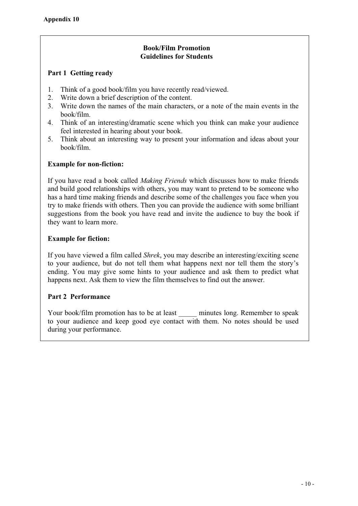## **Book/Film Promotion Guidelines for Students**

## **Part 1 Getting ready**

- 1. Think of a good book/film you have recently read/viewed.
- 2. Write down a brief description of the content.
- 3. Write down the names of the main characters, or a note of the main events in the book/film.
- 4. Think of an interesting/dramatic scene which you think can make your audience feel interested in hearing about your book.
- 5. Think about an interesting way to present your information and ideas about your book/film.

## **Example for non-fiction:**

If you have read a book called *Making Friends* which discusses how to make friends and build good relationships with others, you may want to pretend to be someone who has a hard time making friends and describe some of the challenges you face when you try to make friends with others. Then you can provide the audience with some brilliant suggestions from the book you have read and invite the audience to buy the book if they want to learn more.

## **Example for fiction:**

If you have viewed a film called *Shrek*, you may describe an interesting/exciting scene to your audience, but do not tell them what happens next nor tell them the story's ending. You may give some hints to your audience and ask them to predict what happens next. Ask them to view the film themselves to find out the answer.

## **Part 2 Performance**

Your book/film promotion has to be at least \_\_\_\_\_\_ minutes long. Remember to speak to your audience and keep good eye contact with them. No notes should be used during your performance.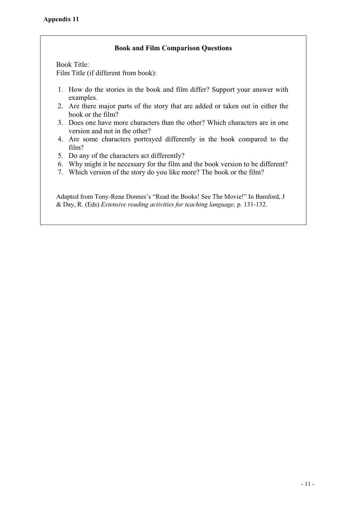## **Book and Film Comparison Questions**

Book Title: Film Title (if different from book):

- 1. How do the stories in the book and film differ? Support your answer with examples.
- 2. Are there major parts of the story that are added or taken out in either the book or the film?
- 3. Does one have more characters than the other? Which characters are in one version and not in the other?
- 4. Are some characters portrayed differently in the book compared to the film?
- 5. Do any of the characters act differently?
- 6. Why might it be necessary for the film and the book version to be different?
- 7. Which version of the story do you like more? The book or the film?

Adapted from Tony-Rene Donnes's "Read the Books! See The Movie!" In Bamford, J & Day, R. (Eds) *Extensive reading activities for teaching language,* p. 131-132.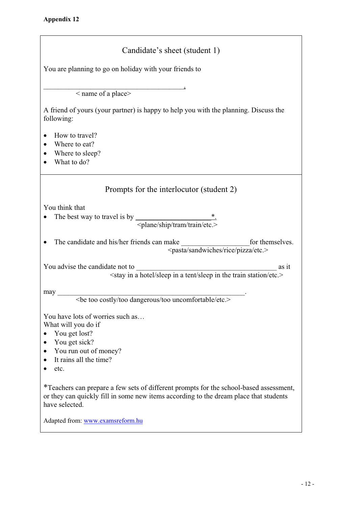| Candidate's sheet (student 1)                                                                                                                                                                     |
|---------------------------------------------------------------------------------------------------------------------------------------------------------------------------------------------------|
| You are planning to go on holiday with your friends to                                                                                                                                            |
| < name of a place>                                                                                                                                                                                |
| A friend of yours (your partner) is happy to help you with the planning. Discuss the<br>following:                                                                                                |
| How to travel?<br>Where to eat?<br>Where to sleep?<br>What to do?                                                                                                                                 |
| Prompts for the interlocutor (student 2)                                                                                                                                                          |
| You think that<br>The best way to travel is by $\frac{\cdot}{\cdot}$ .<br><plane etc.="" ship="" train="" tram=""></plane>                                                                        |
| The candidate and his/her friends can make<br>for themselves.<br><pasta etc.="" pizza="" rice="" sandwiches=""></pasta>                                                                           |
| You advise the candidate not to<br>as it<br><stay a="" etc.="" hotel="" in="" sleep="" station="" tent="" the="" train=""></stay>                                                                 |
| may<br><be costly="" dangerous="" etc.="" too="" uncomfortable=""></be>                                                                                                                           |
| You have lots of worries such as<br>What will you do if<br>You get lost?<br>You get sick?<br>$\bullet$<br>You run out of money?<br>It rains all the time?<br>$\bullet$<br>etc.                    |
| *Teachers can prepare a few sets of different prompts for the school-based assessment,<br>or they can quickly fill in some new items according to the dream place that students<br>have selected. |
| Adapted from: www.examsreform.hu                                                                                                                                                                  |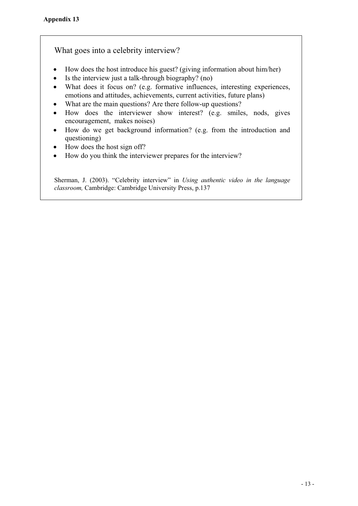## What goes into a celebrity interview?

- $\bullet$  How does the host introduce his guest? (giving information about him/her)
- $\bullet$  Is the interview just a talk-through biography? (no)
- What does it focus on? (e.g. formative influences, interesting experiences, emotions and attitudes, achievements, current activities, future plans)
- What are the main questions? Are there follow-up questions?
- How does the interviewer show interest? (e.g. smiles, nods, gives encouragement, makes noises)
- How do we get background information? (e.g. from the introduction and questioning)
- $\bullet$  How does the host sign off?
- How do you think the interviewer prepares for the interview?

Sherman, J. (2003). "Celebrity interview" in *Using authentic video in the language classroom,* Cambridge: Cambridge University Press, p.137